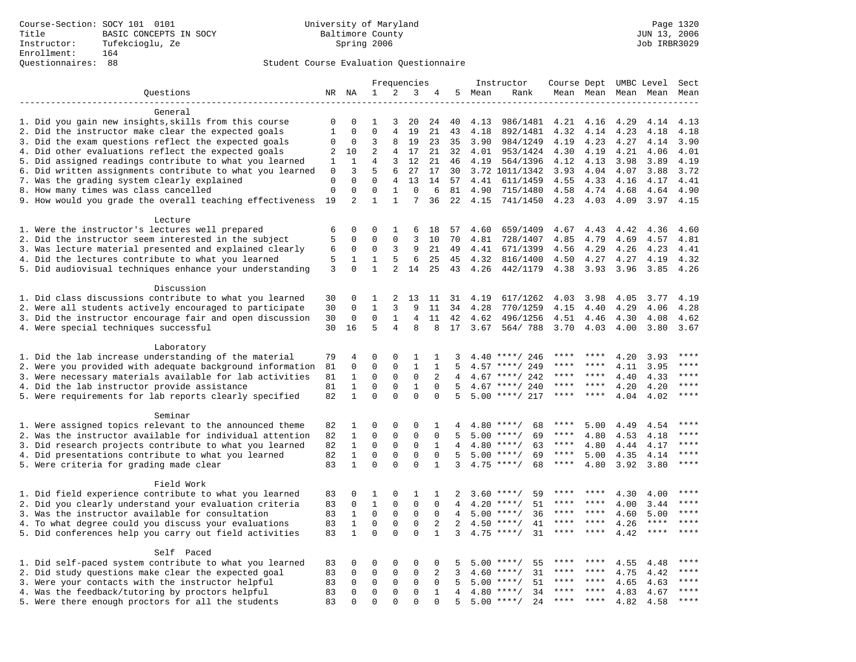# Questionnaires: 88 Student Course Evaluation Questionnaire

|                                                                                                                       | Frequencies      |                  | Instructor        | Course Dept UMBC Level |                   |                   |                | Sect         |                            |              |                     |              |              |              |
|-----------------------------------------------------------------------------------------------------------------------|------------------|------------------|-------------------|------------------------|-------------------|-------------------|----------------|--------------|----------------------------|--------------|---------------------|--------------|--------------|--------------|
| Questions                                                                                                             |                  |                  | $\mathbf{1}$      | 2                      | 3                 | 4                 | 5              | Mean         | Rank                       |              | Mean Mean Mean Mean |              |              | Mean         |
|                                                                                                                       |                  |                  |                   |                        |                   |                   |                |              |                            |              |                     |              |              |              |
| General                                                                                                               |                  |                  |                   |                        |                   |                   |                |              |                            |              |                     |              |              |              |
| 1. Did you gain new insights, skills from this course                                                                 | $\Omega$         | $\Omega$         | 1                 | 3                      | 20                | 24                | 40             | 4.13         | 986/1481                   | 4.21         | 4.16                | 4.29         | 4.14         | 4.13         |
| 2. Did the instructor make clear the expected goals                                                                   | $\mathbf{1}$     | $\Omega$         | $\Omega$          | $\overline{4}$         | 19                | 21                | 43             | 4.18         | 892/1481                   | 4.32         | 4.14                | 4.23         | 4.18         | 4.18         |
| 3. Did the exam questions reflect the expected goals                                                                  | 0                | $\mathbf 0$      | 3                 | 8                      | 19                | 23                | 35             | 3.90         | 984/1249                   | 4.19         | 4.23                | 4.27         | 4.14         | 3.90         |
| 4. Did other evaluations reflect the expected goals                                                                   | 2                | 10               | $\overline{2}$    | 4                      | 17                | 21                | 32             | 4.01         | 953/1424                   | 4.30         | 4.19                | 4.21         | 4.06         | 4.01         |
| 5. Did assigned readings contribute to what you learned                                                               | 1                | 1<br>3           | 4<br>5            | 3                      | 12                | 21                | 46             | 4.19         | 564/1396                   | 4.12         | 4.13                | 3.98         | 3.89         | 4.19<br>3.72 |
| 6. Did written assignments contribute to what you learned<br>7. Was the grading system clearly explained              | 0<br>$\mathbf 0$ | $\Omega$         | $\Omega$          | 6<br>4                 | 27<br>13          | 17<br>14          | 30<br>57       | 4.41         | 3.72 1011/1342<br>611/1459 | 3.93<br>4.55 | 4.04<br>4.33        | 4.07<br>4.16 | 3.88<br>4.17 | 4.41         |
| 8. How many times was class cancelled                                                                                 | $\Omega$         | $\Omega$         | $\Omega$          | $\mathbf{1}$           | $\Omega$          | 6                 | 81             | 4.90         | 715/1480                   | 4.58         | 4.74                | 4.68         | 4.64         | 4.90         |
| 9. How would you grade the overall teaching effectiveness                                                             | 19               | $\overline{2}$   | $\mathbf{1}$      | $\mathbf{1}$           | 7                 | 36                | 22             | 4.15         | 741/1450                   | 4.23         | 4.03                | 4.09         | 3.97         | 4.15         |
|                                                                                                                       |                  |                  |                   |                        |                   |                   |                |              |                            |              |                     |              |              |              |
| Lecture                                                                                                               |                  |                  |                   |                        |                   |                   |                |              |                            |              |                     |              |              |              |
| 1. Were the instructor's lectures well prepared                                                                       | 6                | $\Omega$         | $\Omega$          | 1                      | 6                 | 18                | 57             | 4.60         | 659/1409                   | 4.67         | 4.43                | 4.42         | 4.36         | 4.60         |
| 2. Did the instructor seem interested in the subject                                                                  | 5                | 0                | $\Omega$          | $\Omega$               | 3                 | 10                | 70             | 4.81         | 728/1407                   | 4.85         | 4.79                | 4.69         | 4.57         | 4.81         |
| 3. Was lecture material presented and explained clearly                                                               | 6                | 0                | 0                 | 3                      | 9                 | 21                | 49             | 4.41         | 671/1399                   | 4.56         | 4.29                | 4.26         | 4.23         | 4.41         |
| 4. Did the lectures contribute to what you learned                                                                    | 5                | 1                | $\mathbf{1}$      | 5                      | 6                 | 25                | 45             | 4.32         | 816/1400                   | 4.50         | 4.27                | 4.27         | 4.19         | 4.32         |
| 5. Did audiovisual techniques enhance your understanding                                                              | 3                | $\Omega$         | $\mathbf{1}$      | $\overline{2}$         | 14                | 25                | 43             | 4.26         | 442/1179                   | 4.38         | 3.93                | 3.96         | 3.85         | 4.26         |
|                                                                                                                       |                  |                  |                   |                        |                   |                   |                |              |                            |              |                     |              |              |              |
| Discussion                                                                                                            |                  |                  |                   |                        |                   |                   |                |              |                            |              |                     |              |              |              |
| 1. Did class discussions contribute to what you learned                                                               | 30               | 0                | 1                 | 2                      | 13                | 11                | 31             | 4.19         | 617/1262                   | 4.03         | 3.98                | 4.05         | 3.77         | 4.19         |
| 2. Were all students actively encouraged to participate                                                               | 30               | $\mathbf 0$      | $\mathbf{1}$      | 3                      | 9                 | 11                | 34             | 4.28         | 770/1259                   | 4.15         | 4.40                | 4.29         | 4.06         | 4.28         |
| 3. Did the instructor encourage fair and open discussion                                                              | 30               | 0                | $\mathbf 0$       | 1                      | 4                 | 11                | 42             | 4.62         | 496/1256                   | 4.51         | 4.46                | 4.30         | 4.08         | 4.62         |
| 4. Were special techniques successful                                                                                 | 30               | 16               | 5                 | 4                      | 8                 | 8                 | 17             | 3.67         | 564/788                    | 3.70         | 4.03                | 4.00         | 3.80         | 3.67         |
|                                                                                                                       |                  |                  |                   |                        |                   |                   |                |              |                            |              |                     |              |              |              |
| Laboratory                                                                                                            |                  |                  |                   |                        |                   |                   |                |              |                            |              |                     |              |              |              |
| 1. Did the lab increase understanding of the material                                                                 | 79               | 4<br>$\mathbf 0$ | 0<br>$\mathbf{0}$ | $\Omega$<br>0          | 1<br>$\mathbf{1}$ | 1<br>$\mathbf{1}$ | 3<br>5         |              | $4.40$ ****/ 246           | ****         | ****                | 4.20         | 3.93         | ****         |
| 2. Were you provided with adequate background information<br>3. Were necessary materials available for lab activities | 81<br>81         | 1                | 0                 | $\mathbf 0$            | $\mathbf 0$       | 2                 | 4              | 4.57<br>4.67 | ****/ 249<br>****/ 242     | ****         | ****                | 4.11<br>4.40 | 3.95<br>4.33 | ****         |
| 4. Did the lab instructor provide assistance                                                                          | 81               | $\mathbf{1}$     | $\Omega$          | $\mathbf 0$            | $\mathbf{1}$      | $\Omega$          | .5             | 4.67         | ****/ 240                  | ****         | ****                | 4.20         | 4.20         | $***$        |
| 5. Were requirements for lab reports clearly specified                                                                | 82               | $\mathbf{1}$     | $\Omega$          | $\Omega$               | $\Omega$          | $\Omega$          | 5              |              | $5.00$ ****/ 217           | ****         | ****                | 4.04         | 4.02         | ****         |
|                                                                                                                       |                  |                  |                   |                        |                   |                   |                |              |                            |              |                     |              |              |              |
| Seminar                                                                                                               |                  |                  |                   |                        |                   |                   |                |              |                            |              |                     |              |              |              |
| 1. Were assigned topics relevant to the announced theme                                                               | 82               | 1                | $\Omega$          | $\mathbf 0$            | $\mathbf 0$       | 1                 | 4              |              | $4.80$ ****/<br>68         | ****         | 5.00                | 4.49         | 4.54         | ****         |
| 2. Was the instructor available for individual attention                                                              | 82               | $\mathbf 1$      | 0                 | $\mathbf 0$            | $\mathbf 0$       | $\mathbf 0$       | 5              |              | $5.00$ ****/<br>69         | ****         | 4.80                | 4.53         | 4.18         |              |
| 3. Did research projects contribute to what you learned                                                               | 82               | $\mathbf{1}$     | $\mathbf 0$       | $\mathbf 0$            | $\mathbf 0$       | 1                 | 4              |              | $4.80$ ****/<br>63         | ****         | 4.80                | 4.44         | 4.17         | ****         |
| 4. Did presentations contribute to what you learned                                                                   | 82               | $\mathbf{1}$     | $\mathbf 0$       | $\Omega$               | $\mathbf 0$       | $\Omega$          | 5              |              | $5.00$ ****/<br>69         | ****         | 5.00                | 4.35         | 4.14         | $***$        |
| 5. Were criteria for grading made clear                                                                               | 83               | $\mathbf{1}$     | $\Omega$          | $\Omega$               | $\Omega$          | $\mathbf{1}$      | ζ              |              | $4.75$ ****/<br>68         | $***$ * * *  | 4.80                | 3.92         | 3.80         | ****         |
|                                                                                                                       |                  |                  |                   |                        |                   |                   |                |              |                            |              |                     |              |              |              |
| Field Work                                                                                                            |                  |                  |                   |                        |                   |                   |                |              |                            |              |                     |              |              |              |
| 1. Did field experience contribute to what you learned                                                                | 83               | 0                | 1                 | 0                      | 1                 | 1                 | 2              |              | $3.60$ ****/<br>59         |              |                     | 4.30         | 4.00         | * * * *      |
| 2. Did you clearly understand your evaluation criteria                                                                | 83               | $\mathbf 0$      | $\mathbf{1}$      | $\Omega$               | $\mathbf 0$       | $\Omega$          | 4              | 4.20         | 51<br>$***/$               | ****         | ****                | 4.00         | 3.44         | $***$        |
| 3. Was the instructor available for consultation                                                                      | 83               | $\mathbf{1}$     | $\mathbf 0$       | $\mathsf 0$            | $\mathsf 0$       | $\Omega$          | $\overline{4}$ | 5.00         | $***/$<br>36               | ****         | $***$ *             | 4.60         | 5.00         | ****         |
| 4. To what degree could you discuss your evaluations                                                                  | 83               | $\mathbf{1}$     | $\Omega$          | 0                      | $\mathbf 0$       | 2                 | 2              | 4.50         | $***/$<br>41               | ****         | $***$ *             | 4.26         | $***$ * * *  | $***$ * * *  |
| 5. Did conferences help you carry out field activities                                                                | 83               | $\mathbf{1}$     | $\Omega$          | $\Omega$               | $\Omega$          | $\mathbf{1}$      | 3              | 4.75         | 31<br>$***/$               | ****         | ****                | 4.42         | $***$        | ****         |
|                                                                                                                       |                  |                  |                   |                        |                   |                   |                |              |                            |              |                     |              |              |              |
| Self Paced                                                                                                            | 83               | 0                | $\mathbf 0$       | 0                      | $\mathbf 0$       | $\Omega$          | 5              |              | 55<br>$5.00$ ****/         | ****         | ****                | 4.55         | 4.48         | ****         |
| 1. Did self-paced system contribute to what you learned<br>2. Did study questions make clear the expected goal        | 83               | $\mathbf 0$      | $\mathbf 0$       | 0                      | $\mathbf 0$       | 2                 | 3              | 4.60         | $***/$<br>31               | ****         | $* * * *$           | 4.75         | 4.42         | ****         |
| 3. Were your contacts with the instructor helpful                                                                     | 83               | $\mathbf 0$      | $\mathbf 0$       | $\mathbf 0$            | $\mathbf 0$       | $\mathbf 0$       | 5              | 5.00         | 51<br>$***$ /              | ****         | ****                | 4.65         | 4.63         | ****         |
| 4. Was the feedback/tutoring by proctors helpful                                                                      | 83               | 0                | $\mathbf 0$       | $\mathbf 0$            | $\mathbf 0$       | 1                 | 4              | 4.80         | $***$ /<br>34              |              |                     | 4.83         | 4.67         | ****         |
| 5. Were there enough proctors for all the students                                                                    | 83               | $\Omega$         | $\Omega$          | $\Omega$               | $\Omega$          | $\Omega$          | 5              |              | $5.00$ ****/<br>24         | ****         | $***$               | 4.82         | 4.58         | ****         |
|                                                                                                                       |                  |                  |                   |                        |                   |                   |                |              |                            |              |                     |              |              |              |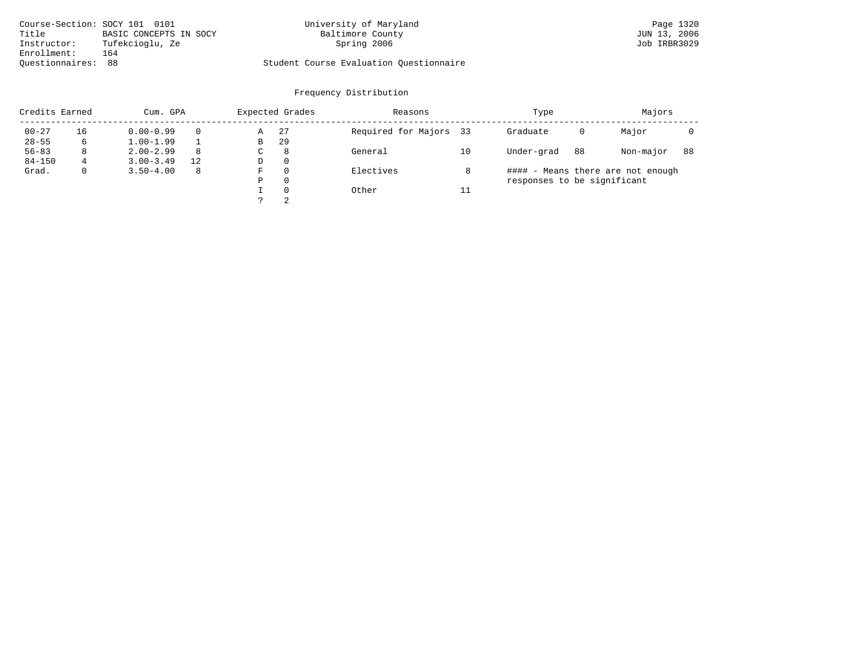| Course-Section: SOCY 101 0101 |                        | University of Maryland                  | Page 1320    |
|-------------------------------|------------------------|-----------------------------------------|--------------|
| Title                         | BASIC CONCEPTS IN SOCY | Baltimore County                        | JUN 13, 2006 |
| Instructor:                   | Tufekcioglu, Ze        | Spring 2006                             | Job IRBR3029 |
| Enrollment:                   | 164                    |                                         |              |
| Ouestionnaires: 88            |                        | Student Course Evaluation Questionnaire |              |

|            | Credits Earned<br>Cum. GPA |               |          |   | Expected Grades | Reasons                |    | Type                        | Majors |                                   |    |
|------------|----------------------------|---------------|----------|---|-----------------|------------------------|----|-----------------------------|--------|-----------------------------------|----|
| $00 - 27$  | 16                         | $0.00 - 0.99$ | $\Omega$ | Α | 27              | Required for Majors 33 |    | Graduate                    | 0      | Major                             |    |
| $28 - 55$  | 6                          | $1.00 - 1.99$ |          | В | 29              |                        |    |                             |        |                                   |    |
| $56 - 83$  | 8                          | $2.00 - 2.99$ | 8        | C | 8               | General                | 10 | Under-grad                  | 88     | Non-major                         | 88 |
| $84 - 150$ | 4                          | $3.00 - 3.49$ | 12       | D | 0               |                        |    |                             |        |                                   |    |
| Grad.      | 0                          | $3.50 - 4.00$ | 8        | F | 0               | Electives              | 8  |                             |        | #### - Means there are not enough |    |
|            |                            |               |          | Ρ | 0               |                        |    | responses to be significant |        |                                   |    |
|            |                            |               |          |   | $\Omega$        | Other                  | 11 |                             |        |                                   |    |
|            |                            |               |          |   | 2               |                        |    |                             |        |                                   |    |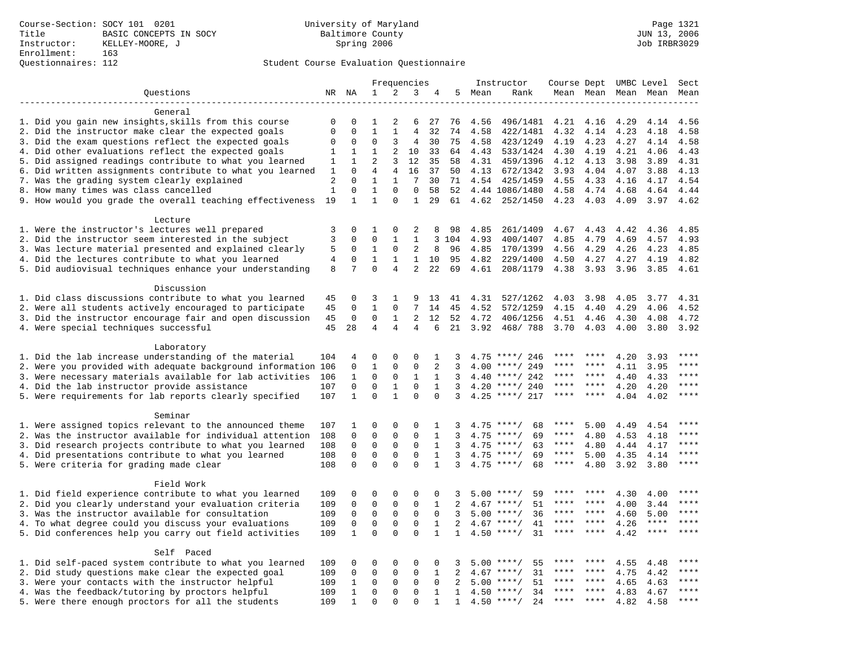|                                                                                                                |                |                          |                              |                      | Frequencies              |                  |                |        | Instructor                               | Course Dept UMBC Level |              |                     |              | Sect    |
|----------------------------------------------------------------------------------------------------------------|----------------|--------------------------|------------------------------|----------------------|--------------------------|------------------|----------------|--------|------------------------------------------|------------------------|--------------|---------------------|--------------|---------|
| Questions                                                                                                      |                | NR NA                    | 1                            | 2                    | 3                        | 4                |                | 5 Mean | Rank                                     |                        |              | Mean Mean Mean Mean |              | Mean    |
| __________________                                                                                             |                |                          |                              |                      |                          |                  |                |        |                                          |                        |              |                     |              |         |
| General                                                                                                        |                |                          |                              |                      |                          |                  |                |        |                                          |                        |              |                     |              |         |
| 1. Did you gain new insights, skills from this course                                                          | 0              | $\Omega$                 | 1                            | 2                    | 6                        | 27               | 76             | 4.56   | 496/1481                                 | 4.21                   | 4.16         | 4.29                | 4.14         | 4.56    |
| 2. Did the instructor make clear the expected goals                                                            | $\Omega$       | $\mathbf 0$              | $\mathbf{1}$                 | $\mathbf{1}$         | $\overline{4}$           | 32               | 74             | 4.58   | 422/1481                                 | 4.32                   | 4.14         | 4.23                | 4.18         | 4.58    |
| 3. Did the exam questions reflect the expected goals                                                           | 0              | 0                        | $\Omega$                     | 3                    | 4                        | 30               | 75             | 4.58   | 423/1249                                 | 4.19                   | 4.23         | 4.27                | 4.14         | 4.58    |
| 4. Did other evaluations reflect the expected goals                                                            | 1              | 1                        | $\mathbf{1}$                 | 2                    | 10                       | 33               | 64             | 4.43   | 533/1424                                 | 4.30                   | 4.19         | 4.21                | 4.06         | 4.43    |
| 5. Did assigned readings contribute to what you learned                                                        | 1              | $\mathbf{1}$             | $\overline{2}$               | 3                    | 12                       | 35               | 58             | 4.31   | 459/1396                                 | 4.12                   | 4.13         | 3.98                | 3.89         | 4.31    |
| 6. Did written assignments contribute to what you learned                                                      | 1              | $\Omega$                 | $\overline{4}$               | $\overline{4}$       | 16                       | 37               | 50             | 4.13   | 672/1342                                 | 3.93                   | 4.04         | 4.07                | 3.88         | 4.13    |
| 7. Was the grading system clearly explained                                                                    | 2              | $\Omega$                 | $\mathbf{1}$                 | $\mathbf{1}$         | 7                        | 30               | 71             | 4.54   | 425/1459                                 | 4.55                   | 4.33         | 4.16                | 4.17         | 4.54    |
| 8. How many times was class cancelled                                                                          | $\mathbf{1}$   | $\Omega$<br>$\mathbf{1}$ | $\mathbf{1}$<br>$\mathbf{1}$ | $\Omega$<br>$\Omega$ | $\Omega$<br>$\mathbf{1}$ | 58               | 52             |        | 4.44 1086/1480                           | 4.58                   | 4.74         | 4.68                | 4.64         | 4.44    |
| 9. How would you grade the overall teaching effectiveness                                                      | 19             |                          |                              |                      |                          | 29               | 61             |        | 4.62 252/1450                            | 4.23                   | 4.03         | 4.09                | 3.97         | 4.62    |
| Lecture                                                                                                        |                |                          |                              |                      |                          |                  |                |        |                                          |                        |              |                     |              |         |
| 1. Were the instructor's lectures well prepared                                                                | 3              | $\mathbf 0$              | 1                            | 0                    | 2                        | 8                | 98             | 4.85   | 261/1409                                 | 4.67                   | 4.43         | 4.42                | 4.36         | 4.85    |
| 2. Did the instructor seem interested in the subject                                                           | 3              | $\mathbf 0$              | $\mathbf 0$                  | 1                    | $\mathbf{1}$             |                  | 3 104          | 4.93   | 400/1407                                 | 4.85                   | 4.79         | 4.69                | 4.57         | 4.93    |
| 3. Was lecture material presented and explained clearly                                                        | 5              | 0                        | 1                            | 0                    | 2                        | 8                | 96             | 4.85   | 170/1399                                 | 4.56                   | 4.29         | 4.26                | 4.23         | 4.85    |
| 4. Did the lectures contribute to what you learned                                                             | $\overline{4}$ | 0                        | $\mathbf{1}$                 | 1                    | $\mathbf{1}$             | 10               | 95             | 4.82   | 229/1400                                 | 4.50                   | 4.27         | 4.27                | 4.19         | 4.82    |
| 5. Did audiovisual techniques enhance your understanding                                                       | 8              | 7                        | $\Omega$                     | $\overline{4}$       | $\overline{2}$           | 22               | 69             | 4.61   | 208/1179                                 | 4.38                   | 3.93         | 3.96                | 3.85         | 4.61    |
|                                                                                                                |                |                          |                              |                      |                          |                  |                |        |                                          |                        |              |                     |              |         |
| Discussion                                                                                                     |                |                          |                              |                      |                          |                  |                |        |                                          |                        |              |                     |              |         |
| 1. Did class discussions contribute to what you learned                                                        | 45             | 0                        | 3                            | $\mathbf{1}$         | 9                        | 13               | 41             | 4.31   | 527/1262                                 | 4.03                   | 3.98         | 4.05                | 3.77         | 4.31    |
| 2. Were all students actively encouraged to participate                                                        | 45             | $\mathbf 0$              | $\mathbf{1}$                 | $\mathbf 0$          | $7\overline{ }$          | 14               | 45             | 4.52   | 572/1259                                 | 4.15                   | 4.40         | 4.29                | 4.06         | 4.52    |
| 3. Did the instructor encourage fair and open discussion                                                       | 45             | $\mathbf 0$              | $\mathbf 0$                  | $\mathbf{1}$         | $\overline{a}$           | 12               | 52             | 4.72   | 406/1256                                 | 4.51                   | 4.46         | 4.30                | 4.08         | 4.72    |
| 4. Were special techniques successful                                                                          | 45             | 28                       | 4                            | 4                    | 4                        | 6                | 21             | 3.92   | 468/788                                  | 3.70                   | 4.03         | 4.00                | 3.80         | 3.92    |
|                                                                                                                |                |                          |                              |                      |                          |                  |                |        |                                          |                        |              |                     |              |         |
| Laboratory                                                                                                     |                |                          |                              |                      |                          |                  |                |        |                                          |                        |              |                     |              |         |
| 1. Did the lab increase understanding of the material                                                          | 104            | 4                        | $\Omega$                     | $\Omega$             | $\Omega$                 | 1                |                |        | $4.75$ ****/ 246                         | ****                   | ****         | 4.20                | 3.93         | ****    |
| 2. Were you provided with adequate background information 106                                                  |                | 0                        | $\mathbf{1}$                 | 0                    | $\mathbf 0$              | 2                | 3              | 4.00   | ****/ 249                                |                        |              | 4.11                | 3.95         |         |
| 3. Were necessary materials available for lab activities                                                       | 106            | 1                        | $\mathbf 0$                  | 0                    | $\mathbf{1}$             | 1                | 3              | 4.40   | ****/ 242                                | ****                   | ****         | 4.40                | 4.33         | ****    |
| 4. Did the lab instructor provide assistance                                                                   | 107            | $\mathbf 0$              | $\Omega$                     | $\mathbf{1}$         | $\Omega$                 | $\mathbf{1}$     | 3              | 4.20   | ****/ 240                                | ****                   | $***$ *      | 4.20                | 4.20         | $***$   |
| 5. Were requirements for lab reports clearly specified                                                         | 107            | $\mathbf{1}$             | $\Omega$                     | $\mathbf{1}$         | $\Omega$                 | $\Omega$         | 3              |        | $4.25$ ****/ 217                         | $***$ * *              | $***$ *      | 4.04                | 4.02         | $***$   |
|                                                                                                                |                |                          |                              |                      |                          |                  |                |        |                                          |                        |              |                     |              |         |
| Seminar                                                                                                        |                |                          |                              |                      |                          |                  |                |        |                                          | ****                   |              |                     |              |         |
| 1. Were assigned topics relevant to the announced theme                                                        | 107            | 1<br>0                   | 0<br>$\mathbf 0$             | 0<br>$\mathbf{0}$    | 0<br>$\mathbf 0$         | 1<br>$\mathbf 1$ | 3<br>3         |        | $4.75$ ****/<br>68<br>$4.75$ ****/<br>69 | ****                   | 5.00<br>4.80 | 4.49                | 4.54         | ****    |
| 2. Was the instructor available for individual attention                                                       | 108            | $\mathbf 0$              | $\mathbf 0$                  | $\mathbf 0$          | $\mathbf 0$              | $\mathbf{1}$     | 3              | 4.75   | $***/$<br>63                             | $***$ * * *            |              | 4.53                | 4.18         | ****    |
| 3. Did research projects contribute to what you learned<br>4. Did presentations contribute to what you learned | 108<br>108     | 0                        | $\mathbf 0$                  | $\mathbf{0}$         | $\mathbf 0$              | 1                | 3              | 4.75   | $***/$<br>69                             | $***$ * * *            | 4.80<br>5.00 | 4.44<br>4.35        | 4.17<br>4.14 | $***$   |
| 5. Were criteria for grading made clear                                                                        | 108            | $\Omega$                 | $\Omega$                     | $\Omega$             | $\Omega$                 | $\mathbf{1}$     | 3              |        | $4.75$ ****/<br>68                       | $***$ * *              | 4.80         | 3.92                | 3.80         | ****    |
|                                                                                                                |                |                          |                              |                      |                          |                  |                |        |                                          |                        |              |                     |              |         |
| Field Work                                                                                                     |                |                          |                              |                      |                          |                  |                |        |                                          |                        |              |                     |              |         |
| 1. Did field experience contribute to what you learned                                                         | 109            | 0                        | 0                            | 0                    | 0                        | 0                | 3              |        | $5.00$ ****/<br>59                       |                        |              | 4.30                | 4.00         | ****    |
| 2. Did you clearly understand your evaluation criteria                                                         | 109            | $\mathsf 0$              | $\mathsf 0$                  | $\mathsf 0$          | $\mathbf 0$              | $\mathbf{1}$     | $\overline{2}$ |        | $4.67$ ****/<br>51                       | ****                   | ****         | 4.00                | 3.44         | ****    |
| 3. Was the instructor available for consultation                                                               | 109            | $\mathbf 0$              | $\mathbf 0$                  | $\mathbf 0$          | $\mathbf 0$              | $\Omega$         | 3              | 5.00   | $***/$<br>36                             | ****                   | $***$ *      | 4.60                | 5.00         | ****    |
| 4. To what degree could you discuss your evaluations                                                           | 109            | $\mathsf 0$              | $\mathsf 0$                  | $\mathbf 0$          | $\mathbf 0$              | 1                | 2              | 4.67   | 41<br>$***/$                             | ****                   | ****         | 4.26                | ****         | ****    |
| 5. Did conferences help you carry out field activities                                                         | 109            | 1                        | $\mathbf 0$                  | $\Omega$             | $\Omega$                 | 1                | $\mathbf{1}$   | 4.50   | 31<br>$***/$                             |                        |              | 4.42                | ****         |         |
|                                                                                                                |                |                          |                              |                      |                          |                  |                |        |                                          |                        |              |                     |              |         |
| Self Paced                                                                                                     |                |                          |                              |                      |                          |                  |                |        |                                          |                        |              |                     |              |         |
| 1. Did self-paced system contribute to what you learned                                                        | 109            | 0                        | 0                            | 0                    | $\Omega$                 | 0                | 3              |        | $5.00$ ****/<br>55                       |                        |              | 4.55                | 4.48         | ****    |
| 2. Did study questions make clear the expected goal                                                            | 109            | 0                        | $\mathbf 0$                  | 0                    | $\mathbf 0$              | 1                | 2              | 4.67   | 31<br>$***/$                             | ****                   | ****         | 4.75                | 4.42         | * * * * |
| 3. Were your contacts with the instructor helpful                                                              | 109            | 1                        | $\mathbf 0$                  | 0                    | $\mathbf 0$              | $\Omega$         | 2              | 5.00   | $***/$<br>51                             | ****                   | ****         | 4.65                | 4.63         | ****    |
| 4. Was the feedback/tutoring by proctors helpful                                                               | 109            | $\mathbf{1}$             | $\Omega$                     | $\Omega$             | $\Omega$                 | $\mathbf{1}$     | $\mathbf{1}$   | 4.50   | $***$ /<br>34                            | ****                   | ****         | 4.83                | 4.67         | ****    |
| 5. Were there enough proctors for all the students                                                             | 109            | $\mathbf 1$              | $\Omega$                     | $\Omega$             | $\Omega$                 | $\mathbf{1}$     | $\mathbf{1}$   |        | 2.4<br>$4.50$ ****/                      | ****                   | ****         | 4.82                | 4.58         | ****    |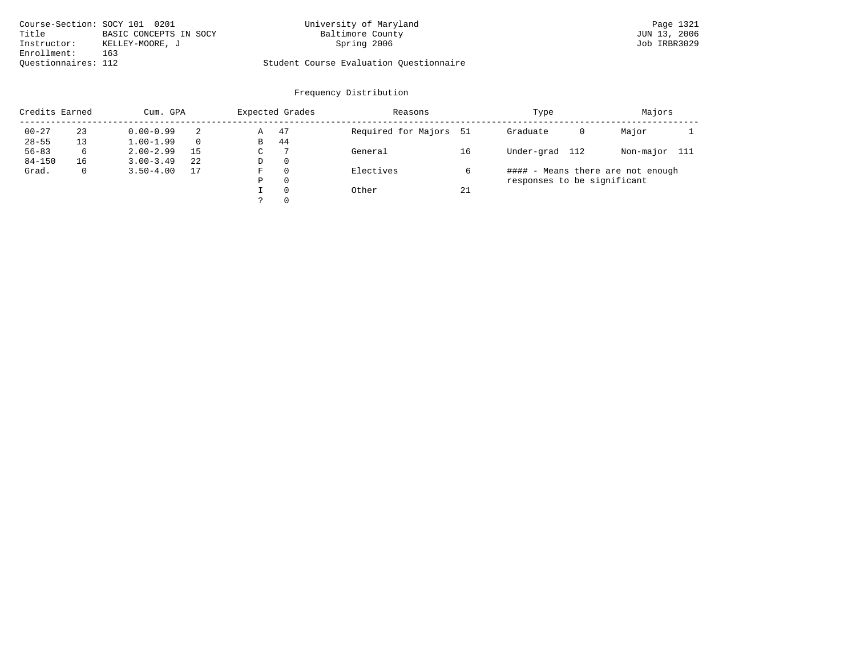| Course-Section: SOCY 101 0201 |                        | University of Maryland                  | Page 1321    |
|-------------------------------|------------------------|-----------------------------------------|--------------|
| Title                         | BASIC CONCEPTS IN SOCY | Baltimore County                        | JUN 13, 2006 |
| Instructor:                   | KELLEY-MOORE, J        | Spring 2006                             | Job IRBR3029 |
| Enrollment:                   | 163                    |                                         |              |
| Ouestionnaires: 112           |                        | Student Course Evaluation Questionnaire |              |

|            | Credits Earned<br>Cum. GPA |               |          |   | Expected Grades | Reasons                |    | Type                        | Majors |                                   |       |
|------------|----------------------------|---------------|----------|---|-----------------|------------------------|----|-----------------------------|--------|-----------------------------------|-------|
| $00 - 27$  | 23                         | $0.00 - 0.99$ | 2        | Α | 47              | Required for Majors 51 |    | Graduate                    | 0      | Major                             |       |
| $28 - 55$  | 13                         | $1.00 - 1.99$ | $\Omega$ | В | 44              |                        |    |                             |        |                                   |       |
| $56 - 83$  | 6                          | $2.00 - 2.99$ | 15       | С |                 | General                | 16 | Under-grad 112              |        | Non-major                         | - 111 |
| $84 - 150$ | 16                         | $3.00 - 3.49$ | 22       | D | $\mathbf{0}$    |                        |    |                             |        |                                   |       |
| Grad.      | 0                          | $3.50 - 4.00$ | 17       | F | 0               | Electives              | b  |                             |        | #### - Means there are not enough |       |
|            |                            |               |          | Ρ | 0               |                        |    | responses to be significant |        |                                   |       |
|            |                            |               |          |   | $\Omega$        | Other                  | 21 |                             |        |                                   |       |
|            |                            |               |          |   | 0               |                        |    |                             |        |                                   |       |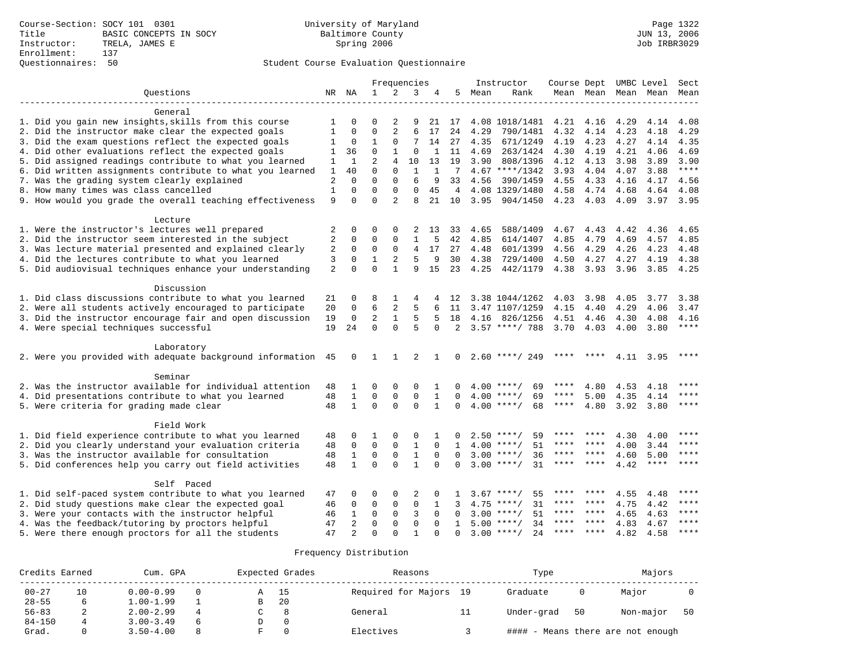# Questionnaires: 50 Student Course Evaluation Questionnaire

| 2<br>Ouestions<br>ΝA<br>1<br>3<br>5<br>NR<br>4<br>Mean<br>Rank<br>Mean Mean<br>Mean Mean<br>Mean<br>General<br>1. Did you gain new insights, skills from this course<br>4.08 1018/1481<br>4.21<br>4.16<br>4.29<br>0<br>0<br>2<br>9<br>21<br>17<br>4.14<br>4.08<br>1<br>$\overline{2}$<br>6<br>2. Did the instructor make clear the expected goals<br>$\mathbf{0}$<br>$\mathbf 0$<br>24<br>4.29<br>790/1481<br>4.32<br>4.14<br>4.23<br>4.18<br>4.29<br>1<br>17<br>3. Did the exam questions reflect the expected goals<br>0<br>1<br>$\mathbf 0$<br>7<br>14<br>27<br>4.35<br>671/1249<br>4.19<br>4.23<br>4.27<br>4.14<br>4.35<br>1<br>4. Did other evaluations reflect the expected goals<br>$\mathbf 0$<br>36<br>1<br>$\Omega$<br>1<br>11<br>4.69<br>263/1424<br>4.30<br>4.19<br>4.21<br>4.06<br>4.69<br>1<br>5. Did assigned readings contribute to what you learned<br>$\overline{2}$<br>$\mathbf{1}$<br>$\overline{4}$<br>10<br>19<br>3.90<br>808/1396<br>4.12<br>3.98<br>3.89<br>3.90<br>13<br>4.13<br>1<br>6. Did written assignments contribute to what you learned<br>$\mathbf 0$<br>$4.67$ ****/1342<br>3.93<br>$***$<br>40<br>$\mathbf 0$<br>1<br>7<br>4.04<br>4.07<br>3.88<br>1<br>$\mathbf 0$<br>6<br>7. Was the grading system clearly explained<br>$\overline{2}$<br>$\Omega$<br>$\mathbf 0$<br>9<br>33<br>4.56<br>390/1459<br>4.55<br>4.33<br>4.17<br>4.56<br>4.16<br>8. How many times was class cancelled<br>$\Omega$<br>1<br>$\Omega$<br>$\Omega$<br>$\Omega$<br>45<br>4<br>4.08 1329/1480<br>4.58<br>4.74<br>4.68<br>4.64<br>4.08<br>$\Omega$<br>$\mathfrak{D}$<br>9. How would you grade the overall teaching effectiveness<br>9<br>$\Omega$<br>8<br>21<br>10<br>3.95<br>904/1450<br>4.23 4.03<br>4.09<br>3.97<br>3.95<br>Lecture<br>1. Were the instructor's lectures well prepared<br>$\overline{c}$<br>$\mathbf 0$<br>0<br>$\mathbf 0$<br>2<br>588/1409<br>4.67<br>4.43<br>4.42<br>4.36<br>4.65<br>13<br>33<br>4.65<br>2. Did the instructor seem interested in the subject<br>$\overline{2}$<br>$\Omega$<br>$\Omega$<br>$\mathbf 0$<br>1<br>5<br>42<br>4.85<br>614/1407<br>4.85<br>4.79<br>4.69<br>4.57<br>4.85<br>3. Was lecture material presented and explained clearly<br>$\sqrt{2}$<br>$\mathbf 0$<br>0<br>$\mathbf 0$<br>4<br>17<br>27<br>4.48<br>4.56<br>4.29<br>4.26<br>4.23<br>4.48<br>601/1399<br>5<br>4. Did the lectures contribute to what you learned<br>3<br>$\mathbf 0$<br>$\mathbf 1$<br>2<br>9<br>4.27<br>4.38<br>30<br>4.38<br>729/1400<br>4.50<br>4.27<br>4.19<br>$\Omega$<br>5. Did audiovisual techniques enhance your understanding<br>2<br>$\Omega$<br>$\mathbf{1}$<br>15<br>23<br>4.25<br>442/1179<br>4.38<br>3.93<br>9<br>3.96<br>3.85<br>4.25<br>Discussion<br>1. Did class discussions contribute to what you learned<br>0<br>8<br>1<br>3.38 1044/1262<br>4.03<br>3.98<br>4.05<br>3.77<br>3.38<br>21<br>4<br>-12<br>2. Were all students actively encouraged to participate<br>6<br>2<br>20<br>$\mathbf{0}$<br>5<br>3.47 1107/1259<br>4.15<br>4.29<br>3.47<br>6<br>11<br>4.40<br>4.06<br>3. Did the instructor encourage fair and open discussion<br>$\mathbf 0$<br>2<br>$\mathbf{1}$<br>19<br>5<br>18<br>4.16<br>826/1256<br>4.51<br>4.46<br>4.30<br>4.08<br>4.16<br>5<br>$\Omega$<br>$\Omega$<br>$3.57$ ****/ 788<br>****<br>4. Were special techniques successful<br>19<br>24<br>5<br>$\Omega$<br>2<br>3.70<br>4.03<br>4.00<br>3.80<br>Laboratory<br>2. Were you provided with adequate background information 45<br>0<br>$\overline{1}$<br>1<br>2<br>$2.60$ ****/ 249<br>4.11 3.95<br>****<br>$\mathbf{1}$<br>$\mathbf{0}$<br>****<br>****<br>Seminar<br>2. Was the instructor available for individual attention<br>0<br>$\mathbf 0$<br>$\mathbf 0$<br>4.00<br>$***$ /<br>69<br>4.80<br>4.53<br>48<br>1<br>1<br>$\Omega$<br>4.18<br>4. Did presentations contribute to what you learned<br>$\mathbf{1}$<br>$\mathbf 0$<br>$\mathbf{0}$<br>$\Omega$<br>$\mathbf{1}$<br>****<br>48<br>$\Omega$<br>$4.00$ ****/<br>69<br>****<br>5.00<br>4.35<br>4.14<br>$\Omega$<br>5. Were criteria for grading made clear<br>$\mathbf{1}$<br>$\Omega$<br>$\Omega$<br>$4.00$ ****/<br>48<br>$\mathbf{1}$<br>$\Omega$<br>68<br>****<br>4.80<br>3.92 3.80<br>$***$<br>Field Work<br>1. Did field experience contribute to what you learned<br>****<br>$\mathbf 0$<br>0<br>$2.50$ ****/<br>59<br>4.30<br>48<br>0<br>1<br>1<br>****<br>4.00<br>2. Did you clearly understand your evaluation criteria<br>$\mathbf 0$<br>$\mathbf 0$<br>$\mathbf{0}$<br>$\mathbf{1}$<br>51<br>****<br>48<br>$\Omega$<br>$\mathbf{1}$<br>$4.00$ ****/<br>****<br>4.00<br>3.44<br>****<br>3. Was the instructor available for consultation<br>$\mathbf 0$<br>$\mathbf{0}$<br>$\mathbf{1}$<br>$3.00$ ****/<br>36<br>5.00<br>$***$<br>48<br>1<br>$\Omega$<br>****<br>****<br>4.60<br>$\Omega$<br>$\mathbf{1}$<br>$\Omega$<br>$\Omega$<br>$3.00$ ****/<br>31<br>$***$ * * *<br>5. Did conferences help you carry out field activities<br>$\mathbf{1}$<br>$***$ * * *<br>$* * * * *$<br>4.42<br>****<br>48<br>$\Omega$<br>$\Omega$<br>Self Paced<br>1. Did self-paced system contribute to what you learned<br>$3.67$ ****/<br>55<br>47<br>0<br>0<br>0<br>2<br>0<br>****<br>4.55<br>4.48<br>2. Did study questions make clear the expected goal<br>$\mathbf 0$<br>$\mathbf 0$<br>****<br>$\mathbf 0$<br>$\mathbf 0$<br>4.75<br>$***/$<br>31<br>4.75<br>4.42<br>46<br>1<br>3<br>****<br>****<br>$***$<br>3. Were your contacts with the instructor helpful<br>$\mathbf{1}$<br>$\mathbf 0$<br>$\mathbf 0$<br>3<br>51<br>****<br>4.65<br>46<br>$\Omega$<br>3.00<br>$***$ /<br>****<br>4.63<br>4. Was the feedback/tutoring by proctors helpful<br>47<br>$\overline{2}$<br>$\mathbf 0$<br>$\Omega$<br>$\Omega$<br>$5.00$ ****/<br>34<br>****<br>****<br>4.83<br>****<br>$\Omega$<br>4.67<br>$\mathbf{1}$<br>2.4<br>47<br>$\overline{2}$<br>$\Omega$<br>$3.00$ ****/<br>****<br>****<br>4.82<br>4.58<br>****<br>5. Were there enough proctors for all the students<br>$\Omega$<br>$\mathbf{1}$<br>$\Omega$<br>$\Omega$ |  |  |  | Frequencies |  | Instructor | Course Dept UMBC Level |  | Sect |
|------------------------------------------------------------------------------------------------------------------------------------------------------------------------------------------------------------------------------------------------------------------------------------------------------------------------------------------------------------------------------------------------------------------------------------------------------------------------------------------------------------------------------------------------------------------------------------------------------------------------------------------------------------------------------------------------------------------------------------------------------------------------------------------------------------------------------------------------------------------------------------------------------------------------------------------------------------------------------------------------------------------------------------------------------------------------------------------------------------------------------------------------------------------------------------------------------------------------------------------------------------------------------------------------------------------------------------------------------------------------------------------------------------------------------------------------------------------------------------------------------------------------------------------------------------------------------------------------------------------------------------------------------------------------------------------------------------------------------------------------------------------------------------------------------------------------------------------------------------------------------------------------------------------------------------------------------------------------------------------------------------------------------------------------------------------------------------------------------------------------------------------------------------------------------------------------------------------------------------------------------------------------------------------------------------------------------------------------------------------------------------------------------------------------------------------------------------------------------------------------------------------------------------------------------------------------------------------------------------------------------------------------------------------------------------------------------------------------------------------------------------------------------------------------------------------------------------------------------------------------------------------------------------------------------------------------------------------------------------------------------------------------------------------------------------------------------------------------------------------------------------------------------------------------------------------------------------------------------------------------------------------------------------------------------------------------------------------------------------------------------------------------------------------------------------------------------------------------------------------------------------------------------------------------------------------------------------------------------------------------------------------------------------------------------------------------------------------------------------------------------------------------------------------------------------------------------------------------------------------------------------------------------------------------------------------------------------------------------------------------------------------------------------------------------------------------------------------------------------------------------------------------------------------------------------------------------------------------------------------------------------------------------------------------------------------------------------------------------------------------------------------------------------------------------------------------------------------------------------------------------------------------------------------------------------------------------------------------------------------------------------------------------------------------------------------------------------------------------------------------------------------------------------------------------------------------------------------------------------------------------------------------------------------------------------------------------------------------------------------------------------------------------------------------------------------------------------------------------------------------------------------------------------------------------------------------------------------------------------------------------------------------------------------------------------------------------------------------------------------------------------------------------------------------------------------------------------------------------------------------------------------------------------------------------------------------------------------------------------------------------------------------------------------------------------------------------------------------------------------------------------------------------------------------------------------------------------------------------------------------------------------------------------------------------------------------------------------------------------------------------------------------------|--|--|--|-------------|--|------------|------------------------|--|------|
|                                                                                                                                                                                                                                                                                                                                                                                                                                                                                                                                                                                                                                                                                                                                                                                                                                                                                                                                                                                                                                                                                                                                                                                                                                                                                                                                                                                                                                                                                                                                                                                                                                                                                                                                                                                                                                                                                                                                                                                                                                                                                                                                                                                                                                                                                                                                                                                                                                                                                                                                                                                                                                                                                                                                                                                                                                                                                                                                                                                                                                                                                                                                                                                                                                                                                                                                                                                                                                                                                                                                                                                                                                                                                                                                                                                                                                                                                                                                                                                                                                                                                                                                                                                                                                                                                                                                                                                                                                                                                                                                                                                                                                                                                                                                                                                                                                                                                                                                                                                                                                                                                                                                                                                                                                                                                                                                                                                                                                                                                                                                                                                                                                                                                                                                                                                                                                                                                                                                                                                                                              |  |  |  |             |  |            |                        |  |      |
|                                                                                                                                                                                                                                                                                                                                                                                                                                                                                                                                                                                                                                                                                                                                                                                                                                                                                                                                                                                                                                                                                                                                                                                                                                                                                                                                                                                                                                                                                                                                                                                                                                                                                                                                                                                                                                                                                                                                                                                                                                                                                                                                                                                                                                                                                                                                                                                                                                                                                                                                                                                                                                                                                                                                                                                                                                                                                                                                                                                                                                                                                                                                                                                                                                                                                                                                                                                                                                                                                                                                                                                                                                                                                                                                                                                                                                                                                                                                                                                                                                                                                                                                                                                                                                                                                                                                                                                                                                                                                                                                                                                                                                                                                                                                                                                                                                                                                                                                                                                                                                                                                                                                                                                                                                                                                                                                                                                                                                                                                                                                                                                                                                                                                                                                                                                                                                                                                                                                                                                                                              |  |  |  |             |  |            |                        |  |      |
|                                                                                                                                                                                                                                                                                                                                                                                                                                                                                                                                                                                                                                                                                                                                                                                                                                                                                                                                                                                                                                                                                                                                                                                                                                                                                                                                                                                                                                                                                                                                                                                                                                                                                                                                                                                                                                                                                                                                                                                                                                                                                                                                                                                                                                                                                                                                                                                                                                                                                                                                                                                                                                                                                                                                                                                                                                                                                                                                                                                                                                                                                                                                                                                                                                                                                                                                                                                                                                                                                                                                                                                                                                                                                                                                                                                                                                                                                                                                                                                                                                                                                                                                                                                                                                                                                                                                                                                                                                                                                                                                                                                                                                                                                                                                                                                                                                                                                                                                                                                                                                                                                                                                                                                                                                                                                                                                                                                                                                                                                                                                                                                                                                                                                                                                                                                                                                                                                                                                                                                                                              |  |  |  |             |  |            |                        |  |      |
|                                                                                                                                                                                                                                                                                                                                                                                                                                                                                                                                                                                                                                                                                                                                                                                                                                                                                                                                                                                                                                                                                                                                                                                                                                                                                                                                                                                                                                                                                                                                                                                                                                                                                                                                                                                                                                                                                                                                                                                                                                                                                                                                                                                                                                                                                                                                                                                                                                                                                                                                                                                                                                                                                                                                                                                                                                                                                                                                                                                                                                                                                                                                                                                                                                                                                                                                                                                                                                                                                                                                                                                                                                                                                                                                                                                                                                                                                                                                                                                                                                                                                                                                                                                                                                                                                                                                                                                                                                                                                                                                                                                                                                                                                                                                                                                                                                                                                                                                                                                                                                                                                                                                                                                                                                                                                                                                                                                                                                                                                                                                                                                                                                                                                                                                                                                                                                                                                                                                                                                                                              |  |  |  |             |  |            |                        |  |      |
|                                                                                                                                                                                                                                                                                                                                                                                                                                                                                                                                                                                                                                                                                                                                                                                                                                                                                                                                                                                                                                                                                                                                                                                                                                                                                                                                                                                                                                                                                                                                                                                                                                                                                                                                                                                                                                                                                                                                                                                                                                                                                                                                                                                                                                                                                                                                                                                                                                                                                                                                                                                                                                                                                                                                                                                                                                                                                                                                                                                                                                                                                                                                                                                                                                                                                                                                                                                                                                                                                                                                                                                                                                                                                                                                                                                                                                                                                                                                                                                                                                                                                                                                                                                                                                                                                                                                                                                                                                                                                                                                                                                                                                                                                                                                                                                                                                                                                                                                                                                                                                                                                                                                                                                                                                                                                                                                                                                                                                                                                                                                                                                                                                                                                                                                                                                                                                                                                                                                                                                                                              |  |  |  |             |  |            |                        |  |      |
|                                                                                                                                                                                                                                                                                                                                                                                                                                                                                                                                                                                                                                                                                                                                                                                                                                                                                                                                                                                                                                                                                                                                                                                                                                                                                                                                                                                                                                                                                                                                                                                                                                                                                                                                                                                                                                                                                                                                                                                                                                                                                                                                                                                                                                                                                                                                                                                                                                                                                                                                                                                                                                                                                                                                                                                                                                                                                                                                                                                                                                                                                                                                                                                                                                                                                                                                                                                                                                                                                                                                                                                                                                                                                                                                                                                                                                                                                                                                                                                                                                                                                                                                                                                                                                                                                                                                                                                                                                                                                                                                                                                                                                                                                                                                                                                                                                                                                                                                                                                                                                                                                                                                                                                                                                                                                                                                                                                                                                                                                                                                                                                                                                                                                                                                                                                                                                                                                                                                                                                                                              |  |  |  |             |  |            |                        |  |      |
|                                                                                                                                                                                                                                                                                                                                                                                                                                                                                                                                                                                                                                                                                                                                                                                                                                                                                                                                                                                                                                                                                                                                                                                                                                                                                                                                                                                                                                                                                                                                                                                                                                                                                                                                                                                                                                                                                                                                                                                                                                                                                                                                                                                                                                                                                                                                                                                                                                                                                                                                                                                                                                                                                                                                                                                                                                                                                                                                                                                                                                                                                                                                                                                                                                                                                                                                                                                                                                                                                                                                                                                                                                                                                                                                                                                                                                                                                                                                                                                                                                                                                                                                                                                                                                                                                                                                                                                                                                                                                                                                                                                                                                                                                                                                                                                                                                                                                                                                                                                                                                                                                                                                                                                                                                                                                                                                                                                                                                                                                                                                                                                                                                                                                                                                                                                                                                                                                                                                                                                                                              |  |  |  |             |  |            |                        |  |      |
|                                                                                                                                                                                                                                                                                                                                                                                                                                                                                                                                                                                                                                                                                                                                                                                                                                                                                                                                                                                                                                                                                                                                                                                                                                                                                                                                                                                                                                                                                                                                                                                                                                                                                                                                                                                                                                                                                                                                                                                                                                                                                                                                                                                                                                                                                                                                                                                                                                                                                                                                                                                                                                                                                                                                                                                                                                                                                                                                                                                                                                                                                                                                                                                                                                                                                                                                                                                                                                                                                                                                                                                                                                                                                                                                                                                                                                                                                                                                                                                                                                                                                                                                                                                                                                                                                                                                                                                                                                                                                                                                                                                                                                                                                                                                                                                                                                                                                                                                                                                                                                                                                                                                                                                                                                                                                                                                                                                                                                                                                                                                                                                                                                                                                                                                                                                                                                                                                                                                                                                                                              |  |  |  |             |  |            |                        |  |      |
|                                                                                                                                                                                                                                                                                                                                                                                                                                                                                                                                                                                                                                                                                                                                                                                                                                                                                                                                                                                                                                                                                                                                                                                                                                                                                                                                                                                                                                                                                                                                                                                                                                                                                                                                                                                                                                                                                                                                                                                                                                                                                                                                                                                                                                                                                                                                                                                                                                                                                                                                                                                                                                                                                                                                                                                                                                                                                                                                                                                                                                                                                                                                                                                                                                                                                                                                                                                                                                                                                                                                                                                                                                                                                                                                                                                                                                                                                                                                                                                                                                                                                                                                                                                                                                                                                                                                                                                                                                                                                                                                                                                                                                                                                                                                                                                                                                                                                                                                                                                                                                                                                                                                                                                                                                                                                                                                                                                                                                                                                                                                                                                                                                                                                                                                                                                                                                                                                                                                                                                                                              |  |  |  |             |  |            |                        |  |      |
|                                                                                                                                                                                                                                                                                                                                                                                                                                                                                                                                                                                                                                                                                                                                                                                                                                                                                                                                                                                                                                                                                                                                                                                                                                                                                                                                                                                                                                                                                                                                                                                                                                                                                                                                                                                                                                                                                                                                                                                                                                                                                                                                                                                                                                                                                                                                                                                                                                                                                                                                                                                                                                                                                                                                                                                                                                                                                                                                                                                                                                                                                                                                                                                                                                                                                                                                                                                                                                                                                                                                                                                                                                                                                                                                                                                                                                                                                                                                                                                                                                                                                                                                                                                                                                                                                                                                                                                                                                                                                                                                                                                                                                                                                                                                                                                                                                                                                                                                                                                                                                                                                                                                                                                                                                                                                                                                                                                                                                                                                                                                                                                                                                                                                                                                                                                                                                                                                                                                                                                                                              |  |  |  |             |  |            |                        |  |      |
|                                                                                                                                                                                                                                                                                                                                                                                                                                                                                                                                                                                                                                                                                                                                                                                                                                                                                                                                                                                                                                                                                                                                                                                                                                                                                                                                                                                                                                                                                                                                                                                                                                                                                                                                                                                                                                                                                                                                                                                                                                                                                                                                                                                                                                                                                                                                                                                                                                                                                                                                                                                                                                                                                                                                                                                                                                                                                                                                                                                                                                                                                                                                                                                                                                                                                                                                                                                                                                                                                                                                                                                                                                                                                                                                                                                                                                                                                                                                                                                                                                                                                                                                                                                                                                                                                                                                                                                                                                                                                                                                                                                                                                                                                                                                                                                                                                                                                                                                                                                                                                                                                                                                                                                                                                                                                                                                                                                                                                                                                                                                                                                                                                                                                                                                                                                                                                                                                                                                                                                                                              |  |  |  |             |  |            |                        |  |      |
|                                                                                                                                                                                                                                                                                                                                                                                                                                                                                                                                                                                                                                                                                                                                                                                                                                                                                                                                                                                                                                                                                                                                                                                                                                                                                                                                                                                                                                                                                                                                                                                                                                                                                                                                                                                                                                                                                                                                                                                                                                                                                                                                                                                                                                                                                                                                                                                                                                                                                                                                                                                                                                                                                                                                                                                                                                                                                                                                                                                                                                                                                                                                                                                                                                                                                                                                                                                                                                                                                                                                                                                                                                                                                                                                                                                                                                                                                                                                                                                                                                                                                                                                                                                                                                                                                                                                                                                                                                                                                                                                                                                                                                                                                                                                                                                                                                                                                                                                                                                                                                                                                                                                                                                                                                                                                                                                                                                                                                                                                                                                                                                                                                                                                                                                                                                                                                                                                                                                                                                                                              |  |  |  |             |  |            |                        |  |      |
|                                                                                                                                                                                                                                                                                                                                                                                                                                                                                                                                                                                                                                                                                                                                                                                                                                                                                                                                                                                                                                                                                                                                                                                                                                                                                                                                                                                                                                                                                                                                                                                                                                                                                                                                                                                                                                                                                                                                                                                                                                                                                                                                                                                                                                                                                                                                                                                                                                                                                                                                                                                                                                                                                                                                                                                                                                                                                                                                                                                                                                                                                                                                                                                                                                                                                                                                                                                                                                                                                                                                                                                                                                                                                                                                                                                                                                                                                                                                                                                                                                                                                                                                                                                                                                                                                                                                                                                                                                                                                                                                                                                                                                                                                                                                                                                                                                                                                                                                                                                                                                                                                                                                                                                                                                                                                                                                                                                                                                                                                                                                                                                                                                                                                                                                                                                                                                                                                                                                                                                                                              |  |  |  |             |  |            |                        |  |      |
|                                                                                                                                                                                                                                                                                                                                                                                                                                                                                                                                                                                                                                                                                                                                                                                                                                                                                                                                                                                                                                                                                                                                                                                                                                                                                                                                                                                                                                                                                                                                                                                                                                                                                                                                                                                                                                                                                                                                                                                                                                                                                                                                                                                                                                                                                                                                                                                                                                                                                                                                                                                                                                                                                                                                                                                                                                                                                                                                                                                                                                                                                                                                                                                                                                                                                                                                                                                                                                                                                                                                                                                                                                                                                                                                                                                                                                                                                                                                                                                                                                                                                                                                                                                                                                                                                                                                                                                                                                                                                                                                                                                                                                                                                                                                                                                                                                                                                                                                                                                                                                                                                                                                                                                                                                                                                                                                                                                                                                                                                                                                                                                                                                                                                                                                                                                                                                                                                                                                                                                                                              |  |  |  |             |  |            |                        |  |      |
|                                                                                                                                                                                                                                                                                                                                                                                                                                                                                                                                                                                                                                                                                                                                                                                                                                                                                                                                                                                                                                                                                                                                                                                                                                                                                                                                                                                                                                                                                                                                                                                                                                                                                                                                                                                                                                                                                                                                                                                                                                                                                                                                                                                                                                                                                                                                                                                                                                                                                                                                                                                                                                                                                                                                                                                                                                                                                                                                                                                                                                                                                                                                                                                                                                                                                                                                                                                                                                                                                                                                                                                                                                                                                                                                                                                                                                                                                                                                                                                                                                                                                                                                                                                                                                                                                                                                                                                                                                                                                                                                                                                                                                                                                                                                                                                                                                                                                                                                                                                                                                                                                                                                                                                                                                                                                                                                                                                                                                                                                                                                                                                                                                                                                                                                                                                                                                                                                                                                                                                                                              |  |  |  |             |  |            |                        |  |      |
|                                                                                                                                                                                                                                                                                                                                                                                                                                                                                                                                                                                                                                                                                                                                                                                                                                                                                                                                                                                                                                                                                                                                                                                                                                                                                                                                                                                                                                                                                                                                                                                                                                                                                                                                                                                                                                                                                                                                                                                                                                                                                                                                                                                                                                                                                                                                                                                                                                                                                                                                                                                                                                                                                                                                                                                                                                                                                                                                                                                                                                                                                                                                                                                                                                                                                                                                                                                                                                                                                                                                                                                                                                                                                                                                                                                                                                                                                                                                                                                                                                                                                                                                                                                                                                                                                                                                                                                                                                                                                                                                                                                                                                                                                                                                                                                                                                                                                                                                                                                                                                                                                                                                                                                                                                                                                                                                                                                                                                                                                                                                                                                                                                                                                                                                                                                                                                                                                                                                                                                                                              |  |  |  |             |  |            |                        |  |      |
|                                                                                                                                                                                                                                                                                                                                                                                                                                                                                                                                                                                                                                                                                                                                                                                                                                                                                                                                                                                                                                                                                                                                                                                                                                                                                                                                                                                                                                                                                                                                                                                                                                                                                                                                                                                                                                                                                                                                                                                                                                                                                                                                                                                                                                                                                                                                                                                                                                                                                                                                                                                                                                                                                                                                                                                                                                                                                                                                                                                                                                                                                                                                                                                                                                                                                                                                                                                                                                                                                                                                                                                                                                                                                                                                                                                                                                                                                                                                                                                                                                                                                                                                                                                                                                                                                                                                                                                                                                                                                                                                                                                                                                                                                                                                                                                                                                                                                                                                                                                                                                                                                                                                                                                                                                                                                                                                                                                                                                                                                                                                                                                                                                                                                                                                                                                                                                                                                                                                                                                                                              |  |  |  |             |  |            |                        |  |      |
|                                                                                                                                                                                                                                                                                                                                                                                                                                                                                                                                                                                                                                                                                                                                                                                                                                                                                                                                                                                                                                                                                                                                                                                                                                                                                                                                                                                                                                                                                                                                                                                                                                                                                                                                                                                                                                                                                                                                                                                                                                                                                                                                                                                                                                                                                                                                                                                                                                                                                                                                                                                                                                                                                                                                                                                                                                                                                                                                                                                                                                                                                                                                                                                                                                                                                                                                                                                                                                                                                                                                                                                                                                                                                                                                                                                                                                                                                                                                                                                                                                                                                                                                                                                                                                                                                                                                                                                                                                                                                                                                                                                                                                                                                                                                                                                                                                                                                                                                                                                                                                                                                                                                                                                                                                                                                                                                                                                                                                                                                                                                                                                                                                                                                                                                                                                                                                                                                                                                                                                                                              |  |  |  |             |  |            |                        |  |      |
|                                                                                                                                                                                                                                                                                                                                                                                                                                                                                                                                                                                                                                                                                                                                                                                                                                                                                                                                                                                                                                                                                                                                                                                                                                                                                                                                                                                                                                                                                                                                                                                                                                                                                                                                                                                                                                                                                                                                                                                                                                                                                                                                                                                                                                                                                                                                                                                                                                                                                                                                                                                                                                                                                                                                                                                                                                                                                                                                                                                                                                                                                                                                                                                                                                                                                                                                                                                                                                                                                                                                                                                                                                                                                                                                                                                                                                                                                                                                                                                                                                                                                                                                                                                                                                                                                                                                                                                                                                                                                                                                                                                                                                                                                                                                                                                                                                                                                                                                                                                                                                                                                                                                                                                                                                                                                                                                                                                                                                                                                                                                                                                                                                                                                                                                                                                                                                                                                                                                                                                                                              |  |  |  |             |  |            |                        |  |      |
|                                                                                                                                                                                                                                                                                                                                                                                                                                                                                                                                                                                                                                                                                                                                                                                                                                                                                                                                                                                                                                                                                                                                                                                                                                                                                                                                                                                                                                                                                                                                                                                                                                                                                                                                                                                                                                                                                                                                                                                                                                                                                                                                                                                                                                                                                                                                                                                                                                                                                                                                                                                                                                                                                                                                                                                                                                                                                                                                                                                                                                                                                                                                                                                                                                                                                                                                                                                                                                                                                                                                                                                                                                                                                                                                                                                                                                                                                                                                                                                                                                                                                                                                                                                                                                                                                                                                                                                                                                                                                                                                                                                                                                                                                                                                                                                                                                                                                                                                                                                                                                                                                                                                                                                                                                                                                                                                                                                                                                                                                                                                                                                                                                                                                                                                                                                                                                                                                                                                                                                                                              |  |  |  |             |  |            |                        |  |      |
|                                                                                                                                                                                                                                                                                                                                                                                                                                                                                                                                                                                                                                                                                                                                                                                                                                                                                                                                                                                                                                                                                                                                                                                                                                                                                                                                                                                                                                                                                                                                                                                                                                                                                                                                                                                                                                                                                                                                                                                                                                                                                                                                                                                                                                                                                                                                                                                                                                                                                                                                                                                                                                                                                                                                                                                                                                                                                                                                                                                                                                                                                                                                                                                                                                                                                                                                                                                                                                                                                                                                                                                                                                                                                                                                                                                                                                                                                                                                                                                                                                                                                                                                                                                                                                                                                                                                                                                                                                                                                                                                                                                                                                                                                                                                                                                                                                                                                                                                                                                                                                                                                                                                                                                                                                                                                                                                                                                                                                                                                                                                                                                                                                                                                                                                                                                                                                                                                                                                                                                                                              |  |  |  |             |  |            |                        |  |      |
|                                                                                                                                                                                                                                                                                                                                                                                                                                                                                                                                                                                                                                                                                                                                                                                                                                                                                                                                                                                                                                                                                                                                                                                                                                                                                                                                                                                                                                                                                                                                                                                                                                                                                                                                                                                                                                                                                                                                                                                                                                                                                                                                                                                                                                                                                                                                                                                                                                                                                                                                                                                                                                                                                                                                                                                                                                                                                                                                                                                                                                                                                                                                                                                                                                                                                                                                                                                                                                                                                                                                                                                                                                                                                                                                                                                                                                                                                                                                                                                                                                                                                                                                                                                                                                                                                                                                                                                                                                                                                                                                                                                                                                                                                                                                                                                                                                                                                                                                                                                                                                                                                                                                                                                                                                                                                                                                                                                                                                                                                                                                                                                                                                                                                                                                                                                                                                                                                                                                                                                                                              |  |  |  |             |  |            |                        |  |      |
|                                                                                                                                                                                                                                                                                                                                                                                                                                                                                                                                                                                                                                                                                                                                                                                                                                                                                                                                                                                                                                                                                                                                                                                                                                                                                                                                                                                                                                                                                                                                                                                                                                                                                                                                                                                                                                                                                                                                                                                                                                                                                                                                                                                                                                                                                                                                                                                                                                                                                                                                                                                                                                                                                                                                                                                                                                                                                                                                                                                                                                                                                                                                                                                                                                                                                                                                                                                                                                                                                                                                                                                                                                                                                                                                                                                                                                                                                                                                                                                                                                                                                                                                                                                                                                                                                                                                                                                                                                                                                                                                                                                                                                                                                                                                                                                                                                                                                                                                                                                                                                                                                                                                                                                                                                                                                                                                                                                                                                                                                                                                                                                                                                                                                                                                                                                                                                                                                                                                                                                                                              |  |  |  |             |  |            |                        |  |      |
|                                                                                                                                                                                                                                                                                                                                                                                                                                                                                                                                                                                                                                                                                                                                                                                                                                                                                                                                                                                                                                                                                                                                                                                                                                                                                                                                                                                                                                                                                                                                                                                                                                                                                                                                                                                                                                                                                                                                                                                                                                                                                                                                                                                                                                                                                                                                                                                                                                                                                                                                                                                                                                                                                                                                                                                                                                                                                                                                                                                                                                                                                                                                                                                                                                                                                                                                                                                                                                                                                                                                                                                                                                                                                                                                                                                                                                                                                                                                                                                                                                                                                                                                                                                                                                                                                                                                                                                                                                                                                                                                                                                                                                                                                                                                                                                                                                                                                                                                                                                                                                                                                                                                                                                                                                                                                                                                                                                                                                                                                                                                                                                                                                                                                                                                                                                                                                                                                                                                                                                                                              |  |  |  |             |  |            |                        |  |      |
|                                                                                                                                                                                                                                                                                                                                                                                                                                                                                                                                                                                                                                                                                                                                                                                                                                                                                                                                                                                                                                                                                                                                                                                                                                                                                                                                                                                                                                                                                                                                                                                                                                                                                                                                                                                                                                                                                                                                                                                                                                                                                                                                                                                                                                                                                                                                                                                                                                                                                                                                                                                                                                                                                                                                                                                                                                                                                                                                                                                                                                                                                                                                                                                                                                                                                                                                                                                                                                                                                                                                                                                                                                                                                                                                                                                                                                                                                                                                                                                                                                                                                                                                                                                                                                                                                                                                                                                                                                                                                                                                                                                                                                                                                                                                                                                                                                                                                                                                                                                                                                                                                                                                                                                                                                                                                                                                                                                                                                                                                                                                                                                                                                                                                                                                                                                                                                                                                                                                                                                                                              |  |  |  |             |  |            |                        |  |      |
|                                                                                                                                                                                                                                                                                                                                                                                                                                                                                                                                                                                                                                                                                                                                                                                                                                                                                                                                                                                                                                                                                                                                                                                                                                                                                                                                                                                                                                                                                                                                                                                                                                                                                                                                                                                                                                                                                                                                                                                                                                                                                                                                                                                                                                                                                                                                                                                                                                                                                                                                                                                                                                                                                                                                                                                                                                                                                                                                                                                                                                                                                                                                                                                                                                                                                                                                                                                                                                                                                                                                                                                                                                                                                                                                                                                                                                                                                                                                                                                                                                                                                                                                                                                                                                                                                                                                                                                                                                                                                                                                                                                                                                                                                                                                                                                                                                                                                                                                                                                                                                                                                                                                                                                                                                                                                                                                                                                                                                                                                                                                                                                                                                                                                                                                                                                                                                                                                                                                                                                                                              |  |  |  |             |  |            |                        |  |      |
|                                                                                                                                                                                                                                                                                                                                                                                                                                                                                                                                                                                                                                                                                                                                                                                                                                                                                                                                                                                                                                                                                                                                                                                                                                                                                                                                                                                                                                                                                                                                                                                                                                                                                                                                                                                                                                                                                                                                                                                                                                                                                                                                                                                                                                                                                                                                                                                                                                                                                                                                                                                                                                                                                                                                                                                                                                                                                                                                                                                                                                                                                                                                                                                                                                                                                                                                                                                                                                                                                                                                                                                                                                                                                                                                                                                                                                                                                                                                                                                                                                                                                                                                                                                                                                                                                                                                                                                                                                                                                                                                                                                                                                                                                                                                                                                                                                                                                                                                                                                                                                                                                                                                                                                                                                                                                                                                                                                                                                                                                                                                                                                                                                                                                                                                                                                                                                                                                                                                                                                                                              |  |  |  |             |  |            |                        |  |      |
|                                                                                                                                                                                                                                                                                                                                                                                                                                                                                                                                                                                                                                                                                                                                                                                                                                                                                                                                                                                                                                                                                                                                                                                                                                                                                                                                                                                                                                                                                                                                                                                                                                                                                                                                                                                                                                                                                                                                                                                                                                                                                                                                                                                                                                                                                                                                                                                                                                                                                                                                                                                                                                                                                                                                                                                                                                                                                                                                                                                                                                                                                                                                                                                                                                                                                                                                                                                                                                                                                                                                                                                                                                                                                                                                                                                                                                                                                                                                                                                                                                                                                                                                                                                                                                                                                                                                                                                                                                                                                                                                                                                                                                                                                                                                                                                                                                                                                                                                                                                                                                                                                                                                                                                                                                                                                                                                                                                                                                                                                                                                                                                                                                                                                                                                                                                                                                                                                                                                                                                                                              |  |  |  |             |  |            |                        |  |      |
|                                                                                                                                                                                                                                                                                                                                                                                                                                                                                                                                                                                                                                                                                                                                                                                                                                                                                                                                                                                                                                                                                                                                                                                                                                                                                                                                                                                                                                                                                                                                                                                                                                                                                                                                                                                                                                                                                                                                                                                                                                                                                                                                                                                                                                                                                                                                                                                                                                                                                                                                                                                                                                                                                                                                                                                                                                                                                                                                                                                                                                                                                                                                                                                                                                                                                                                                                                                                                                                                                                                                                                                                                                                                                                                                                                                                                                                                                                                                                                                                                                                                                                                                                                                                                                                                                                                                                                                                                                                                                                                                                                                                                                                                                                                                                                                                                                                                                                                                                                                                                                                                                                                                                                                                                                                                                                                                                                                                                                                                                                                                                                                                                                                                                                                                                                                                                                                                                                                                                                                                                              |  |  |  |             |  |            |                        |  |      |
|                                                                                                                                                                                                                                                                                                                                                                                                                                                                                                                                                                                                                                                                                                                                                                                                                                                                                                                                                                                                                                                                                                                                                                                                                                                                                                                                                                                                                                                                                                                                                                                                                                                                                                                                                                                                                                                                                                                                                                                                                                                                                                                                                                                                                                                                                                                                                                                                                                                                                                                                                                                                                                                                                                                                                                                                                                                                                                                                                                                                                                                                                                                                                                                                                                                                                                                                                                                                                                                                                                                                                                                                                                                                                                                                                                                                                                                                                                                                                                                                                                                                                                                                                                                                                                                                                                                                                                                                                                                                                                                                                                                                                                                                                                                                                                                                                                                                                                                                                                                                                                                                                                                                                                                                                                                                                                                                                                                                                                                                                                                                                                                                                                                                                                                                                                                                                                                                                                                                                                                                                              |  |  |  |             |  |            |                        |  |      |
|                                                                                                                                                                                                                                                                                                                                                                                                                                                                                                                                                                                                                                                                                                                                                                                                                                                                                                                                                                                                                                                                                                                                                                                                                                                                                                                                                                                                                                                                                                                                                                                                                                                                                                                                                                                                                                                                                                                                                                                                                                                                                                                                                                                                                                                                                                                                                                                                                                                                                                                                                                                                                                                                                                                                                                                                                                                                                                                                                                                                                                                                                                                                                                                                                                                                                                                                                                                                                                                                                                                                                                                                                                                                                                                                                                                                                                                                                                                                                                                                                                                                                                                                                                                                                                                                                                                                                                                                                                                                                                                                                                                                                                                                                                                                                                                                                                                                                                                                                                                                                                                                                                                                                                                                                                                                                                                                                                                                                                                                                                                                                                                                                                                                                                                                                                                                                                                                                                                                                                                                                              |  |  |  |             |  |            |                        |  |      |
|                                                                                                                                                                                                                                                                                                                                                                                                                                                                                                                                                                                                                                                                                                                                                                                                                                                                                                                                                                                                                                                                                                                                                                                                                                                                                                                                                                                                                                                                                                                                                                                                                                                                                                                                                                                                                                                                                                                                                                                                                                                                                                                                                                                                                                                                                                                                                                                                                                                                                                                                                                                                                                                                                                                                                                                                                                                                                                                                                                                                                                                                                                                                                                                                                                                                                                                                                                                                                                                                                                                                                                                                                                                                                                                                                                                                                                                                                                                                                                                                                                                                                                                                                                                                                                                                                                                                                                                                                                                                                                                                                                                                                                                                                                                                                                                                                                                                                                                                                                                                                                                                                                                                                                                                                                                                                                                                                                                                                                                                                                                                                                                                                                                                                                                                                                                                                                                                                                                                                                                                                              |  |  |  |             |  |            |                        |  |      |
|                                                                                                                                                                                                                                                                                                                                                                                                                                                                                                                                                                                                                                                                                                                                                                                                                                                                                                                                                                                                                                                                                                                                                                                                                                                                                                                                                                                                                                                                                                                                                                                                                                                                                                                                                                                                                                                                                                                                                                                                                                                                                                                                                                                                                                                                                                                                                                                                                                                                                                                                                                                                                                                                                                                                                                                                                                                                                                                                                                                                                                                                                                                                                                                                                                                                                                                                                                                                                                                                                                                                                                                                                                                                                                                                                                                                                                                                                                                                                                                                                                                                                                                                                                                                                                                                                                                                                                                                                                                                                                                                                                                                                                                                                                                                                                                                                                                                                                                                                                                                                                                                                                                                                                                                                                                                                                                                                                                                                                                                                                                                                                                                                                                                                                                                                                                                                                                                                                                                                                                                                              |  |  |  |             |  |            |                        |  |      |
|                                                                                                                                                                                                                                                                                                                                                                                                                                                                                                                                                                                                                                                                                                                                                                                                                                                                                                                                                                                                                                                                                                                                                                                                                                                                                                                                                                                                                                                                                                                                                                                                                                                                                                                                                                                                                                                                                                                                                                                                                                                                                                                                                                                                                                                                                                                                                                                                                                                                                                                                                                                                                                                                                                                                                                                                                                                                                                                                                                                                                                                                                                                                                                                                                                                                                                                                                                                                                                                                                                                                                                                                                                                                                                                                                                                                                                                                                                                                                                                                                                                                                                                                                                                                                                                                                                                                                                                                                                                                                                                                                                                                                                                                                                                                                                                                                                                                                                                                                                                                                                                                                                                                                                                                                                                                                                                                                                                                                                                                                                                                                                                                                                                                                                                                                                                                                                                                                                                                                                                                                              |  |  |  |             |  |            |                        |  |      |
|                                                                                                                                                                                                                                                                                                                                                                                                                                                                                                                                                                                                                                                                                                                                                                                                                                                                                                                                                                                                                                                                                                                                                                                                                                                                                                                                                                                                                                                                                                                                                                                                                                                                                                                                                                                                                                                                                                                                                                                                                                                                                                                                                                                                                                                                                                                                                                                                                                                                                                                                                                                                                                                                                                                                                                                                                                                                                                                                                                                                                                                                                                                                                                                                                                                                                                                                                                                                                                                                                                                                                                                                                                                                                                                                                                                                                                                                                                                                                                                                                                                                                                                                                                                                                                                                                                                                                                                                                                                                                                                                                                                                                                                                                                                                                                                                                                                                                                                                                                                                                                                                                                                                                                                                                                                                                                                                                                                                                                                                                                                                                                                                                                                                                                                                                                                                                                                                                                                                                                                                                              |  |  |  |             |  |            |                        |  |      |
|                                                                                                                                                                                                                                                                                                                                                                                                                                                                                                                                                                                                                                                                                                                                                                                                                                                                                                                                                                                                                                                                                                                                                                                                                                                                                                                                                                                                                                                                                                                                                                                                                                                                                                                                                                                                                                                                                                                                                                                                                                                                                                                                                                                                                                                                                                                                                                                                                                                                                                                                                                                                                                                                                                                                                                                                                                                                                                                                                                                                                                                                                                                                                                                                                                                                                                                                                                                                                                                                                                                                                                                                                                                                                                                                                                                                                                                                                                                                                                                                                                                                                                                                                                                                                                                                                                                                                                                                                                                                                                                                                                                                                                                                                                                                                                                                                                                                                                                                                                                                                                                                                                                                                                                                                                                                                                                                                                                                                                                                                                                                                                                                                                                                                                                                                                                                                                                                                                                                                                                                                              |  |  |  |             |  |            |                        |  |      |
|                                                                                                                                                                                                                                                                                                                                                                                                                                                                                                                                                                                                                                                                                                                                                                                                                                                                                                                                                                                                                                                                                                                                                                                                                                                                                                                                                                                                                                                                                                                                                                                                                                                                                                                                                                                                                                                                                                                                                                                                                                                                                                                                                                                                                                                                                                                                                                                                                                                                                                                                                                                                                                                                                                                                                                                                                                                                                                                                                                                                                                                                                                                                                                                                                                                                                                                                                                                                                                                                                                                                                                                                                                                                                                                                                                                                                                                                                                                                                                                                                                                                                                                                                                                                                                                                                                                                                                                                                                                                                                                                                                                                                                                                                                                                                                                                                                                                                                                                                                                                                                                                                                                                                                                                                                                                                                                                                                                                                                                                                                                                                                                                                                                                                                                                                                                                                                                                                                                                                                                                                              |  |  |  |             |  |            |                        |  |      |
|                                                                                                                                                                                                                                                                                                                                                                                                                                                                                                                                                                                                                                                                                                                                                                                                                                                                                                                                                                                                                                                                                                                                                                                                                                                                                                                                                                                                                                                                                                                                                                                                                                                                                                                                                                                                                                                                                                                                                                                                                                                                                                                                                                                                                                                                                                                                                                                                                                                                                                                                                                                                                                                                                                                                                                                                                                                                                                                                                                                                                                                                                                                                                                                                                                                                                                                                                                                                                                                                                                                                                                                                                                                                                                                                                                                                                                                                                                                                                                                                                                                                                                                                                                                                                                                                                                                                                                                                                                                                                                                                                                                                                                                                                                                                                                                                                                                                                                                                                                                                                                                                                                                                                                                                                                                                                                                                                                                                                                                                                                                                                                                                                                                                                                                                                                                                                                                                                                                                                                                                                              |  |  |  |             |  |            |                        |  |      |
|                                                                                                                                                                                                                                                                                                                                                                                                                                                                                                                                                                                                                                                                                                                                                                                                                                                                                                                                                                                                                                                                                                                                                                                                                                                                                                                                                                                                                                                                                                                                                                                                                                                                                                                                                                                                                                                                                                                                                                                                                                                                                                                                                                                                                                                                                                                                                                                                                                                                                                                                                                                                                                                                                                                                                                                                                                                                                                                                                                                                                                                                                                                                                                                                                                                                                                                                                                                                                                                                                                                                                                                                                                                                                                                                                                                                                                                                                                                                                                                                                                                                                                                                                                                                                                                                                                                                                                                                                                                                                                                                                                                                                                                                                                                                                                                                                                                                                                                                                                                                                                                                                                                                                                                                                                                                                                                                                                                                                                                                                                                                                                                                                                                                                                                                                                                                                                                                                                                                                                                                                              |  |  |  |             |  |            |                        |  |      |
|                                                                                                                                                                                                                                                                                                                                                                                                                                                                                                                                                                                                                                                                                                                                                                                                                                                                                                                                                                                                                                                                                                                                                                                                                                                                                                                                                                                                                                                                                                                                                                                                                                                                                                                                                                                                                                                                                                                                                                                                                                                                                                                                                                                                                                                                                                                                                                                                                                                                                                                                                                                                                                                                                                                                                                                                                                                                                                                                                                                                                                                                                                                                                                                                                                                                                                                                                                                                                                                                                                                                                                                                                                                                                                                                                                                                                                                                                                                                                                                                                                                                                                                                                                                                                                                                                                                                                                                                                                                                                                                                                                                                                                                                                                                                                                                                                                                                                                                                                                                                                                                                                                                                                                                                                                                                                                                                                                                                                                                                                                                                                                                                                                                                                                                                                                                                                                                                                                                                                                                                                              |  |  |  |             |  |            |                        |  |      |
|                                                                                                                                                                                                                                                                                                                                                                                                                                                                                                                                                                                                                                                                                                                                                                                                                                                                                                                                                                                                                                                                                                                                                                                                                                                                                                                                                                                                                                                                                                                                                                                                                                                                                                                                                                                                                                                                                                                                                                                                                                                                                                                                                                                                                                                                                                                                                                                                                                                                                                                                                                                                                                                                                                                                                                                                                                                                                                                                                                                                                                                                                                                                                                                                                                                                                                                                                                                                                                                                                                                                                                                                                                                                                                                                                                                                                                                                                                                                                                                                                                                                                                                                                                                                                                                                                                                                                                                                                                                                                                                                                                                                                                                                                                                                                                                                                                                                                                                                                                                                                                                                                                                                                                                                                                                                                                                                                                                                                                                                                                                                                                                                                                                                                                                                                                                                                                                                                                                                                                                                                              |  |  |  |             |  |            |                        |  |      |

|            | Credits Earned<br>Cum. GPA |               |  | Expected Grades |     |                        |    | Type       | Majors |                                   |    |
|------------|----------------------------|---------------|--|-----------------|-----|------------------------|----|------------|--------|-----------------------------------|----|
| $00 - 27$  | 10                         | $0.00 - 0.99$ |  | A               | -15 | Required for Majors 19 |    | Graduate   |        | Major                             |    |
| $28 - 55$  |                            | $1.00 - 1.99$ |  | B               | 20  |                        |    |            |        |                                   |    |
| $56 - 83$  |                            | $2.00 - 2.99$ |  |                 |     | General                | ᆂᆂ | Under-grad | 50     | Non-major                         | 50 |
| $84 - 150$ |                            | $3.00 - 3.49$ |  |                 |     |                        |    |            |        |                                   |    |
| Grad.      |                            | $3.50 - 4.00$ |  |                 |     | Electives              |    |            |        | #### - Means there are not enough |    |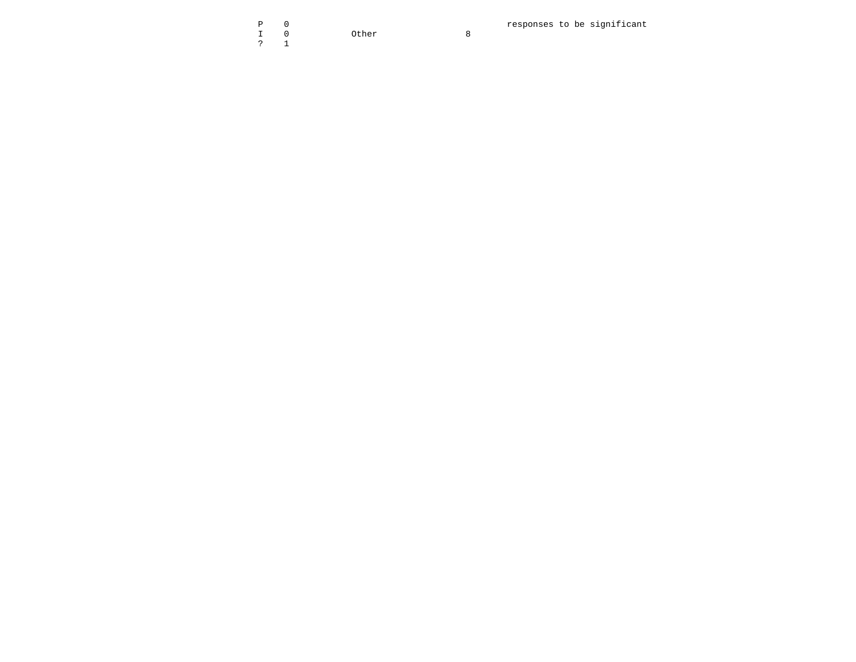|  |       |  | responses to be significant |
|--|-------|--|-----------------------------|
|  | Other |  |                             |
|  |       |  |                             |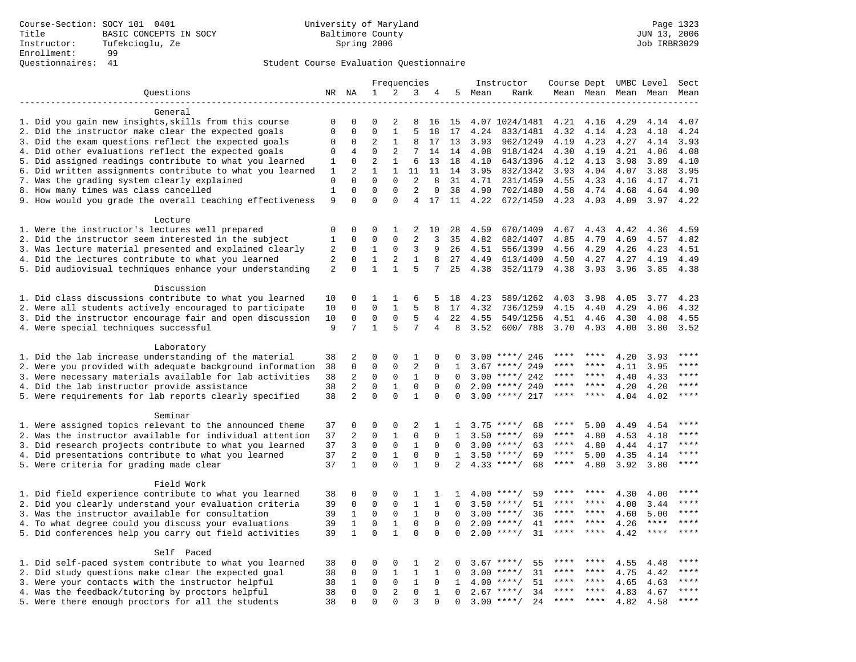|                                                           | Frequencies       |                         |                         | Instructor              | Course Dept UMBC Level |                   |              |        | Sect               |           |              |                     |             |              |
|-----------------------------------------------------------|-------------------|-------------------------|-------------------------|-------------------------|------------------------|-------------------|--------------|--------|--------------------|-----------|--------------|---------------------|-------------|--------------|
| Questions                                                 |                   |                         | 1                       | 2                       | 3                      | 4                 |              | 5 Mean | Rank               |           |              | Mean Mean Mean Mean |             | Mean         |
|                                                           |                   |                         |                         |                         |                        |                   |              |        |                    |           |              |                     |             |              |
| General                                                   |                   |                         |                         |                         |                        |                   |              |        |                    |           |              |                     |             |              |
| 1. Did you gain new insights, skills from this course     | $\mathbf 0$       | 0                       | $\Omega$                | 2                       | 8                      | 16                | 15           |        | 4.07 1024/1481     | 4.21      | 4.16         | 4.29                | 4.14        | 4.07         |
| 2. Did the instructor make clear the expected goals       | $\mathbf{0}$      | $\Omega$                | $\Omega$                | $\mathbf{1}$            | 5                      | 18                | 17           | 4.24   | 833/1481           | 4.32      | 4.14         | 4.23                | 4.18        | 4.24         |
| 3. Did the exam questions reflect the expected goals      | $\mathbf 0$       | $\Omega$                | $\overline{2}$          | $\mathbf{1}$            | 8                      | 17                | 13           | 3.93   | 962/1249           | 4.19      | 4.23         | 4.27                | 4.14        | 3.93         |
| 4. Did other evaluations reflect the expected goals       | 0                 | 4                       | $\Omega$                | 2                       | 7                      | 14                | 14           | 4.08   | 918/1424           | 4.30      | 4.19         | 4.21                | 4.06        | 4.08         |
| 5. Did assigned readings contribute to what you learned   | $\mathbf{1}$      | $\mathbf 0$             | $\overline{2}$          | $\mathbf{1}$            | 6                      | 13                | 18           | 4.10   | 643/1396           | 4.12      | 4.13         | 3.98                | 3.89        | 4.10         |
| 6. Did written assignments contribute to what you learned | 1                 | $\overline{a}$          | $\mathbf{1}$            | $\mathbf{1}$            | 11                     | 11                | 14           | 3.95   | 832/1342           | 3.93      | 4.04         | 4.07                | 3.88        | 3.95         |
| 7. Was the grading system clearly explained               | $\mathbf 0$       | $\Omega$                | $\Omega$                | $\Omega$                | 2                      | 8                 | 31           | 4.71   | 231/1459           | 4.55      | 4.33         | 4.16                | 4.17        | 4.71         |
| 8. How many times was class cancelled                     | $\mathbf{1}$<br>9 | $\mathbf 0$<br>$\Omega$ | $\mathbf 0$<br>$\Omega$ | $\mathbf 0$<br>$\Omega$ | 2<br>$\overline{4}$    | $\mathbf 0$<br>17 | 38<br>11     | 4.90   | 702/1480           | 4.58      | 4.74<br>4.03 | 4.68                | 4.64        | 4.90<br>4.22 |
| 9. How would you grade the overall teaching effectiveness |                   |                         |                         |                         |                        |                   |              | 4.22   | 672/1450           | 4.23      |              | 4.09                | 3.97        |              |
| Lecture                                                   |                   |                         |                         |                         |                        |                   |              |        |                    |           |              |                     |             |              |
| 1. Were the instructor's lectures well prepared           | $\mathbf 0$       | $\mathbf 0$             | 0                       | 1                       | 2                      | 10                | 28           | 4.59   | 670/1409           | 4.67      | 4.43         | 4.42                | 4.36        | 4.59         |
| 2. Did the instructor seem interested in the subject      | 1                 | $\mathbf 0$             | 0                       | $\mathbf 0$             | $\overline{2}$         | 3                 | 35           | 4.82   | 682/1407           | 4.85      | 4.79         | 4.69                | 4.57        | 4.82         |
| 3. Was lecture material presented and explained clearly   | $\sqrt{2}$        | 0                       | 1                       | 0                       | 3                      | 9                 | 26           | 4.51   | 556/1399           | 4.56      | 4.29         | 4.26                | 4.23        | 4.51         |
| 4. Did the lectures contribute to what you learned        | 2                 | $\Omega$                | 1                       | 2                       | $\mathbf{1}$           | 8                 | 27           | 4.49   | 613/1400           | 4.50      | 4.27         | 4.27                | 4.19        | 4.49         |
| 5. Did audiovisual techniques enhance your understanding  | 2                 | $\Omega$                | $\mathbf{1}$            | $\mathbf{1}$            | 5                      | 7                 | 25           | 4.38   | 352/1179           | 4.38      | 3.93         | 3.96                | 3.85        | 4.38         |
|                                                           |                   |                         |                         |                         |                        |                   |              |        |                    |           |              |                     |             |              |
| Discussion                                                |                   |                         |                         |                         |                        |                   |              |        |                    |           |              |                     |             |              |
| 1. Did class discussions contribute to what you learned   | 10                | $\mathbf 0$             | 1                       | 1                       | 6                      | 5                 | 18           | 4.23   | 589/1262           | 4.03      | 3.98         | 4.05                | 3.77        | 4.23         |
| 2. Were all students actively encouraged to participate   | 10                | $\mathbf 0$             | $\mathbf 0$             | $\mathbf{1}$            | 5                      | 8                 | 17           | 4.32   | 736/1259           | 4.15      | 4.40         | 4.29                | 4.06        | 4.32         |
| 3. Did the instructor encourage fair and open discussion  | 10                | 0                       | 0                       | $\mathbf 0$             | 5                      | 4                 | 22           | 4.55   | 549/1256           | 4.51      | 4.46         | 4.30                | 4.08        | 4.55         |
| 4. Were special techniques successful                     | 9                 | 7                       | $\mathbf{1}$            | 5                       | 7                      | 4                 | 8            | 3.52   | 600/788            | 3.70      | 4.03         | 4.00                | 3.80        | 3.52         |
|                                                           |                   |                         |                         |                         |                        |                   |              |        |                    |           |              |                     |             |              |
| Laboratory                                                |                   |                         |                         |                         |                        |                   |              |        |                    |           |              |                     |             |              |
| 1. Did the lab increase understanding of the material     | 38                | 2                       | 0                       | $\mathbf 0$             | 1                      | 0                 | 0            |        | $3.00$ ****/ 246   |           |              | 4.20                | 3.93        |              |
| 2. Were you provided with adequate background information | 38                | $\mathbf 0$             | 0                       | $\mathbf{0}$            | $\overline{2}$         | 0                 | 1            | 3.67   | ****/ 249          | ****      | ****         | 4.11                | 3.95        | ****         |
| 3. Were necessary materials available for lab activities  | 38                | 2                       | 0                       | $\mathbf 0$             | 1                      | $\mathbf 0$       | $\Omega$     | 3.00   | ****/ 242          | ****      | ****         | 4.40                | 4.33        | ****         |
| 4. Did the lab instructor provide assistance              | 38                | 2                       | $\mathbf 0$             | $\mathbf 1$             | $\mathbf 0$            | $\Omega$          | $\Omega$     | 2.00   | ****/ 240          | ****      | ****         | 4.20                | 4.20        | $***$        |
| 5. Were requirements for lab reports clearly specified    | 38                | 2                       | $\Omega$                | $\Omega$                | $\mathbf{1}$           | $\Omega$          | $\Omega$     |        | $3.00$ ****/ 217   | ****      | ****         | 4.04                | 4.02        | ****         |
| Seminar                                                   |                   |                         |                         |                         |                        |                   |              |        |                    |           |              |                     |             |              |
| 1. Were assigned topics relevant to the announced theme   | 37                | $\mathbf 0$             | 0                       | $\mathbf{0}$            | $\overline{2}$         | 1                 | 1            |        | $3.75$ ****/<br>68 | ****      | 5.00         | 4.49                | 4.54        | ****         |
| 2. Was the instructor available for individual attention  | 37                | 2                       | $\mathbf 0$             | $\mathbf{1}$            | $\mathbf 0$            | $\mathbf 0$       | $\mathbf{1}$ |        | $3.50$ ****/<br>69 | $***$ * * | 4.80         | 4.53                | 4.18        |              |
| 3. Did research projects contribute to what you learned   | 37                | 3                       | $\mathbf 0$             | $\mathbf 0$             | $\mathbf{1}$           | $\mathbf 0$       | 0            |        | $3.00$ ****/<br>63 | ****      | 4.80         | 4.44                | 4.17        | ****         |
| 4. Did presentations contribute to what you learned       | 37                | 2                       | $\mathbf 0$             | $\mathbf{1}$            | $\mathbf 0$            | $\mathbf 0$       | $\mathbf{1}$ |        | $3.50$ ****/<br>69 | $***$ * * | 5.00         | 4.35                | 4.14        | $***$        |
| 5. Were criteria for grading made clear                   | 37                | $\mathbf{1}$            | $\Omega$                | $\Omega$                | $\mathbf{1}$           | $\Omega$          | 2            |        | $4.33$ ****/<br>68 | ****      | 4.80         | 3.92                | 3.80        | $***$        |
|                                                           |                   |                         |                         |                         |                        |                   |              |        |                    |           |              |                     |             |              |
| Field Work                                                |                   |                         |                         |                         |                        |                   |              |        |                    |           |              |                     |             |              |
| 1. Did field experience contribute to what you learned    | 38                | $\mathbf 0$             | 0                       | 0                       | 1                      | 1                 | 1            |        | $4.00$ ****/<br>59 |           |              | 4.30                | 4.00        |              |
| 2. Did you clearly understand your evaluation criteria    | 39                | $\mathbf 0$             | $\mathbf 0$             | 0                       | 1                      | 1                 | $\Omega$     | 3.50   | $***$ /<br>51      | ****      | ****         | 4.00                | 3.44        | $***$        |
| 3. Was the instructor available for consultation          | 39                | 1                       | $\mathbf 0$             | $\mathbf 0$             | $\mathbf{1}$           | $\mathbf{0}$      | $\Omega$     |        | $3.00$ ****/<br>36 | ****      | ****         | 4.60                | 5.00        | ****         |
| 4. To what degree could you discuss your evaluations      | 39                | $\mathbf{1}$            | $\mathbf 0$             | $\mathbf{1}$            | $\mathbf 0$            | $\Omega$          | $\Omega$     | 2.00   | 41<br>$***$ /      | ****      | $***$ *      | 4.26                | ****        | ****         |
| 5. Did conferences help you carry out field activities    | 39                | $\mathbf{1}$            | $\Omega$                | $\mathbf{1}$            | $\Omega$               | $\Omega$          | $\Omega$     | 2.00   | 31<br>$***/$       | ****      | $***$ *      | 4.42                | $***$ * * * |              |
|                                                           |                   |                         |                         |                         |                        |                   |              |        |                    |           |              |                     |             |              |
| Self Paced                                                |                   |                         |                         |                         |                        |                   |              |        |                    |           |              |                     |             |              |
| 1. Did self-paced system contribute to what you learned   | 38                | $\mathbf 0$             | 0                       | 0                       | 1                      | 2                 | 0            | 3.67   | $***$ /<br>55      | ****      |              | 4.55                | 4.48        | $***$ * * *  |
| 2. Did study questions make clear the expected goal       | 38                | 0                       | $\mathbf 0$             | 1                       | $\mathbf{1}$           | $\mathbf{1}$      | 0            | 3.00   | $***/$<br>31       | ****      | ****         | 4.75                | 4.42        | ****         |
| 3. Were your contacts with the instructor helpful         | 38                | 1                       | $\mathbf 0$             | $\mathbf 0$             | 1                      | $\Omega$          | 1            | 4.00   | $***$ /<br>51      | ****      | ****         | 4.65                | 4.63        | ****         |
| 4. Was the feedback/tutoring by proctors helpful          | 38                | $\mathbf 0$             | $\mathbf 0$             | 2                       | $\mathbf 0$            | $\mathbf{1}$      | $\Omega$     |        | $2.67$ ****/<br>34 | ***       | * * * *      | 4.83                | 4.67        | ****         |
| 5. Were there enough proctors for all the students        | 38                | $\Omega$                | $\mathbf 0$             | $\Omega$                | 3                      | $\Omega$          | $\Omega$     |        | $3.00$ ****/<br>24 | $***$ * * | $***$        | 4.82                | 4.58        | $***$        |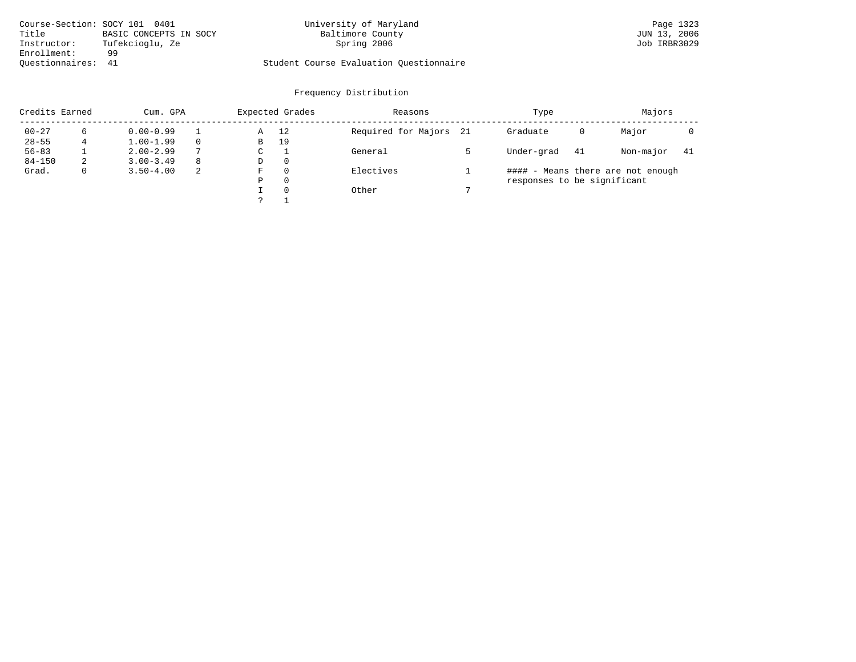| Course-Section: SOCY 101 0401 |                        | University of Maryland                  | Page 1323    |
|-------------------------------|------------------------|-----------------------------------------|--------------|
| Title                         | BASIC CONCEPTS IN SOCY | Baltimore County                        | JUN 13, 2006 |
| Instructor:                   | Tufekcioglu, Ze        | Spring 2006                             | Job IRBR3029 |
| Enrollment:                   | 99                     |                                         |              |
| Ouestionnaires: 41            |                        | Student Course Evaluation Questionnaire |              |

|            | Credits Earned<br>Cum. GPA |               |               |   | Expected Grades | Reasons             |      | Type                        |    | Majors                            |    |
|------------|----------------------------|---------------|---------------|---|-----------------|---------------------|------|-----------------------------|----|-----------------------------------|----|
| $00 - 27$  | 6                          | $0.00 - 0.99$ |               | Α | 12              | Required for Majors | - 21 | Graduate                    | 0  | Major                             |    |
| $28 - 55$  |                            | $1.00 - 1.99$ |               | В | 19              |                     |      |                             |    |                                   |    |
| $56 - 83$  |                            | $2.00 - 2.99$ | $\mathcal{L}$ | C |                 | General             |      | Under-grad                  | 41 | Non-major                         | 41 |
| $84 - 150$ | 2                          | $3.00 - 3.49$ | -8            | D | $\Omega$        |                     |      |                             |    |                                   |    |
| Grad.      | $\mathbf{0}$               | $3.50 - 4.00$ | -2            | F | $\Omega$        | Electives           |      |                             |    | #### - Means there are not enough |    |
|            |                            |               |               | Ρ | $\Omega$        |                     |      | responses to be significant |    |                                   |    |
|            |                            |               |               |   | $\Omega$        | Other               |      |                             |    |                                   |    |
|            |                            |               |               |   |                 |                     |      |                             |    |                                   |    |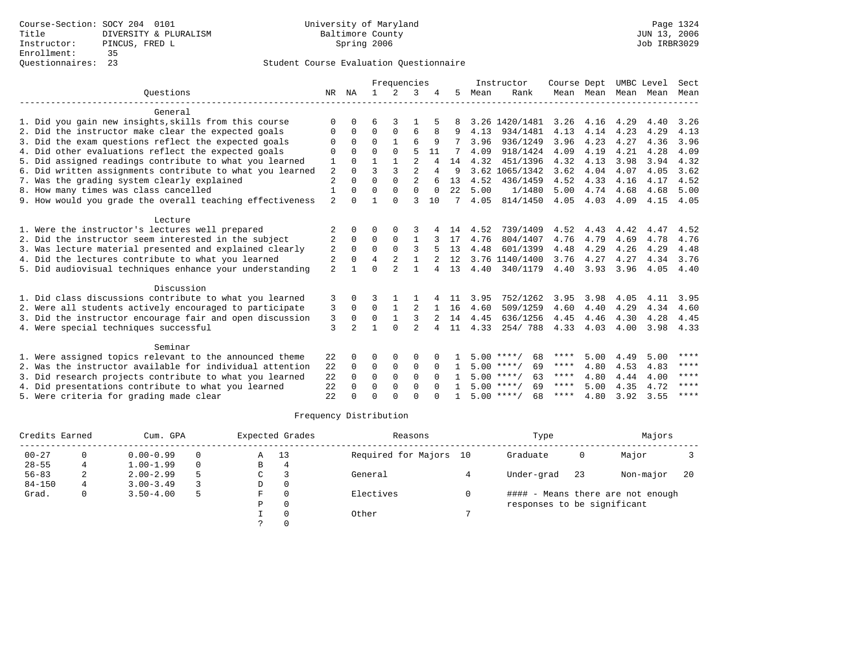|                                                           |                |                |              | Frequencies    |                |              |              |      | Instructor         | Course Dept |           |      | UMBC Level | Sect        |
|-----------------------------------------------------------|----------------|----------------|--------------|----------------|----------------|--------------|--------------|------|--------------------|-------------|-----------|------|------------|-------------|
| Ouestions                                                 | NR             | ΝA             |              | $2^{1}$        | 3              |              | 5            | Mean | Rank               |             | Mean Mean |      | Mean Mean  | Mean        |
| General                                                   |                |                |              |                |                |              |              |      |                    |             |           |      |            |             |
| 1. Did you gain new insights, skills from this course     | $\Omega$       | $\Omega$       | б            | 3              |                |              |              |      | 3.26 1420/1481     | 3.26        | 4.16      | 4.29 | 4.40       | 3.26        |
| 2. Did the instructor make clear the expected goals       | $\Omega$       | $\Omega$       | $\Omega$     | $\Omega$       | 6              | 8            | 9            | 4.13 | 934/1481           | 4.13        | 4.14      | 4.23 | 4.29       | 4.13        |
| 3. Did the exam questions reflect the expected goals      | $\Omega$       | $\Omega$       | $\Omega$     | $\mathbf{1}$   | 6              | 9            |              | 3.96 | 936/1249           | 3.96        | 4.23      | 4.27 | 4.36       | 3.96        |
| 4. Did other evaluations reflect the expected goals       | $\Omega$       | $\Omega$       | U            | $\Omega$       | 5              | 11           |              | 4.09 | 918/1424           | 4.09        | 4.19      | 4.21 | 4.28       | 4.09        |
| 5. Did assigned readings contribute to what you learned   | 1              | $\Omega$       | $\mathbf{1}$ | $\mathbf{1}$   | $\overline{2}$ | 4            | 14           | 4.32 | 451/1396           | 4.32        | 4.13      | 3.98 | 3.94       | 4.32        |
| 6. Did written assignments contribute to what you learned | 2              | $\Omega$       | 3            | $\overline{3}$ | $\overline{2}$ | 4            | <sup>9</sup> |      | 3.62 1065/1342     | 3.62        | 4.04      | 4.07 | 4.05       | 3.62        |
| 7. Was the grading system clearly explained               | $\overline{2}$ | $\Omega$       | $\Omega$     | $\Omega$       | $\overline{a}$ |              | 13           | 4.52 | 436/1459           | 4.52        | 4.33      | 4.16 | 4.17       | 4.52        |
| 8. How many times was class cancelled                     | $\mathbf{1}$   | $\Omega$       | $\Omega$     | $\Omega$       | $\Omega$       | $\Omega$     | 22           | 5.00 | 1/1480             | 5.00        | 4.74      | 4.68 | 4.68       | 5.00        |
| 9. How would you grade the overall teaching effectiveness | $\overline{a}$ | $\Omega$       |              | $\cap$         | ζ              | 10           | 7            | 4.05 | 814/1450           | 4.05        | 4.03      | 4.09 | 4.15       | 4.05        |
| Lecture                                                   |                |                |              |                |                |              |              |      |                    |             |           |      |            |             |
| 1. Were the instructor's lectures well prepared           |                | $\Omega$       | U            | O              | 3              |              | 14           | 4.52 | 739/1409           | 4.52        | 4.43      | 4.42 | 4.47       | 4.52        |
| 2. Did the instructor seem interested in the subject      | 2              | $\Omega$       | $\Omega$     | $\Omega$       | $\mathbf{1}$   | 3            | 17           | 4.76 | 804/1407           | 4.76        | 4.79      | 4.69 | 4.78       | 4.76        |
| 3. Was lecture material presented and explained clearly   | 2              | 0              | $\mathbf 0$  | $\Omega$       | 3              |              | 13           | 4.48 | 601/1399           | 4.48        | 4.29      | 4.26 | 4.29       | 4.48        |
| 4. Did the lectures contribute to what you learned        | 2              | $\Omega$       | 4            |                | $\mathbf{1}$   |              | 12           |      | 3.76 1140/1400     | 3.76        | 4.27      | 4.27 | 4.34       | 3.76        |
| 5. Did audiovisual techniques enhance your understanding  | $\overline{2}$ | $\mathbf{1}$   | U            | $\mathfrak{D}$ | $\mathbf{1}$   | 4            | 13           | 4.40 | 340/1179           | 4.40        | 3.93      | 3.96 | 4.05       | 4.40        |
| Discussion                                                |                |                |              |                |                |              |              |      |                    |             |           |      |            |             |
| 1. Did class discussions contribute to what you learned   | 3              | $\Omega$       | κ            |                |                |              | 11           | 3.95 | 752/1262           | 3.95        | 3.98      | 4.05 | 4.11       | 3.95        |
| 2. Were all students actively encouraged to participate   | 3              | $\Omega$       | $\Omega$     | $\mathbf{1}$   | 2              | $\mathbf{1}$ | 16           | 4.60 | 509/1259           | 4.60        | 4.40      | 4.29 | 4.34       | 4.60        |
| 3. Did the instructor encourage fair and open discussion  | 3              | 0              | 0            | $\mathbf{1}$   | ς              |              | 14           | 4.45 | 636/1256           | 4.45        | 4.46      | 4.30 | 4.28       | 4.45        |
| 4. Were special techniques successful                     | 3              | $\overline{a}$ | 1            | $\cap$         | $\overline{2}$ | 4            | 11           | 4.33 | 254/788            | 4.33        | 4.03      | 4.00 | 3.98       | 4.33        |
| Seminar                                                   |                |                |              |                |                |              |              |      |                    |             |           |      |            |             |
| 1. Were assigned topics relevant to the announced theme   | 22             | $\Omega$       | 0            | $\Omega$       | $\Omega$       |              |              |      | $5.00$ ****/<br>68 | ****        | 5.00      | 4.49 | 5.00       | ****        |
| 2. Was the instructor available for individual attention  | 22             | $\Omega$       | $\Omega$     | $\Omega$       | $\Omega$       | $\Omega$     | $\mathbf{1}$ |      | $5.00$ ****/<br>69 | ****        | 4.80      | 4.53 | 4.83       | ****        |
| 3. Did research projects contribute to what you learned   | 22             | $\Omega$       | $\mathbf 0$  | $\Omega$       | $\Omega$       | $\Omega$     |              |      | $5.00$ ****/<br>63 | ****        | 4.80      | 4.44 | 4.00       | $***$ * * * |
| 4. Did presentations contribute to what you learned       | 22             | $\Omega$       | $\Omega$     | $\Omega$       | $\Omega$       | $\cap$       | $\mathbf{1}$ |      | $5.00$ ****/<br>69 | ****        | 5.00      | 4.35 | 4.72       | ****        |
| 5. Were criteria for grading made clear                   | 22             |                | U            | U              | $\cap$         |              |              |      | $5.00$ ****/<br>68 | ****        | 4.80      | 3.92 | 3.55       | ****        |

| Credits Earned |   | Cum. GPA      |          |   | Expected Grades | Reasons             |    | Type                        |    | Majors                            |    |
|----------------|---|---------------|----------|---|-----------------|---------------------|----|-----------------------------|----|-----------------------------------|----|
| $00 - 27$      |   | $0.00 - 0.99$ | $\Omega$ | Α | 13              | Required for Majors | 10 | Graduate                    | 0  | Major                             |    |
| $28 - 55$      |   | $1.00 - 1.99$ | $\Omega$ | В | 4               |                     |    |                             |    |                                   |    |
| $56 - 83$      | ∠ | $2.00 - 2.99$ |          | С |                 | General             |    | Under-grad                  | 23 | Non-major                         | 20 |
| $84 - 150$     |   | $3.00 - 3.49$ |          | D |                 |                     |    |                             |    |                                   |    |
| Grad.          | 0 | $3.50 - 4.00$ | 5        | F |                 | Electives           |    |                             |    | #### - Means there are not enough |    |
|                |   |               |          | D |                 |                     |    | responses to be significant |    |                                   |    |
|                |   |               |          |   |                 | Other               |    |                             |    |                                   |    |
|                |   |               |          |   |                 |                     |    |                             |    |                                   |    |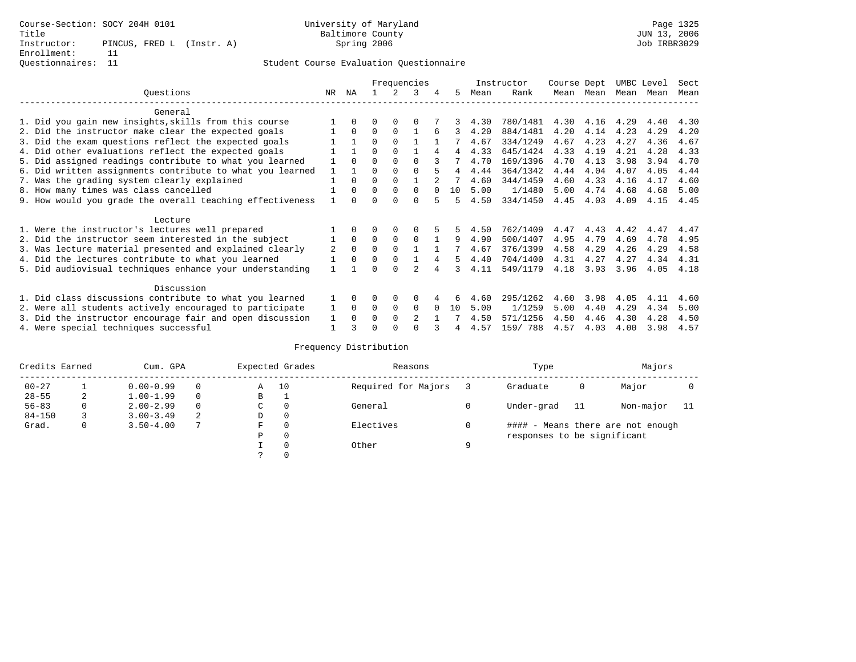|                                                           |     |          |          |             | Frequencies    |   |    |      | Instructor | Course Dept |      | UMBC Level |      | Sect |
|-----------------------------------------------------------|-----|----------|----------|-------------|----------------|---|----|------|------------|-------------|------|------------|------|------|
| Questions                                                 | NR. | ΝA       |          |             | 3              | 4 | 5. | Mean | Rank       | Mean        | Mean | Mean       | Mean | Mean |
| General                                                   |     |          |          |             |                |   |    |      |            |             |      |            |      |      |
| 1. Did you gain new insights, skills from this course     |     | $\Omega$ | U        | $\Omega$    | O              |   |    | 4.30 | 780/1481   | 4.30        | 4.16 | 4.29       | 4.40 | 4.30 |
| 2. Did the instructor make clear the expected goals       |     | $\Omega$ | $\Omega$ | $\Omega$    |                | 6 |    | 4.20 | 884/1481   | 4.20        | 4.14 | 4.23       | 4.29 | 4.20 |
| 3. Did the exam questions reflect the expected goals      |     |          | $\Omega$ | $\Omega$    |                |   |    | 4.67 | 334/1249   | 4.67        | 4.23 | 4.27       | 4.36 | 4.67 |
| 4. Did other evaluations reflect the expected goals       |     |          | 0        | $\Omega$    |                | 4 | 4  | 4.33 | 645/1424   | 4.33        | 4.19 | 4.21       | 4.28 | 4.33 |
| 5. Did assigned readings contribute to what you learned   |     | $\Omega$ | 0        | $\Omega$    | $\Omega$       |   |    | 4.70 | 169/1396   | 4.70        | 4.13 | 3.98       | 3.94 | 4.70 |
| 6. Did written assignments contribute to what you learned |     |          | U        |             |                |   | 4  | 4.44 | 364/1342   | 4.44        | 4.04 | 4.07       | 4.05 | 4.44 |
| 7. Was the grading system clearly explained               |     | $\Omega$ | U        | $\Omega$    |                |   |    | 4.60 | 344/1459   | 4.60        | 4.33 | 4.16       | 4.17 | 4.60 |
| 8. How many times was class cancelled                     |     | $\Omega$ | $\Omega$ | $\Omega$    | 0              |   | 10 | 5.00 | 1/1480     | 5.00        | 4.74 | 4.68       | 4.68 | 5.00 |
| 9. How would you grade the overall teaching effectiveness |     |          |          | U           | U              |   | 5  | 4.50 | 334/1450   | 4.45        | 4.03 | 4.09       | 4.15 | 4.45 |
| Lecture                                                   |     |          |          |             |                |   |    |      |            |             |      |            |      |      |
| 1. Were the instructor's lectures well prepared           |     |          |          |             |                |   |    | 4.50 | 762/1409   | 4.47        | 4.43 | 4.42       | 4.47 | 4.47 |
| 2. Did the instructor seem interested in the subject      |     | $\Omega$ | $\Omega$ | $\mathbf 0$ | $\Omega$       |   | 9  | 4.90 | 500/1407   | 4.95        | 4.79 | 4.69       | 4.78 | 4.95 |
| 3. Was lecture material presented and explained clearly   | 2   | $\Omega$ | 0        | $\Omega$    |                |   |    | 4.67 | 376/1399   | 4.58        | 4.29 | 4.26       | 4.29 | 4.58 |
| 4. Did the lectures contribute to what you learned        |     | $\Omega$ | $\Omega$ | $\Omega$    |                |   | 5  | 4.40 | 704/1400   | 4.31        | 4.27 | 4.27       | 4.34 | 4.31 |
| 5. Did audiovisual techniques enhance your understanding  |     |          |          | $\cap$      |                |   |    | 4.11 | 549/1179   | 4.18        | 3.93 | 3.96       | 4.05 | 4.18 |
| Discussion                                                |     |          |          |             |                |   |    |      |            |             |      |            |      |      |
| 1. Did class discussions contribute to what you learned   |     | $\Omega$ | O        | $\Omega$    | O              |   | 6  | 4.60 | 295/1262   | 4.60        | 3.98 | 4.05       | 4.11 | 4.60 |
| 2. Were all students actively encouraged to participate   |     | $\Omega$ | $\Omega$ | 0           | $\Omega$       |   | 10 | 5.00 | 1/1259     | 5.00        | 4.40 | 4.29       | 4.34 | 5.00 |
| 3. Did the instructor encourage fair and open discussion  | 1   | $\Omega$ | U        | $\Omega$    | $\mathfrak{D}$ |   |    | 4.50 | 571/1256   | 4.50        | 4.46 | 4.30       | 4.28 | 4.50 |
| 4. Were special techniques successful                     |     |          |          |             |                |   |    | 4.57 | 159/788    | 4.57        | 4.03 | 4.00       | 3.98 | 4.57 |

| Credits Earned |          | Cum. GPA      |   |   | Expected Grades | Reasons             |   | Type                        |    | Majors                            |  |
|----------------|----------|---------------|---|---|-----------------|---------------------|---|-----------------------------|----|-----------------------------------|--|
| $00 - 27$      |          | $0.00 - 0.99$ |   | Α | 10              | Required for Majors |   | Graduate                    | 0  | Major                             |  |
| $28 - 55$      | 2        | $1.00 - 1.99$ |   | B | <b>.</b>        |                     |   |                             |    |                                   |  |
| $56 - 83$      | $\Omega$ | $2.00 - 2.99$ |   | C | 0               | General             |   | Under-grad                  | 11 | Non-major                         |  |
| $84 - 150$     |          | $3.00 - 3.49$ | 2 | D | 0               |                     |   |                             |    |                                   |  |
| Grad.          | 0        | $3.50 - 4.00$ |   | F | 0               | Electives           |   |                             |    | #### - Means there are not enough |  |
|                |          |               |   | Ρ | 0               |                     |   | responses to be significant |    |                                   |  |
|                |          |               |   |   | $\Omega$        | Other               | Q |                             |    |                                   |  |
|                |          |               |   |   |                 |                     |   |                             |    |                                   |  |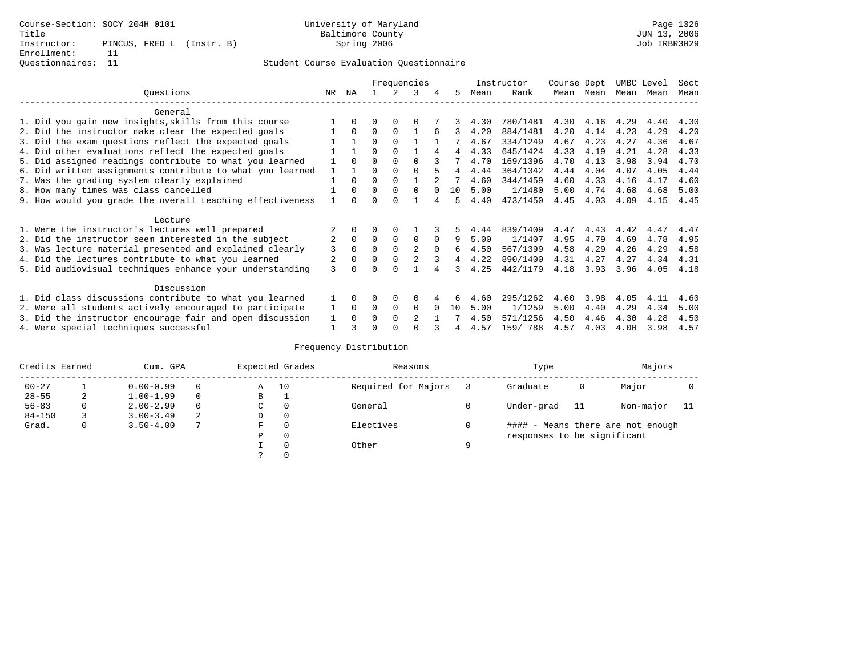|                                                           |                |              |          |          | Frequencies |          |                |      | Instructor | Course Dept |      | UMBC Level |      | Sect |
|-----------------------------------------------------------|----------------|--------------|----------|----------|-------------|----------|----------------|------|------------|-------------|------|------------|------|------|
| Ouestions                                                 | NR.            | ΝA           |          |          | 3           |          | 5.             | Mean | Rank       | Mean        | Mean | Mean       | Mean | Mean |
| General                                                   |                |              |          |          |             |          |                |      |            |             |      |            |      |      |
| 1. Did you gain new insights, skills from this course     |                | $\Omega$     | O        | $\Omega$ | $\Omega$    |          |                | 4.30 | 780/1481   | 4.30        | 4.16 | 4.29       | 4.40 | 4.30 |
| 2. Did the instructor make clear the expected goals       |                | $\Omega$     | $\Omega$ | $\Omega$ |             | 6        | 3              | 4.20 | 884/1481   | 4.20        | 4.14 | 4.23       | 4.29 | 4.20 |
| 3. Did the exam questions reflect the expected goals      |                |              | $\Omega$ | $\Omega$ |             |          |                | 4.67 | 334/1249   | 4.67        | 4.23 | 4.27       | 4.36 | 4.67 |
| 4. Did other evaluations reflect the expected goals       |                |              | $\Omega$ | $\Omega$ |             | 4        | 4              | 4.33 | 645/1424   | 4.33        | 4.19 | 4.21       | 4.28 | 4.33 |
| 5. Did assigned readings contribute to what you learned   |                | $\Omega$     | $\Omega$ |          | $\Omega$    |          |                | 4.70 | 169/1396   | 4.70        | 4.13 | 3.98       | 3.94 | 4.70 |
| 6. Did written assignments contribute to what you learned | 1              |              |          |          |             |          | $\overline{4}$ | 4.44 | 364/1342   | 4.44        | 4.04 | 4.07       | 4.05 | 4.44 |
| 7. Was the grading system clearly explained               |                | $\Omega$     | $\Omega$ | $\Omega$ |             |          |                | 4.60 | 344/1459   | 4.60        | 4.33 | 4.16       | 4.17 | 4.60 |
| 8. How many times was class cancelled                     |                | $\Omega$     | $\Omega$ | $\Omega$ | $\Omega$    | $\cap$   | 10             | 5.00 | 1/1480     | 5.00        | 4.74 | 4.68       | 4.68 | 5.00 |
| 9. How would you grade the overall teaching effectiveness |                | <sup>n</sup> | ∩        | ∩        |             |          | 5              | 4.40 | 473/1450   | 4.45        | 4.03 | 4.09       | 4.15 | 4.45 |
| Lecture                                                   |                |              |          |          |             |          |                |      |            |             |      |            |      |      |
| 1. Were the instructor's lectures well prepared           |                |              |          |          |             |          |                | 4.44 | 839/1409   | 4.47        | 4.43 | 4.42       | 4.47 | 4.47 |
| 2. Did the instructor seem interested in the subject      | $\overline{2}$ | $\Omega$     | $\Omega$ | $\Omega$ | $\mathbf 0$ | $\Omega$ | 9              | 5.00 | 1/1407     | 4.95        | 4.79 | 4.69       | 4.78 | 4.95 |
| 3. Was lecture material presented and explained clearly   | 3              | $\Omega$     | $\Omega$ | $\Omega$ | 2           | $\Omega$ | б.             | 4.50 | 567/1399   | 4.58        | 4.29 | 4.26       | 4.29 | 4.58 |
| 4. Did the lectures contribute to what you learned        |                | $\Omega$     | $\Omega$ | $\Omega$ |             |          | 4              | 4.22 | 890/1400   | 4.31        | 4.27 | 4.27       | 4.34 | 4.31 |
| 5. Did audiovisual techniques enhance your understanding  | 3              |              |          |          |             |          | ર              | 4.25 | 442/1179   | 4.18        | 3.93 | 3.96       | 4.05 | 4.18 |
| Discussion                                                |                |              |          |          |             |          |                |      |            |             |      |            |      |      |
| 1. Did class discussions contribute to what you learned   |                | $\Omega$     | 0        | $\Omega$ | $\Omega$    |          | 6              | 4.60 | 295/1262   | 4.60        | 3.98 | 4.05       | 4.11 | 4.60 |
| 2. Were all students actively encouraged to participate   |                | $\Omega$     | $\Omega$ | 0        | $\Omega$    |          | 10             | 5.00 | 1/1259     | 5.00        | 4.40 | 4.29       | 4.34 | 5.00 |
| 3. Did the instructor encourage fair and open discussion  | 1              | $\Omega$     | O        | $\Omega$ | 2           |          |                | 4.50 | 571/1256   | 4.50        | 4.46 | 4.30       | 4.28 | 4.50 |
| 4. Were special techniques successful                     |                |              |          |          |             |          |                | 4.57 | 159/788    | 4.57        | 4.03 | 4.00       | 3.98 | 4.57 |

| Credits Earned |          | Cum. GPA      |   |   | Expected Grades | Reasons             |   | Type                        |    | Majors                            |  |
|----------------|----------|---------------|---|---|-----------------|---------------------|---|-----------------------------|----|-----------------------------------|--|
| $00 - 27$      |          | $0.00 - 0.99$ |   | Α | 10              | Required for Majors |   | Graduate                    | 0  | Major                             |  |
| $28 - 55$      | 2        | $1.00 - 1.99$ |   | B | <b>.</b>        |                     |   |                             |    |                                   |  |
| $56 - 83$      | $\Omega$ | $2.00 - 2.99$ |   | C | 0               | General             |   | Under-grad                  | 11 | Non-major                         |  |
| $84 - 150$     |          | $3.00 - 3.49$ | 2 | D | 0               |                     |   |                             |    |                                   |  |
| Grad.          | 0        | $3.50 - 4.00$ |   | F | 0               | Electives           |   |                             |    | #### - Means there are not enough |  |
|                |          |               |   | Ρ | 0               |                     |   | responses to be significant |    |                                   |  |
|                |          |               |   |   | $\Omega$        | Other               | Q |                             |    |                                   |  |
|                |          |               |   |   |                 |                     |   |                             |    |                                   |  |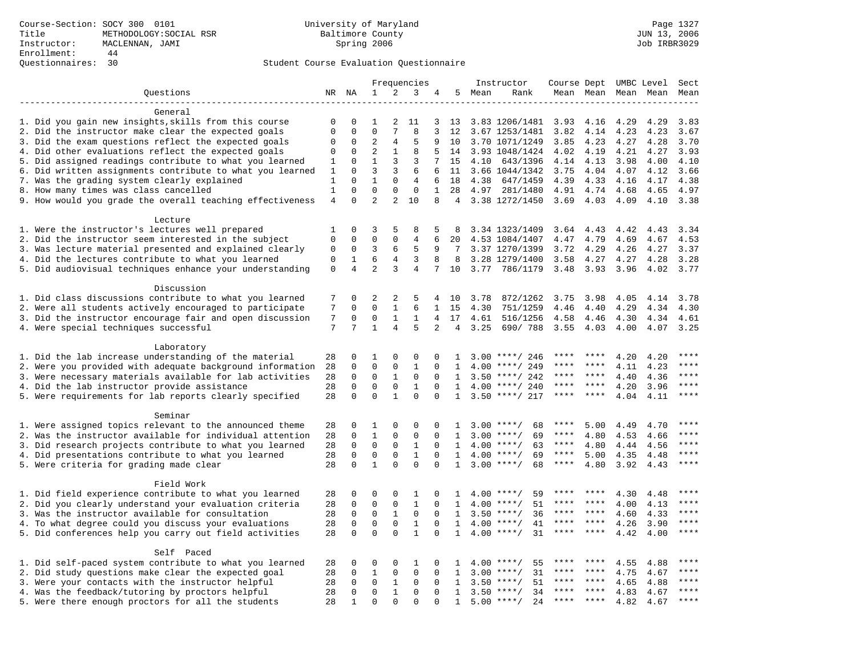|                                                                                      |                   |                         |                   |                | Frequencies                |                   |                 |        | Instructor                 | Course Dept UMBC Level |              |                     |              | Sect                   |
|--------------------------------------------------------------------------------------|-------------------|-------------------------|-------------------|----------------|----------------------------|-------------------|-----------------|--------|----------------------------|------------------------|--------------|---------------------|--------------|------------------------|
| Ouestions                                                                            |                   | NR NA                   | 1                 | 2              | 3                          | 4                 |                 | 5 Mean | Rank                       |                        |              | Mean Mean Mean Mean |              | Mean                   |
|                                                                                      |                   |                         |                   |                |                            |                   |                 |        |                            |                        |              |                     |              |                        |
| General                                                                              |                   |                         |                   |                |                            |                   |                 |        |                            |                        |              |                     |              |                        |
| 1. Did you gain new insights, skills from this course                                | $\mathbf 0$       | $\mathbf 0$             | 1                 | 2              | 11                         | 3                 | 13              |        | 3.83 1206/1481             | 3.93                   | 4.16         | 4.29                | 4.29         | 3.83                   |
| 2. Did the instructor make clear the expected goals                                  | $\mathbf{0}$      | $\Omega$                | $\Omega$          | 7              | 8                          | 3                 | 12              |        | 3.67 1253/1481             | 3.82                   | 4.14         | 4.23                | 4.23         | 3.67                   |
| 3. Did the exam questions reflect the expected goals                                 | 0                 | $\mathbf 0$             | 2                 | $\overline{4}$ | 5                          | 9                 | 10              |        | 3.70 1071/1249             | 3.85                   | 4.23         | 4.27                | 4.28         | 3.70                   |
| 4. Did other evaluations reflect the expected goals                                  | $\mathbf 0$       | $\mathbf 0$             | $\overline{2}$    | 1              | 8                          | 5                 | 14              |        | 3.93 1048/1424             | 4.02                   | 4.19         | 4.21                | 4.27         | 3.93                   |
| 5. Did assigned readings contribute to what you learned                              | 1                 | $\mathbf{0}$            | $\mathbf 1$       | 3              | 3                          | 7                 | 15              | 4.10   | 643/1396                   | 4.14                   | 4.13         | 3.98                | 4.00         | 4.10                   |
| 6. Did written assignments contribute to what you learned                            | 1                 | $\mathbf 0$<br>$\Omega$ | 3<br>$\mathbf{1}$ | 3<br>$\Omega$  | 6                          | 6                 | 11              |        | 3.66 1044/1342             | 3.75                   | 4.04         | 4.07                | 4.12         | 3.66                   |
| 7. Was the grading system clearly explained<br>8. How many times was class cancelled | 1<br>$\mathbf{1}$ | $\Omega$                | $\Omega$          | $\Omega$       | $\overline{4}$<br>$\Omega$ | 6<br>$\mathbf{1}$ | 18<br>2.8       | 4.38   | 647/1459                   | 4.39                   | 4.33         | 4.16                | 4.17         | 4.38<br>4.97           |
| 9. How would you grade the overall teaching effectiveness                            | $\overline{4}$    | $\Omega$                | $\overline{a}$    | 2              | 10                         | 8                 | $4\overline{ }$ | 4.97   | 281/1480<br>3.38 1272/1450 | 4.91<br>3.69           | 4.74<br>4.03 | 4.68<br>4.09        | 4.65<br>4.10 | 3.38                   |
|                                                                                      |                   |                         |                   |                |                            |                   |                 |        |                            |                        |              |                     |              |                        |
| Lecture                                                                              |                   |                         |                   |                |                            |                   |                 |        |                            |                        |              |                     |              |                        |
| 1. Were the instructor's lectures well prepared                                      | 1                 | $\Omega$                | 3                 | 5              | 8                          | 5                 | 8               |        | 3.34 1323/1409             | 3.64 4.43              |              | 4.42                | 4.43         | 3.34                   |
| 2. Did the instructor seem interested in the subject                                 | $\mathbf{0}$      | $\mathbf 0$             | $\mathbf 0$       | $\Omega$       | $\overline{4}$             | 6                 | 20              |        | 4.53 1084/1407             | 4.47                   | 4.79         | 4.69                | 4.67         | 4.53                   |
| 3. Was lecture material presented and explained clearly                              | 0                 | $\mathbf 0$             | 3                 | 6              | 5                          | 9                 | -7              |        | 3.37 1270/1399             | 3.72                   | 4.29         | 4.26                | 4.27         | 3.37                   |
| 4. Did the lectures contribute to what you learned                                   | $\mathbf 0$       | $\mathbf{1}$            | 6                 | $\overline{4}$ | 3                          | 8                 | 8               |        | 3.28 1279/1400             | 3.58                   | 4.27         | 4.27                | 4.28         | 3.28                   |
| 5. Did audiovisual techniques enhance your understanding                             | $\mathbf 0$       | $\overline{4}$          | $\overline{a}$    | 3              | 4                          | 7                 | 10              | 3.77   | 786/1179                   | 3.48                   | 3.93         | 3.96                | 4.02         | 3.77                   |
|                                                                                      |                   |                         |                   |                |                            |                   |                 |        |                            |                        |              |                     |              |                        |
| Discussion                                                                           |                   |                         |                   |                |                            |                   |                 |        |                            |                        |              |                     |              |                        |
| 1. Did class discussions contribute to what you learned                              | 7                 | $\Omega$                | 2                 | 2              | 5                          | 4                 | 10              | 3.78   | 872/1262                   | 3.75                   | 3.98         | 4.05                | 4.14         | 3.78                   |
| 2. Were all students actively encouraged to participate                              | 7                 | $\mathbf 0$             | $\mathbf 0$       | $\mathbf{1}$   | 6                          | $\mathbf{1}$      | 15              | 4.30   | 751/1259                   | 4.46                   | 4.40         | 4.29                | 4.34         | 4.30                   |
| 3. Did the instructor encourage fair and open discussion                             | 7                 | 0                       | 0                 | $\mathbf{1}$   | 1                          | 4                 | 17              | 4.61   | 516/1256                   | 4.58                   | 4.46         | 4.30                | 4.34         | 4.61                   |
| 4. Were special techniques successful                                                | 7                 | 7                       | $\mathbf{1}$      | $\overline{4}$ | 5                          | $\overline{2}$    | 4               | 3.25   | 690/788                    | 3.55                   | 4.03         | 4.00                | 4.07         | 3.25                   |
|                                                                                      |                   |                         |                   |                |                            |                   |                 |        |                            |                        |              |                     |              |                        |
| Laboratory                                                                           |                   |                         |                   |                |                            |                   |                 |        |                            |                        |              |                     |              |                        |
| 1. Did the lab increase understanding of the material                                | 28                | 0                       | 1                 | 0              | 0                          | 0                 | 1               |        | $3.00$ ****/ 246           |                        |              | 4.20                | 4.20         |                        |
| 2. Were you provided with adequate background information                            | 28                | $\mathbf 0$             | $\mathbf 0$       | $\mathbf{0}$   | $\mathbf{1}$               | 0                 | 1               | 4.00   | ****/ 249                  | ****                   | ****         | 4.11                | 4.23         | ****                   |
| 3. Were necessary materials available for lab activities                             | 28                | 0                       | $\mathbf 0$       | 1              | $\mathbf 0$                | $\Omega$          | 1               |        | $3.50$ ****/ 242           | ****                   | ****         | 4.40                | 4.36         | ****                   |
| 4. Did the lab instructor provide assistance                                         | 28                | $\Omega$                | $\Omega$          | $\mathbf 0$    | $\mathbf{1}$               | $\Omega$          | $\mathbf{1}$    |        | $4.00$ ****/ 240           | ****                   | ****         | 4.20                | 3.96         | $***$                  |
| 5. Were requirements for lab reports clearly specified                               | 28                | $\Omega$                | $\Omega$          | $\mathbf{1}$   | $\Omega$                   | $\Omega$          | $\mathbf{1}$    |        | $3.50$ ****/ 217           | ****                   | ****         | 4.04                | 4.11         | $* * * *$              |
| Seminar                                                                              |                   |                         |                   |                |                            |                   |                 |        |                            |                        |              |                     |              |                        |
| 1. Were assigned topics relevant to the announced theme                              | 28                | 0                       | 1                 | 0              | $\Omega$                   | 0                 | 1               |        | $3.00$ ****/<br>68         | ****                   | 5.00         | 4.49                | 4.70         | $***$                  |
| 2. Was the instructor available for individual attention                             | 28                | 0                       | $\mathbf{1}$      | $\mathbf 0$    | 0                          | 0                 | 1               |        | $3.00$ ****/<br>69         | ****                   | 4.80         | 4.53                | 4.66         |                        |
| 3. Did research projects contribute to what you learned                              | 28                | $\mathbf 0$             | $\mathbf 0$       | $\mathbf{0}$   | $\mathbf{1}$               | $\Omega$          | 1               |        | $4.00$ ****/<br>63         | ****                   | 4.80         | 4.44                | 4.56         | ****                   |
| 4. Did presentations contribute to what you learned                                  | 28                | $\Omega$                | $\mathbf 0$       | $\mathbf 0$    | $\mathbf{1}$               | $\Omega$          | $\mathbf{1}$    |        | $4.00$ ****/<br>69         | $***$ * *              | 5.00         | 4.35                | 4.48         | $***$                  |
| 5. Were criteria for grading made clear                                              | 28                | $\mathbf 0$             | $\mathbf{1}$      | $\Omega$       | $\Omega$                   | $\Omega$          | 1               |        | $3.00$ ****/<br>68         | $***$ * * *            | 4.80         | 3.92                | 4.43         | ****                   |
|                                                                                      |                   |                         |                   |                |                            |                   |                 |        |                            |                        |              |                     |              |                        |
| Field Work                                                                           |                   |                         |                   |                |                            |                   |                 |        |                            |                        |              |                     |              |                        |
| 1. Did field experience contribute to what you learned                               | 28                | $\mathbf 0$             | 0                 | 0              | 1                          | 0                 | 1.              |        | $4.00$ ****/<br>59         |                        |              | 4.30                | 4.48         |                        |
| 2. Did you clearly understand your evaluation criteria                               | 28                | $\Omega$                | $\mathbf 0$       | $\Omega$       | $\mathbf{1}$               | $\Omega$          | $\mathbf{1}$    | 4.00   | 51<br>$***$ /              | ****                   | ****         | 4.00                | 4.13         | ****                   |
| 3. Was the instructor available for consultation                                     | 28                | $\mathbf 0$             | 0                 | $\mathbf{1}$   | $\mathbf 0$                | $\Omega$          | $\mathbf{1}$    | 3.50   | $***/$<br>36               | ****                   | ****         | 4.60                | 4.33         | ****                   |
| 4. To what degree could you discuss your evaluations                                 | 28                | $\mathbf 0$             | $\mathbf 0$       | $\mathbf 0$    | $1\,$                      | 0                 | 1               | 4.00   | $***/$<br>41               | $***$ * * *            | $***$ *      | 4.26                | 3.90         | $\star\star\star\star$ |
| 5. Did conferences help you carry out field activities                               | 28                | $\Omega$                | $\Omega$          | $\Omega$       | $\mathbf{1}$               | $\Omega$          | $\mathbf{1}$    | 4.00   | 31<br>$***$ /              | ****                   | ****         | 4.42                | 4.00         | $***$                  |
|                                                                                      |                   |                         |                   |                |                            |                   |                 |        |                            |                        |              |                     |              |                        |
| Self Paced                                                                           |                   |                         |                   |                |                            |                   |                 |        |                            |                        |              |                     |              |                        |
| 1. Did self-paced system contribute to what you learned                              | 28                | $\mathbf 0$             | $\mathbf 0$       | 0              | 1                          | 0                 | $\mathbf{1}$    | 4.00   | 55<br>****/                | ****                   |              | 4.55                | 4.88         | ****                   |
| 2. Did study questions make clear the expected goal                                  | 28                | $\mathbf 0$             | $\mathbf{1}$      | $\mathsf 0$    | $\mathbf 0$                | $\mathbf 0$       | 1               | 3.00   | $***$ /<br>31              | ****                   | $* * * *$    | 4.75                | 4.67         | ****                   |
| 3. Were your contacts with the instructor helpful                                    | 28                | $\mathbf 0$             | $\mathbf 0$       | 1              | $\mathbf{0}$               | 0                 | 1               | 3.50   | 51<br>$***$ /              | ****                   | ****         | 4.65                | 4.88         | ****                   |
| 4. Was the feedback/tutoring by proctors helpful                                     | 28                | $\mathbf 0$             | $\mathbf 0$       | $\mathbf{1}$   | $\mathbf 0$                | $\Omega$          | 1               | 3.50   | $***/$<br>34               |                        |              | 4.83                | 4.67         | * * * *                |
| 5. Were there enough proctors for all the students                                   | 28                | 1                       | $\Omega$          | $\Omega$       | $\Omega$                   |                   | $\mathbf{1}$    |        | $5.00$ ****/<br>24         | $***$ * *              | $***$        | 4.82                | 4.67         | ****                   |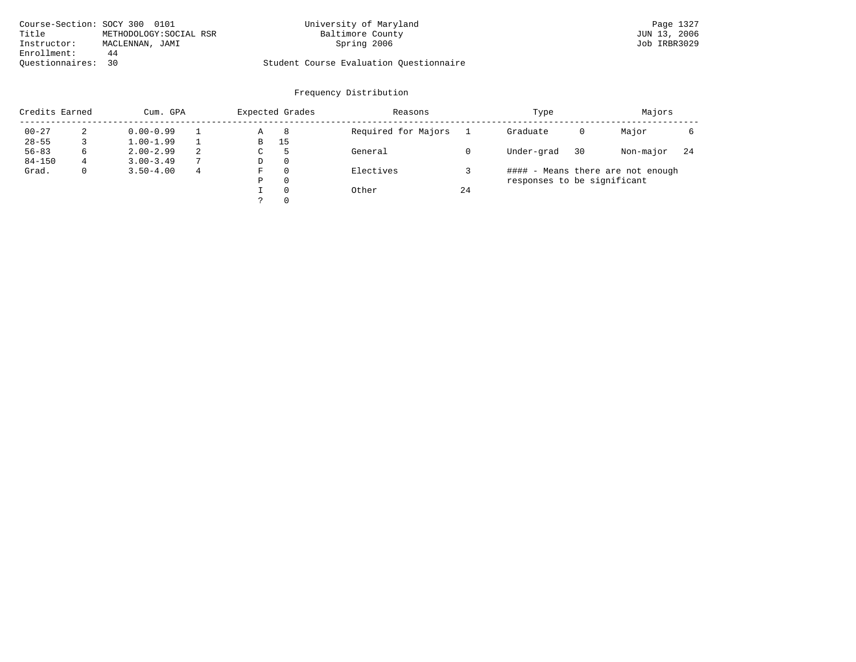| Course-Section: SOCY 300 0101 |                         | University of Maryland                  | Page 1327    |
|-------------------------------|-------------------------|-----------------------------------------|--------------|
| Title                         | METHODOLOGY: SOCIAL RSR | Baltimore County                        | JUN 13, 2006 |
| Instructor:                   | MACLENNAN, JAMI         | Spring 2006                             | Job IRBR3029 |
| Enrollment:                   | 44                      |                                         |              |
| Ouestionnaires: 30            |                         | Student Course Evaluation Ouestionnaire |              |

| Credits Earned |   | Cum. GPA      |   |   | Expected Grades | Reasons             |    | Type                        |    | Majors                            |     |
|----------------|---|---------------|---|---|-----------------|---------------------|----|-----------------------------|----|-----------------------------------|-----|
| $00 - 27$      |   | $0.00 - 0.99$ |   | Α | 8               | Required for Majors |    | Graduate                    | 0  | Major                             |     |
| $28 - 55$      |   | $1.00 - 1.99$ |   | B | 15              |                     |    |                             |    |                                   |     |
| $56 - 83$      | 6 | $2.00 - 2.99$ | 2 | C | .5              | General             |    | Under-grad                  | 30 | Non-major                         | -24 |
| $84 - 150$     | 4 | $3.00 - 3.49$ | 7 | D | $\Omega$        |                     |    |                             |    |                                   |     |
| Grad.          |   | $3.50 - 4.00$ | 4 | F | $\Omega$        | Electives           |    |                             |    | #### - Means there are not enough |     |
|                |   |               |   | Ρ | 0               |                     |    | responses to be significant |    |                                   |     |
|                |   |               |   |   | $\Omega$        | Other               | 24 |                             |    |                                   |     |
|                |   |               |   |   | $\Omega$        |                     |    |                             |    |                                   |     |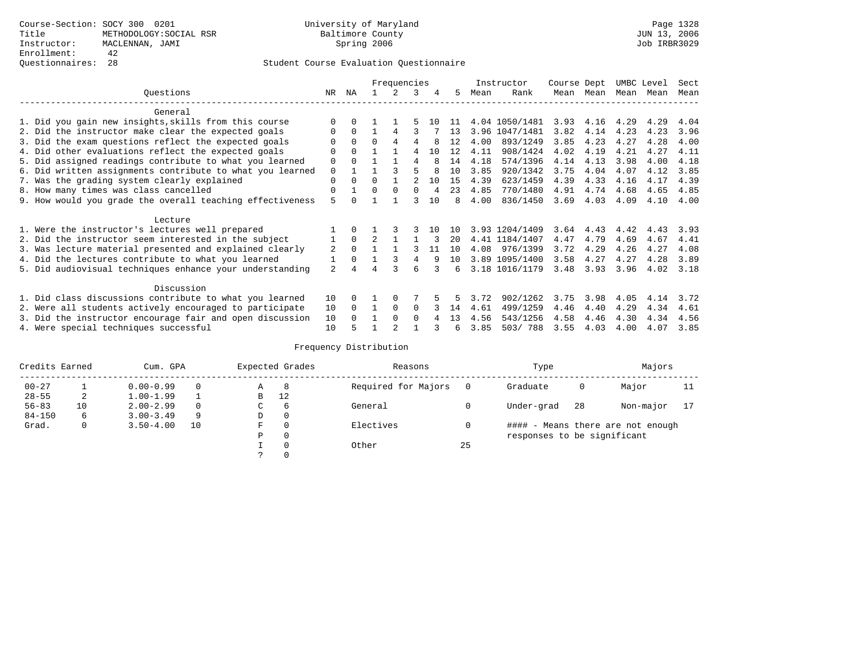|                                                           |                |          |                | Frequencies |               |     |     |      | Instructor     | Course Dept |           | UMBC Level |           | Sect |
|-----------------------------------------------------------|----------------|----------|----------------|-------------|---------------|-----|-----|------|----------------|-------------|-----------|------------|-----------|------|
| Ouestions                                                 | NR             | ΝA       |                |             | २             | 4   | .5  | Mean | Rank           |             | Mean Mean |            | Mean Mean | Mean |
| General                                                   |                |          |                |             |               |     |     |      |                |             |           |            |           |      |
| 1. Did you gain new insights, skills from this course     |                | $\Omega$ |                |             |               | 1 O | -11 |      | 4.04 1050/1481 | 3.93        | 4.16      | 4.29       | 4.29      | 4.04 |
| 2. Did the instructor make clear the expected goals       | 0              | $\Omega$ |                | 4           |               |     | 13  |      | 3.96 1047/1481 | 3.82        | 4.14      | 4.23       | 4.23      | 3.96 |
| 3. Did the exam questions reflect the expected goals      |                | $\Omega$ | $\Omega$       | 4           | 4             |     | 12  | 4.00 | 893/1249       | 3.85        | 4.23      | 4.27       | 4.28      | 4.00 |
| 4. Did other evaluations reflect the expected goals       | $\Omega$       | $\Omega$ |                |             | 4             | 10  | 12  | 4.11 | 908/1424       | 4.02        | 4.19      | 4.21       | 4.27      | 4.11 |
| 5. Did assigned readings contribute to what you learned   | 0              | $\Omega$ |                |             | 4             | 8   | 14  | 4.18 | 574/1396       | 4.14        | 4.13      | 3.98       | 4.00      | 4.18 |
| 6. Did written assignments contribute to what you learned | $\mathbf 0$    |          |                |             | 5             |     | 10  | 3.85 | 920/1342       | 3.75        | 4.04      | 4.07       | 4.12      | 3.85 |
| 7. Was the grading system clearly explained               | $\Omega$       | $\Omega$ | $\Omega$       |             | $\mathcal{D}$ | 10  | 15  | 4.39 | 623/1459       | 4.39        | 4.33      | 4.16       | 4.17      | 4.39 |
| 8. How many times was class cancelled                     | 0              |          | $\Omega$       | $\Omega$    | 0             | 4   | 23  | 4.85 | 770/1480       | 4.91        | 4.74      | 4.68       | 4.65      | 4.85 |
| 9. How would you grade the overall teaching effectiveness | 5              |          |                |             |               | 1 O | 8   | 4.00 | 836/1450       | 3.69        | 4.03      | 4.09       | 4.10      | 4.00 |
| Lecture                                                   |                |          |                |             |               |     |     |      |                |             |           |            |           |      |
| 1. Were the instructor's lectures well prepared           |                | $\Omega$ |                |             |               | 10  | 10  |      | 3.93 1204/1409 | 3.64        | 4.43      | 4.42       | 4.43      | 3.93 |
| 2. Did the instructor seem interested in the subject      | 1              | $\Omega$ | $\mathfrak{D}$ |             |               | 3   | 20  |      | 4.41 1184/1407 | 4.47        | 4.79      | 4.69       | 4.67      | 4.41 |
| 3. Was lecture material presented and explained clearly   | 2              | $\Omega$ |                |             |               | 11  | 10  | 4.08 | 976/1399       | 3.72        | 4.29      | 4.26       | 4.27      | 4.08 |
| 4. Did the lectures contribute to what you learned        |                | $\Omega$ |                |             | 4             | 9   | 10  |      | 3.89 1095/1400 | 3.58        | 4.27      | 4.27       | 4.28      | 3.89 |
| 5. Did audiovisual techniques enhance your understanding  | $\overline{a}$ |          |                |             | 6             |     | б.  |      | 3.18 1016/1179 | 3.48        | 3.93      | 3.96       | 4.02      | 3.18 |
| Discussion                                                |                |          |                |             |               |     |     |      |                |             |           |            |           |      |
| 1. Did class discussions contribute to what you learned   | 10             | $\Omega$ |                | $\Omega$    |               |     |     | 3.72 | 902/1262       | 3.75        | 3.98      | 4.05       | 4.14      | 3.72 |
| 2. Were all students actively encouraged to participate   | 10             | $\Omega$ |                | $\Omega$    | $\Omega$      |     | 14  | 4.61 | 499/1259       | 4.46        | 4.40      | 4.29       | 4.34      | 4.61 |
| 3. Did the instructor encourage fair and open discussion  | 10             |          |                | $\Omega$    | $\cap$        |     | 13  | 4.56 | 543/1256       | 4.58        | 4.46      | 4.30       | 4.34      | 4.56 |
| 4. Were special techniques successful                     | 10             | 5        |                |             |               |     | 6   | 3.85 | 503/788        | 3.55        | 4.03      | 4.00       | 4.07      | 3.85 |

| Credits Earned |    | Cum. GPA      |    |             | Expected Grades | Reasons             |          | Type                        |     | Majors                            |    |
|----------------|----|---------------|----|-------------|-----------------|---------------------|----------|-----------------------------|-----|-----------------------------------|----|
| $00 - 27$      |    | $0.00 - 0.99$ |    | Α           | -8              | Required for Majors | $\Omega$ | Graduate                    | 0   | Major                             | 11 |
| $28 - 55$      | 2  | $1.00 - 1.99$ |    | B           | 12              |                     |          |                             |     |                                   |    |
| $56 - 83$      | 10 | $2.00 - 2.99$ |    | $\sim$<br>◡ | 6               | General             |          | Under-grad                  | -28 | Non-major                         |    |
| $84 - 150$     | 6  | $3.00 - 3.49$ | 9  | D           | 0               |                     |          |                             |     |                                   |    |
| Grad.          | 0  | $3.50 - 4.00$ | 10 | F           | 0               | Electives           | 0        |                             |     | #### - Means there are not enough |    |
|                |    |               |    | Ρ           | 0               |                     |          | responses to be significant |     |                                   |    |
|                |    |               |    |             | $\Omega$        | Other               | 25       |                             |     |                                   |    |
|                |    |               |    |             |                 |                     |          |                             |     |                                   |    |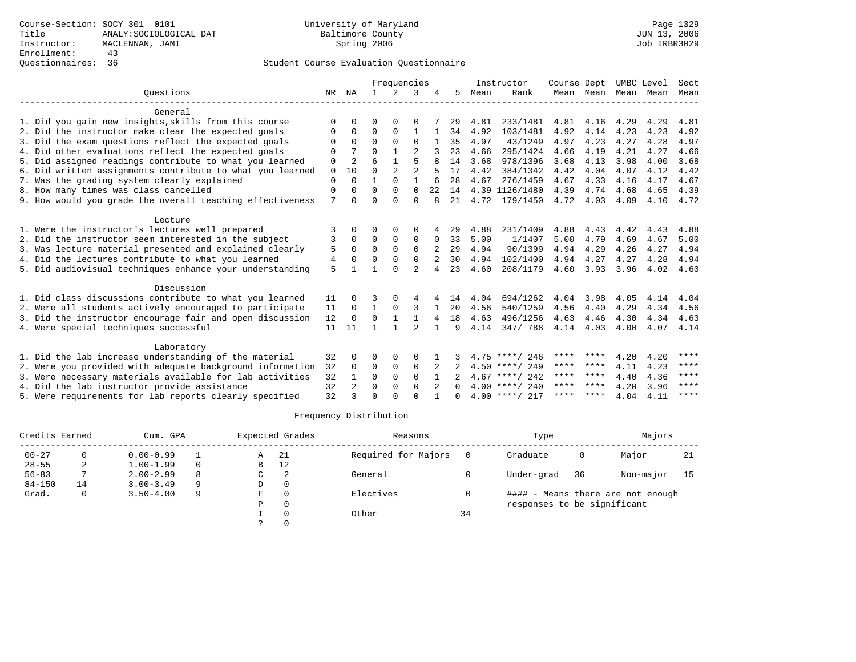|                                                           |                |                |              | Frequencies    |                |                |              |      | Instructor       | Course Dept |           | UMBC Level |      | Sect        |
|-----------------------------------------------------------|----------------|----------------|--------------|----------------|----------------|----------------|--------------|------|------------------|-------------|-----------|------------|------|-------------|
| Ouestions                                                 | NR             | ΝA             | $\mathbf{1}$ | $\mathcal{L}$  | 3              |                | 5.           | Mean | Rank             |             | Mean Mean | Mean       | Mean | Mean        |
| General                                                   |                |                |              |                |                |                |              |      |                  |             |           |            |      |             |
| 1. Did you gain new insights, skills from this course     | $\Omega$       | 0              | O            | $\Omega$       | $\Omega$       |                | 29           | 4.81 | 233/1481         | 4.81        | 4.16      | 4.29       | 4.29 | 4.81        |
| 2. Did the instructor make clear the expected goals       | 0              | $\Omega$       | $\Omega$     | $\Omega$       | $\mathbf{1}$   |                | 34           | 4.92 | 103/1481         | 4.92        | 4.14      | 4.23       | 4.23 | 4.92        |
| 3. Did the exam questions reflect the expected goals      | $\Omega$       | $\Omega$       | $\Omega$     | $\Omega$       | $\Omega$       |                | 35           | 4.97 | 43/1249          | 4.97        | 4.23      | 4.27       | 4.28 | 4.97        |
| 4. Did other evaluations reflect the expected goals       | $\Omega$       |                | $\Omega$     | $\mathbf{1}$   | $\overline{2}$ |                | 23           | 4.66 | 295/1424         | 4.66        | 4.19      | 4.21       | 4.27 | 4.66        |
| 5. Did assigned readings contribute to what you learned   | 0              | $\overline{2}$ | 6            |                | 5              |                | 14           | 3.68 | 978/1396         | 3.68        | 4.13      | 3.98       | 4.00 | 3.68        |
| 6. Did written assignments contribute to what you learned | $\mathbf 0$    | 10             | $\Omega$     | $\overline{a}$ | $\mathfrak{D}$ |                | 17           | 4.42 | 384/1342         | 4.42        | 4.04      | 4.07       | 4.12 | 4.42        |
| 7. Was the grading system clearly explained               | $\Omega$       | $\Omega$       | 1            | $\Omega$       | 1              | 6              | 28           | 4.67 | 276/1459         | 4.67        | 4.33      | 4.16       | 4.17 | 4.67        |
| 8. How many times was class cancelled                     | $\Omega$       | 0              | $\Omega$     | $\Omega$       | $\Omega$       | 22             | 14           |      | 4.39 1126/1480   | 4.39        | 4.74      | 4.68       | 4.65 | 4.39        |
| 9. How would you grade the overall teaching effectiveness | 7              | U              | $\Omega$     | $\cap$         | $\Omega$       | 8              | 21           | 4.72 | 179/1450         | 4.72        | 4.03      | 4.09       | 4.10 | 4.72        |
| Lecture                                                   |                |                |              |                |                |                |              |      |                  |             |           |            |      |             |
| 1. Were the instructor's lectures well prepared           | 3              | 0              | O            | $\Omega$       | $\Omega$       |                | 29           | 4.88 | 231/1409         | 4.88        | 4.43      | 4.42       | 4.43 | 4.88        |
| 2. Did the instructor seem interested in the subject      | 3              | 0              | $\Omega$     | 0              | $\mathbf 0$    | $\Omega$       | 33           | 5.00 | 1/1407           | 5.00        | 4.79      | 4.69       | 4.67 | 5.00        |
| 3. Was lecture material presented and explained clearly   | 5              | $\Omega$       | $\Omega$     | $\Omega$       | $\Omega$       |                | 29           | 4.94 | 90/1399          | 4.94        | 4.29      | 4.26       | 4.27 | 4.94        |
| 4. Did the lectures contribute to what you learned        | $\overline{4}$ | 0              | $\Omega$     | $\Omega$       | $\Omega$       |                | 30           | 4.94 | 102/1400         | 4.94        | 4.27      | 4.27       | 4.28 | 4.94        |
| 5. Did audiovisual techniques enhance your understanding  | 5              |                |              | $\cap$         | $\mathfrak{D}$ | 4              | 23           | 4.60 | 208/1179         | 4.60        | 3.93      | 3.96       | 4.02 | 4.60        |
| Discussion                                                |                |                |              |                |                |                |              |      |                  |             |           |            |      |             |
| 1. Did class discussions contribute to what you learned   | 11             | 0              |              | O              | 4              |                | 14           | 4.04 | 694/1262         | 4.04        | 3.98      | 4.05       | 4.14 | 4.04        |
| 2. Were all students actively encouraged to participate   | 11             | $\mathbf 0$    | $\mathbf{1}$ | $\Omega$       | 3              |                | 20           | 4.56 | 540/1259         | 4.56        | 4.40      | 4.29       | 4.34 | 4.56        |
| 3. Did the instructor encourage fair and open discussion  | 12             | $\Omega$       | $\Omega$     |                | $\mathbf{1}$   | $\overline{4}$ | 18           | 4.63 | 496/1256         | 4.63        | 4.46      | 4.30       | 4.34 | 4.63        |
| 4. Were special techniques successful                     | 11             | 11             |              |                | $\mathfrak{D}$ | $\mathbf{1}$   | 9            | 4.14 | 347/ 788         | 4.14        | 4.03      | 4.00       | 4.07 | 4.14        |
| Laboratory                                                |                |                |              |                |                |                |              |      |                  |             |           |            |      |             |
| 1. Did the lab increase understanding of the material     | 32             | 0              | 0            | 0              | $\Omega$       |                |              |      | $4.75$ ****/ 246 | **** ****   |           | 4.20       | 4.20 | ****        |
| 2. Were you provided with adequate background information | 32             | $\Omega$       | 0            | $\mathbf 0$    | $\mathbf 0$    |                |              |      | $4.50$ ****/ 249 | ****        | ****      | 4.11       | 4.23 | $***$ * * * |
| 3. Were necessary materials available for lab activities  | 32             |                | $\Omega$     | $\Omega$       | $\Omega$       |                |              |      | $4.67$ ****/ 242 | ****        | ****      | 4.40       | 4.36 | $***$ * * * |
| 4. Did the lab instructor provide assistance              | 32             | 2              | 0            | 0              | $\mathbf 0$    | 2              | 0            |      | $4.00$ ****/ 240 | ****        | ****      | 4.20       | 3.96 | ****        |
| 5. Were requirements for lab reports clearly specified    | 32             | ζ              | $\Omega$     | $\cap$         | $\Omega$       |                | <sup>n</sup> |      | $4.00$ ****/ 217 | **** ****   |           | 4.04       | 4.11 | ****        |

| Credits Earned |    | Cum. GPA      |          |   | Expected Grades | Reasons             |    | Type                        | Majors |                                   |     |
|----------------|----|---------------|----------|---|-----------------|---------------------|----|-----------------------------|--------|-----------------------------------|-----|
| $00 - 27$      |    | $0.00 - 0.99$ |          | Α | - 21            | Required for Majors |    | Graduate                    | 0      | Major                             | -21 |
| $28 - 55$      | 2  | $1.00 - 1.99$ | $\Omega$ | B | 12              |                     |    |                             |        |                                   |     |
| $56 - 83$      |    | $2.00 - 2.99$ | 8        | C |                 | General             |    | Under-grad                  | 36     | Non-major                         | 15  |
| $84 - 150$     | 14 | $3.00 - 3.49$ | 9        | D | $\Omega$        |                     |    |                             |        |                                   |     |
| Grad.          | 0  | $3.50 - 4.00$ | 9        | F |                 | Electives           |    |                             |        | #### - Means there are not enough |     |
|                |    |               |          | Ρ |                 |                     |    | responses to be significant |        |                                   |     |
|                |    |               |          |   |                 | Other               | 34 |                             |        |                                   |     |
|                |    |               |          |   |                 |                     |    |                             |        |                                   |     |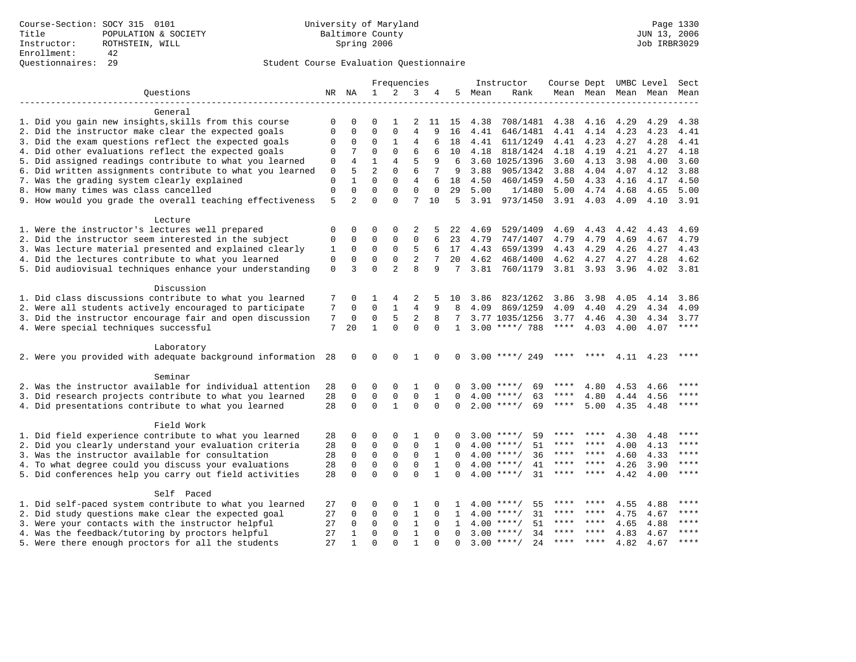|                                                           |             |                |                | Frequencies    |                |              |              |      | Instructor         | Course Dept UMBC Level |               |      |           | Sect        |
|-----------------------------------------------------------|-------------|----------------|----------------|----------------|----------------|--------------|--------------|------|--------------------|------------------------|---------------|------|-----------|-------------|
| Ouestions                                                 |             | NR NA          | $\mathbf{1}$   | 2              | 3              | 4            | 5            | Mean | Rank               |                        | Mean Mean     |      | Mean Mean | Mean        |
|                                                           |             |                |                |                |                |              |              |      |                    |                        |               |      |           |             |
| General                                                   |             |                |                |                |                |              |              |      |                    |                        |               |      |           |             |
| 1. Did you gain new insights, skills from this course     | 0           | $\Omega$       | $\Omega$       | 1              | 2              | 11           | 15           | 4.38 | 708/1481           | 4.38                   | 4.16          | 4.29 | 4.29      | 4.38        |
| 2. Did the instructor make clear the expected goals       | $\Omega$    | $\mathbf 0$    | $\Omega$       | $\mathbf 0$    | $\overline{4}$ | 9            | 16           | 4.41 | 646/1481           | 4.41                   | 4.14          | 4.23 | 4.23      | 4.41        |
| 3. Did the exam questions reflect the expected goals      | 0           | 0              | 0              | 1              | 4              | 6            | 18           | 4.41 | 611/1249           | 4.41                   | 4.23          | 4.27 | 4.28      | 4.41        |
| 4. Did other evaluations reflect the expected goals       | 0           | 7              | $\Omega$       | $\Omega$       | 6              | 6            | 10           | 4.18 | 818/1424           | 4.18                   | 4.19          | 4.21 | 4.27      | 4.18        |
| 5. Did assigned readings contribute to what you learned   | 0           | 4              | $\mathbf{1}$   | 4              | 5              | 9            | 6            |      | 3.60 1025/1396     | 3.60                   | 4.13          | 3.98 | 4.00      | 3.60        |
| 6. Did written assignments contribute to what you learned | $\mathbf 0$ | 5              | $\overline{a}$ | $\mathbf{0}$   | 6              | 7            | 9            | 3.88 | 905/1342           | 3.88                   | 4.04          | 4.07 | 4.12      | 3.88        |
| 7. Was the grading system clearly explained               | $\mathbf 0$ | $\mathbf{1}$   | $\Omega$       | $\mathbf 0$    | $\overline{4}$ | 6            | 18           | 4.50 | 460/1459           | 4.50                   | 4.33          | 4.16 | 4.17      | 4.50        |
| 8. How many times was class cancelled                     | $\mathbf 0$ | $\Omega$       | $\Omega$       | $\Omega$       | $\Omega$       | $\Omega$     | 29           | 5.00 | 1/1480             | 5.00                   | 4.74          | 4.68 | 4.65      | 5.00        |
| 9. How would you grade the overall teaching effectiveness | 5           | $\overline{2}$ | $\Omega$       | $\Omega$       | 7              | 10           | -5           | 3.91 | 973/1450           | $3.91$ 4.03            |               | 4.09 | 4.10      | 3.91        |
|                                                           |             |                |                |                |                |              |              |      |                    |                        |               |      |           |             |
| Lecture                                                   |             |                |                |                |                |              |              |      |                    |                        |               |      |           |             |
| 1. Were the instructor's lectures well prepared           | 0           | 0              | 0              | 0              | 2              |              | 22           | 4.69 | 529/1409           | 4.69                   | 4.43          | 4.42 | 4.43      | 4.69        |
| 2. Did the instructor seem interested in the subject      | 0           | $\mathbf 0$    | 0              | $\mathbf{0}$   | $\mathbf 0$    | 6            | 23           | 4.79 | 747/1407           | 4.79                   | 4.79          | 4.69 | 4.67      | 4.79        |
| 3. Was lecture material presented and explained clearly   | 1           | $\Omega$       | 0              | 0              | 5              | 6            | 17           | 4.43 | 659/1399           | 4.43                   | 4.29          | 4.26 | 4.27      | 4.43        |
| 4. Did the lectures contribute to what you learned        | 0           | $\mathbf 0$    | $\mathbf 0$    | $\mathbf{0}$   | 2              | 7            | 20           | 4.62 | 468/1400           | 4.62                   | 4.27          | 4.27 | 4.28      | 4.62        |
| 5. Did audiovisual techniques enhance your understanding  | $\mathbf 0$ | 3              | $\Omega$       | $\overline{a}$ | 8              | 9            | 7            | 3.81 | 760/1179           |                        | $3.81$ $3.93$ | 3.96 | 4.02      | 3.81        |
|                                                           |             |                |                |                |                |              |              |      |                    |                        |               |      |           |             |
| Discussion                                                |             |                |                |                |                |              |              |      |                    |                        |               |      |           |             |
| 1. Did class discussions contribute to what you learned   | 7           | 0              | 1              | 4              | 2              | 5            | 10           | 3.86 | 823/1262           | 3.86                   | 3.98          | 4.05 | 4.14      | 3.86        |
| 2. Were all students actively encouraged to participate   | 7           | 0              | $\mathbf 0$    | $\mathbf{1}$   | 4              | 9            | 8            | 4.09 | 869/1259           | 4.09                   | 4.40          | 4.29 | 4.34      | 4.09        |
| 3. Did the instructor encourage fair and open discussion  | 7           | 0              | $\mathbf 0$    | 5              | 2              | 8            | 7            |      | 3.77 1035/1256     | 3.77                   | 4.46          | 4.30 | 4.34      | 3.77        |
| 4. Were special techniques successful                     | 7           | 20             | $\mathbf{1}$   | $\Omega$       | $\Omega$       | $\Omega$     | $\mathbf{1}$ |      | $3.00$ ****/ 788   | $***$ * * *            | 4.03          | 4.00 | 4.07      | ****        |
|                                                           |             |                |                |                |                |              |              |      |                    |                        |               |      |           |             |
| Laboratory                                                |             |                |                |                |                |              |              |      |                    |                        |               |      |           |             |
| 2. Were you provided with adequate background information | 28          | $\mathbf 0$    | 0              | $\mathbf 0$    | 1              | 0            | $\mathbf 0$  |      | $3.00$ ****/ 249   |                        |               | 4.11 | 4.23      | ****        |
|                                                           |             |                |                |                |                |              |              |      |                    |                        |               |      |           |             |
| Seminar                                                   |             |                |                |                |                |              |              |      |                    |                        |               |      |           |             |
| 2. Was the instructor available for individual attention  | 28          | 0              | 0              | $\Omega$       | 1              | $\Omega$     | <sup>0</sup> |      | $3.00$ ****/<br>69 | ****                   | 4.80          | 4.53 | 4.66      |             |
| 3. Did research projects contribute to what you learned   | 28          | 0              | $\mathbf 0$    | $\mathsf 0$    | $\mathbf 0$    | 1            | $\mathbf 0$  |      | $4.00$ ****/<br>63 | ****                   | 4.80          | 4.44 | 4.56      | ****        |
| 4. Did presentations contribute to what you learned       | 28          | $\Omega$       | $\mathbf 0$    | $\mathbf{1}$   | $\Omega$       | $\Omega$     | $\Omega$     |      | 69<br>$2.00$ ****/ | $***$ * * *            | 5.00          |      | 4.35 4.48 | $***$       |
|                                                           |             |                |                |                |                |              |              |      |                    |                        |               |      |           |             |
| Field Work                                                |             |                |                |                |                |              |              |      |                    |                        |               |      |           |             |
| 1. Did field experience contribute to what you learned    | 28          | 0              | $\Omega$       | $\Omega$       | 1              | $\Omega$     | ∩            |      | $3.00$ ****/<br>59 |                        |               | 4.30 | 4.48      |             |
| 2. Did you clearly understand your evaluation criteria    | 28          | $\mathbf 0$    | $\Omega$       | $\mathsf 0$    | $\mathbf 0$    | 1            |              |      | $4.00$ ****/<br>51 | ****                   | ****          | 4.00 | 4.13      | ****        |
| 3. Was the instructor available for consultation          | 28          | $\mathbf 0$    | $\mathbf 0$    | $\mathbf 0$    | $\mathbf 0$    | $\mathbf{1}$ | $\Omega$     |      | $4.00$ ****/<br>36 | ****                   | $***$ *       | 4.60 | 4.33      | $***$       |
| 4. To what degree could you discuss your evaluations      | 28          | 0              | $\mathbf 0$    | $\mathbf 0$    | 0              | 1            | $\Omega$     |      | $4.00$ ****/<br>41 | ****                   | ****          | 4.26 | 3.90      | ****        |
| 5. Did conferences help you carry out field activities    | 28          | $\Omega$       | $\Omega$       | $\Omega$       | $\Omega$       | $\mathbf{1}$ | $\Omega$     |      | $4.00$ ****/<br>31 | ****                   | ****          | 4.42 | 4.00      | $* * * * *$ |
|                                                           |             |                |                |                |                |              |              |      |                    |                        |               |      |           |             |
| Self Paced                                                |             |                |                |                |                |              |              |      |                    |                        |               |      |           |             |
|                                                           |             |                |                |                |                |              |              |      | $* * * * /$        |                        |               |      |           |             |
| 1. Did self-paced system contribute to what you learned   | 27          | 0              | $\Omega$       | 0              | 1              | $\Omega$     | 1            | 4.00 | 55                 | ****                   | ****          | 4.55 | 4.88      | ****        |
| 2. Did study questions make clear the expected goal       | 27          | 0              | 0              | 0              | $\mathbf{1}$   | $\Omega$     | $\mathbf{1}$ | 4.00 | $***/$<br>31       | ****                   | ****          | 4.75 | 4.67      | ****        |
| 3. Were your contacts with the instructor helpful         | 27          | $\Omega$       | $\Omega$       | $\Omega$       | $\mathbf{1}$   | $\Omega$     | 1            | 4.00 | 51<br>$***$ /      |                        |               | 4.65 | 4.88      | $***$       |
| 4. Was the feedback/tutoring by proctors helpful          | 27          | 1              | $\Omega$       | $\mathbf{0}$   | $\mathbf{1}$   | $\Omega$     | $\Omega$     |      | $3.00$ ****/<br>34 | ****                   | ****          | 4.83 | 4.67      |             |
| 5. Were there enough proctors for all the students        | 27          | $\mathbf{1}$   | $\Omega$       | $\Omega$       | $\mathbf{1}$   |              | $\Omega$     |      | $3.00$ ****/<br>24 | $***$ * * *            | $***$ *       | 4.82 | 4.67      | $***$       |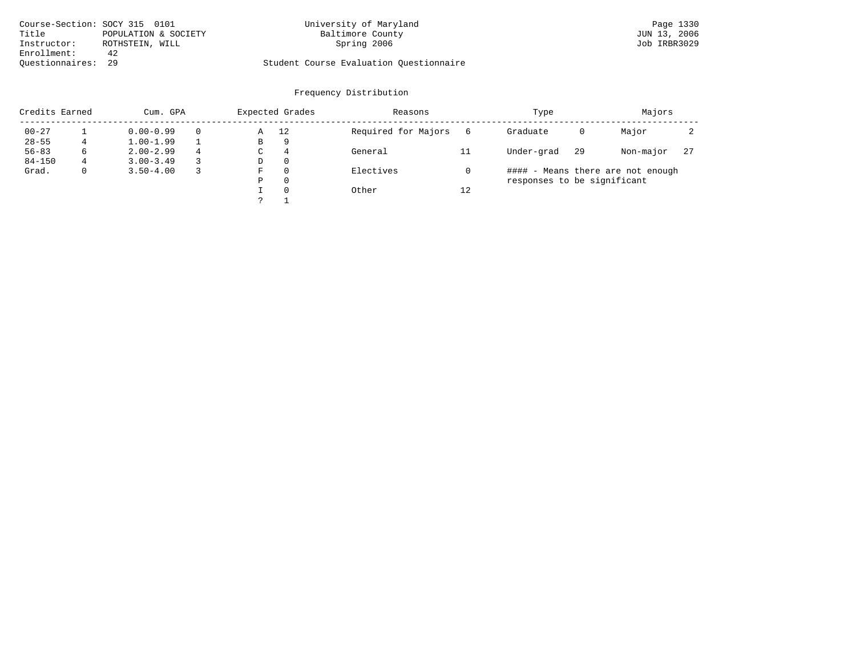| Course-Section: SOCY 315 0101 |                      | University of Maryland                  | Page 1330    |
|-------------------------------|----------------------|-----------------------------------------|--------------|
| Title                         | POPULATION & SOCIETY | Baltimore County                        | JUN 13, 2006 |
| Instructor:                   | ROTHSTEIN, WILL      | Spring 2006                             | Job IRBR3029 |
| Enrollment:                   | 42                   |                                         |              |
| Ouestionnaires: 29            |                      | Student Course Evaluation Ouestionnaire |              |

| Credits Earned | Cum. GPA     |               | Expected Grades |   | Reasons        |                     | Type |                             | Majors |                                   |    |
|----------------|--------------|---------------|-----------------|---|----------------|---------------------|------|-----------------------------|--------|-----------------------------------|----|
| $00 - 27$      |              | $0.00 - 0.99$ |                 | Α | 12             | Required for Majors | 6    | Graduate                    | 0      | Major                             |    |
| $28 - 55$      |              | $1.00 - 1.99$ |                 | В | 9              |                     |      |                             |        |                                   |    |
| $56 - 83$      | 6            | $2.00 - 2.99$ | 4               | C | $\overline{4}$ | General             |      | Under-grad                  | 29     | Non-major                         | 27 |
| $84 - 150$     | 4            | $3.00 - 3.49$ |                 | D | $\Omega$       |                     |      |                             |        |                                   |    |
| Grad.          | $\mathbf{0}$ | $3.50 - 4.00$ |                 | F | $\Omega$       | Electives           |      |                             |        | #### - Means there are not enough |    |
|                |              |               |                 | Ρ | $\Omega$       |                     |      | responses to be significant |        |                                   |    |
|                |              |               |                 |   | $\Omega$       | Other               | 12   |                             |        |                                   |    |
|                |              |               |                 |   |                |                     |      |                             |        |                                   |    |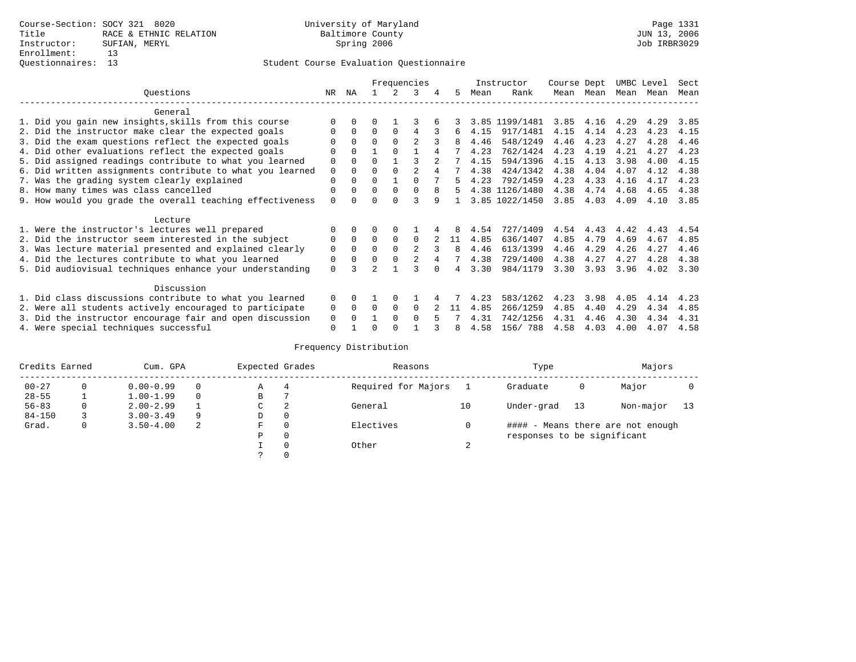|                                                           | Frequencies |              |          |          |                | Instructor |    | Course Dept |                | UMBC Level |      | Sect |      |      |
|-----------------------------------------------------------|-------------|--------------|----------|----------|----------------|------------|----|-------------|----------------|------------|------|------|------|------|
| Ouestions                                                 | NR.         | ΝA           |          |          | 3              | 4          | 5. | Mean        | Rank           | Mean       | Mean | Mean | Mean | Mean |
| General                                                   |             |              |          |          |                |            |    |             |                |            |      |      |      |      |
| 1. Did you gain new insights, skills from this course     |             | $\Omega$     | O        |          |                |            |    |             | 3.85 1199/1481 | 3.85       | 4.16 | 4.29 | 4.29 | 3.85 |
| 2. Did the instructor make clear the expected goals       | O           | $\Omega$     | $\Omega$ | $\Omega$ | 4              |            | 6  | 4.15        | 917/1481       | 4.15       | 4.14 | 4.23 | 4.23 | 4.15 |
| 3. Did the exam questions reflect the expected goals      |             | $\Omega$     | $\Omega$ | $\Omega$ | $\mathfrak{D}$ |            |    | 4.46        | 548/1249       | 4.46       | 4.23 | 4.27 | 4.28 | 4.46 |
| 4. Did other evaluations reflect the expected goals       | O           | $\Omega$     |          | $\Omega$ |                |            |    | 4.23        | 762/1424       | 4.23       | 4.19 | 4.21 | 4.27 | 4.23 |
| 5. Did assigned readings contribute to what you learned   | $\mathbf 0$ | $\Omega$     | 0        |          |                |            |    | 4.15        | 594/1396       | 4.15       | 4.13 | 3.98 | 4.00 | 4.15 |
| 6. Did written assignments contribute to what you learned | $\mathbf 0$ | $\Omega$     | $\Omega$ | $\Omega$ | $\mathfrak{D}$ |            |    | 4.38        | 424/1342       | 4.38       | 4.04 | 4.07 | 4.12 | 4.38 |
| 7. Was the grading system clearly explained               | $\Omega$    |              | $\Omega$ |          | $\Omega$       |            | 5. | 4.23        | 792/1459       | 4.23       | 4.33 | 4.16 | 4.17 | 4.23 |
| 8. How many times was class cancelled                     | 0           | $\Omega$     | $\Omega$ | $\Omega$ | $\Omega$       | 8          | 5. |             | 4.38 1126/1480 | 4.38       | 4.74 | 4.68 | 4.65 | 4.38 |
| 9. How would you grade the overall teaching effectiveness | $\Omega$    | <sup>n</sup> | U        | ∩        | ς              | q          |    |             | 3.85 1022/1450 | 3.85       | 4.03 | 4.09 | 4.10 | 3.85 |
| Lecture                                                   |             |              |          |          |                |            |    |             |                |            |      |      |      |      |
| 1. Were the instructor's lectures well prepared           | 0           |              |          |          |                |            |    | 4.54        | 727/1409       | 4.54       | 4.43 | 4.42 | 4.43 | 4.54 |
| 2. Did the instructor seem interested in the subject      | 0           | $\Omega$     | $\Omega$ | $\Omega$ | $\Omega$       |            | 11 | 4.85        | 636/1407       | 4.85       | 4.79 | 4.69 | 4.67 | 4.85 |
| 3. Was lecture material presented and explained clearly   | $\mathbf 0$ | $\Omega$     | $\Omega$ |          | $\mathfrak{D}$ |            | 8  | 4.46        | 613/1399       | 4.46       | 4.29 | 4.26 | 4.27 | 4.46 |
| 4. Did the lectures contribute to what you learned        | 0           | $\Omega$     | $\Omega$ | $\Omega$ |                |            |    | 4.38        | 729/1400       | 4.38       | 4.27 | 4.27 | 4.28 | 4.38 |
| 5. Did audiovisual techniques enhance your understanding  | $\Omega$    |              |          |          |                |            |    | 3.30        | 984/1179       | 3.30       | 3.93 | 3.96 | 4.02 | 3.30 |
| Discussion                                                |             |              |          |          |                |            |    |             |                |            |      |      |      |      |
| 1. Did class discussions contribute to what you learned   | $\Omega$    | $\Omega$     |          | $\Omega$ |                |            |    | 4.23        | 583/1262       | 4.23       | 3.98 | 4.05 | 4.14 | 4.23 |
| 2. Were all students actively encouraged to participate   | 0           | $\Omega$     | $\Omega$ | $\Omega$ | $\Omega$       |            | 11 | 4.85        | 266/1259       | 4.85       | 4.40 | 4.29 | 4.34 | 4.85 |
| 3. Did the instructor encourage fair and open discussion  | 0           |              |          | $\Omega$ | $\Omega$       |            |    | 4.31        | 742/1256       | 4.31       | 4.46 | 4.30 | 4.34 | 4.31 |
| 4. Were special techniques successful                     | $\Omega$    |              |          |          |                |            | 8  | 4.58        | 156/788        | 4.58       | 4.03 | 4.00 | 4.07 | 4.58 |

|            | Credits Earned<br>Cum. GPA |               |          | Expected Grades |          | Reasons             | Type   |                             | Majors |                                   |    |
|------------|----------------------------|---------------|----------|-----------------|----------|---------------------|--------|-----------------------------|--------|-----------------------------------|----|
| $00 - 27$  |                            | $0.00 - 0.99$ | $\Omega$ | Α               | 4        | Required for Majors |        | Graduate                    | 0      | Major                             |    |
| $28 - 55$  |                            | $1.00 - 1.99$ | $\Omega$ | В               |          |                     |        |                             |        |                                   |    |
| $56 - 83$  | 0                          | $2.00 - 2.99$ |          | С               | 2        | General             | 10     | Under-grad                  | 13     | Non-major                         | 13 |
| $84 - 150$ |                            | $3.00 - 3.49$ | -9       | D               | 0        |                     |        |                             |        |                                   |    |
| Grad.      | 0                          | $3.50 - 4.00$ | -2       | F               | 0        | Electives           |        |                             |        | #### - Means there are not enough |    |
|            |                            |               |          | Ρ               | 0        |                     |        | responses to be significant |        |                                   |    |
|            |                            |               |          |                 | $\Omega$ | Other               | $\sim$ |                             |        |                                   |    |
|            |                            |               |          | っ               | 0        |                     |        |                             |        |                                   |    |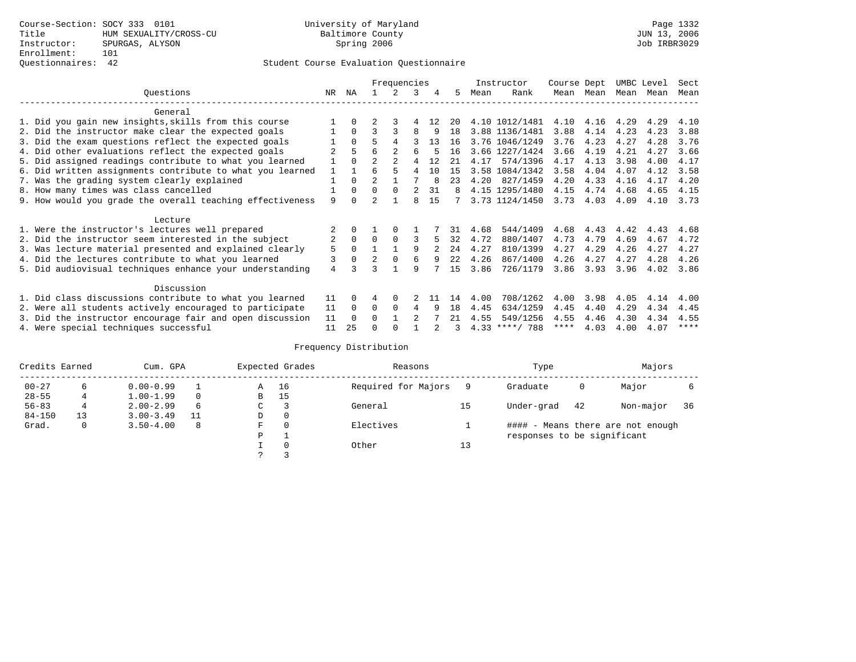# Questionnaires: 42 Student Course Evaluation Questionnaire

|                                                          |                                                           | Frequencies    |          |                |                | Instructor     |     | Course Dept |      | UMBC Level       |             | Sect      |           |      |      |
|----------------------------------------------------------|-----------------------------------------------------------|----------------|----------|----------------|----------------|----------------|-----|-------------|------|------------------|-------------|-----------|-----------|------|------|
|                                                          | Ouestions                                                 | NR             | ΝA       |                | $\mathcal{L}$  | 3              | 4   | 5           | Mean | Rank             |             | Mean Mean | Mean Mean |      | Mean |
|                                                          | General                                                   |                |          |                |                |                |     |             |      |                  |             |           |           |      |      |
|                                                          | 1. Did you gain new insights, skills from this course     |                | $\Omega$ | $\overline{2}$ | २              | 4              | 12. | 20          |      | 4.10 1012/1481   | 4.10        | 4.16      | 4.29      | 4.29 | 4.10 |
|                                                          | 2. Did the instructor make clear the expected goals       |                | $\Omega$ | 3              |                | 8              | 9   | 18          |      | 3.88 1136/1481   | 3.88        | 4.14      | 4.23      | 4.23 | 3.88 |
|                                                          | 3. Did the exam questions reflect the expected goals      |                | $\Omega$ | 5              | 4              |                | 13  | 16          |      | 3.76 1046/1249   | 3.76        | 4.23      | 4.27      | 4.28 | 3.76 |
|                                                          | 4. Did other evaluations reflect the expected goals       | $\mathfrak{D}$ | 5        | 6              |                | б              |     | 16          |      | 3.66 1227/1424   | 3.66        | 4.19      | 4.21      | 4.27 | 3.66 |
|                                                          | 5. Did assigned readings contribute to what you learned   |                | $\Omega$ | $\overline{2}$ | $\mathfrak{D}$ | 4              | 12  | 21          | 4.17 | 574/1396         | 4.17        | 4.13      | 3.98      | 4.00 | 4.17 |
|                                                          | 6. Did written assignments contribute to what you learned | $\mathbf{1}$   |          |                | 5              | 4              | 10  | 15          |      | 3.58 1084/1342   | 3.58        | 4.04      | 4.07      | 4.12 | 3.58 |
|                                                          | 7. Was the grading system clearly explained               |                | $\Omega$ | $\mathfrak{D}$ |                |                | 8   | 23          | 4.20 | 827/1459         | 4.20        | 4.33      | 4.16      | 4.17 | 4.20 |
| 8. How many times was class cancelled                    |                                                           |                |          | $\Omega$       | $\Omega$       | 2              | 31  | 8           |      | 4.15 1295/1480   | 4.15        | 4.74      | 4.68      | 4.65 | 4.15 |
|                                                          | 9. How would you grade the overall teaching effectiveness | 9              | n.       | $\mathfrak{D}$ |                | 8              | 15  |             |      | 3.73 1124/1450   | 3.73        | 4.03      | 4.09      | 4.10 | 3.73 |
|                                                          | Lecture                                                   |                |          |                |                |                |     |             |      |                  |             |           |           |      |      |
|                                                          | 1. Were the instructor's lectures well prepared           |                |          |                |                |                |     | 31          | 4.68 | 544/1409         | 4.68        | 4.43      | 4.42      | 4.43 | 4.68 |
|                                                          | 2. Did the instructor seem interested in the subject      | $\overline{2}$ | $\Omega$ | $\Omega$       | $\Omega$       |                | 5   | 32          | 4.72 | 880/1407         | 4.73        | 4.79      | 4.69      | 4.67 | 4.72 |
|                                                          | 3. Was lecture material presented and explained clearly   | 5              | $\Omega$ |                |                | q              |     | 2.4         | 4.27 | 810/1399         | 4.27        | 4.29      | 4.26      | 4.27 | 4.27 |
|                                                          | 4. Did the lectures contribute to what you learned        | 3              | $\Omega$ | $\overline{2}$ | $\Omega$       | 6              | 9   | 22          | 4.26 | 867/1400         | 4.26        | 4.27      | 4.27      | 4.28 | 4.26 |
|                                                          | 5. Did audiovisual techniques enhance your understanding  | 4              |          |                |                | 9              |     | 15          | 3.86 | 726/1179         | 3.86        | 3.93      | 3.96      | 4.02 | 3.86 |
|                                                          | Discussion                                                |                |          |                |                |                |     |             |      |                  |             |           |           |      |      |
|                                                          | 1. Did class discussions contribute to what you learned   | 11             |          |                | $\Omega$       |                | -11 | 14          | 4.00 | 708/1262         | 4.00        | 3.98      | 4.05      | 4.14 | 4.00 |
|                                                          | 2. Were all students actively encouraged to participate   | 11             | $\Omega$ | $\Omega$       | $\Omega$       | 4              | 9   | 18          | 4.45 | 634/1259         | 4.45        | 4.40      | 4.29      | 4.34 | 4.45 |
| 3. Did the instructor encourage fair and open discussion |                                                           |                |          | U              |                | $\mathfrak{D}$ |     | 21          | 4.55 | 549/1256         | 4.55        | 4.46      | 4.30      | 4.34 | 4.55 |
|                                                          | 4. Were special techniques successful                     | 11             | 25       |                |                |                |     | 3           |      | $4.33$ ****/ 788 | $***$ * * * | 4.03      | 4.00      | 4.07 | **** |

| Credits Earned |    | Cum. GPA      |    |               | Expected Grades | Reasons             |    | Type                        |    | Majors                            |    |
|----------------|----|---------------|----|---------------|-----------------|---------------------|----|-----------------------------|----|-----------------------------------|----|
| $00 - 27$      | 6  | $0.00 - 0.99$ |    | Α             | 16              | Required for Majors |    | Graduate                    | 0  | Major                             |    |
| $28 - 55$      | 4  | $1.00 - 1.99$ |    | B             | 15              |                     |    |                             |    |                                   |    |
| $56 - 83$      | 4  | $2.00 - 2.99$ | 6  | $\sim$<br>◡   |                 | General             | 15 | Under-grad                  | 42 | Non-major                         | 36 |
| $84 - 150$     | 13 | $3.00 - 3.49$ | 11 | D             | 0               |                     |    |                             |    |                                   |    |
| Grad.          | 0  | $3.50 - 4.00$ | 8  | F             | 0               | Electives           |    |                             |    | #### - Means there are not enough |    |
|                |    |               |    | P             |                 |                     |    | responses to be significant |    |                                   |    |
|                |    |               |    |               | $\mathbf 0$     | Other               | 13 |                             |    |                                   |    |
|                |    |               |    | $\mathcal{L}$ |                 |                     |    |                             |    |                                   |    |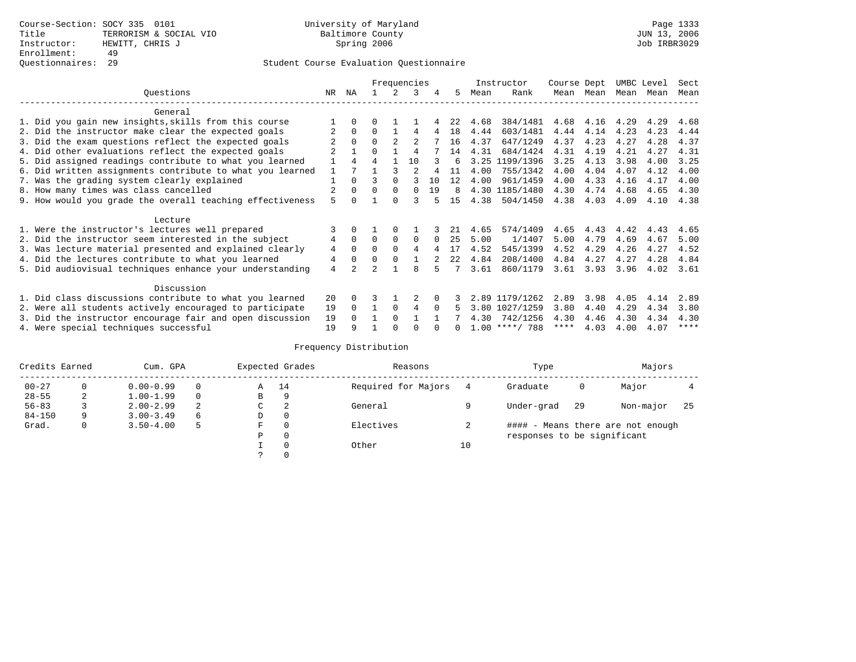|                                                           |                                                           | Frequencies |                      |                |                |                |          | Instructor | Course Dept |                  | UMBC Level |      | Sect |      |             |
|-----------------------------------------------------------|-----------------------------------------------------------|-------------|----------------------|----------------|----------------|----------------|----------|------------|-------------|------------------|------------|------|------|------|-------------|
|                                                           | Questions                                                 | NR.         | ΝA                   |                |                | 3              | 4        | 5          | Mean        | Rank             | Mean       | Mean | Mean | Mean | Mean        |
|                                                           | General                                                   |             |                      |                |                |                |          |            |             |                  |            |      |      |      |             |
|                                                           | 1. Did you gain new insights, skills from this course     |             |                      |                |                |                |          | 2.2.       | 4.68        | 384/1481         | 4.68       | 4.16 | 4.29 | 4.29 | 4.68        |
|                                                           | 2. Did the instructor make clear the expected goals       |             | $\Omega$             | 0              |                | 4              | 4        | 18         | 4.44        | 603/1481         | 4.44       | 4.14 | 4.23 | 4.23 | 4.44        |
|                                                           | 3. Did the exam questions reflect the expected goals      |             | $\Omega$             |                | $\overline{2}$ | $\mathfrak{D}$ |          | 16         | 4.37        | 647/1249         | 4.37       | 4.23 | 4.27 | 4.28 | 4.37        |
|                                                           | 4. Did other evaluations reflect the expected goals       |             |                      | 0              |                | 4              |          | 14         | 4.31        | 684/1424         | 4.31       | 4.19 | 4.21 | 4.27 | 4.31        |
|                                                           | 5. Did assigned readings contribute to what you learned   |             |                      |                |                | 10             |          | 6          | 3.25        | 1199/1396        | 3.25       | 4.13 | 3.98 | 4.00 | 3.25        |
|                                                           | 6. Did written assignments contribute to what you learned |             |                      |                |                |                |          | 11         | 4.00        | 755/1342         | 4.00       | 4.04 | 4.07 | 4.12 | 4.00        |
|                                                           | 7. Was the grading system clearly explained               |             | $\Omega$             |                | $\Omega$       |                | 10       | 12         | 4.00        | 961/1459         | 4.00       | 4.33 | 4.16 | 4.17 | 4.00        |
| 8. How many times was class cancelled                     |                                                           |             |                      | $\Omega$       | $\Omega$       | 0              | 19       | 8          |             | 4.30 1185/1480   | 4.30       | 4.74 | 4.68 | 4.65 | 4.30        |
| 9. How would you grade the overall teaching effectiveness |                                                           |             |                      |                |                |                |          | 15         | 4.38        | 504/1450         | 4.38       | 4.03 | 4.09 | 4.10 | 4.38        |
|                                                           | Lecture                                                   |             |                      |                |                |                |          |            |             |                  |            |      |      |      |             |
|                                                           | 1. Were the instructor's lectures well prepared           |             |                      |                |                |                |          |            | 4.65        | 574/1409         | 4.65       | 4.43 | 4.42 | 4.43 | 4.65        |
|                                                           | 2. Did the instructor seem interested in the subject      | 4           | $\mathbf{0}$         | $\Omega$       | $\Omega$       | $\Omega$       |          | 25         | 5.00        | 1/1407           | 5.00       | 4.79 | 4.69 | 4.67 | 5.00        |
|                                                           | 3. Was lecture material presented and explained clearly   | 4           | $\Omega$             | 0              |                | 4              |          | 17         | 4.52        | 545/1399         | 4.52       | 4.29 | 4.26 | 4.27 | 4.52        |
|                                                           | 4. Did the lectures contribute to what you learned        | 4           | $\mathbf 0$          | $\Omega$       | $\Omega$       |                |          | 22         | 4.84        | 208/1400         | 4.84       | 4.27 | 4.27 | 4.28 | 4.84        |
|                                                           | 5. Did audiovisual techniques enhance your understanding  | 4           |                      | $\mathfrak{D}$ |                | R              |          |            | 3.61        | 860/1179         | 3.61       | 3.93 | 3.96 | 4.02 | 3.61        |
|                                                           |                                                           |             |                      |                |                |                |          |            |             |                  |            |      |      |      |             |
|                                                           | Discussion                                                |             |                      |                |                |                |          |            |             |                  |            |      |      |      |             |
|                                                           | 1. Did class discussions contribute to what you learned   | 20<br>19    | $\Omega$<br>$\Omega$ | κ              |                |                |          |            |             | 2.89 1179/1262   | 2.89       | 3.98 | 4.05 | 4.14 | 2.89        |
| 2. Were all students actively encouraged to participate   |                                                           |             |                      |                | $\Omega$       | 4              | $\Omega$ | 5          | 3.80        | 1027/1259        | 3.80       | 4.40 | 4.29 | 4.34 | 3.80        |
| 3. Did the instructor encourage fair and open discussion  |                                                           |             |                      |                | $\Omega$       |                |          |            | 4.30        | 742/1256         | 4.30       | 4.46 | 4.30 | 4.34 | 4.30        |
|                                                           | 4. Were special techniques successful                     | 19          | 9                    |                |                |                |          |            |             | $1.00$ ****/ 788 | ****       | 4.03 | 4.00 | 4.07 | $***$ * * * |

| Credits Earned |          | Cum. GPA      |   |             | Expected Grades | Reasons             | Type |                             |     | Majors                            |     |  |
|----------------|----------|---------------|---|-------------|-----------------|---------------------|------|-----------------------------|-----|-----------------------------------|-----|--|
| $00 - 27$      | $\Omega$ | $0.00 - 0.99$ |   | Α           | 14              | Required for Majors | 4    | Graduate                    | 0   | Major                             |     |  |
| $28 - 55$      | 2        | $1.00 - 1.99$ |   | В           | 9               |                     |      |                             |     |                                   |     |  |
| $56 - 83$      |          | $2.00 - 2.99$ | 2 | $\sim$<br>◡ | 2               | General             |      | Under-grad                  | -29 | Non-major                         | -25 |  |
| $84 - 150$     | 9        | $3.00 - 3.49$ | 6 | D           | 0               |                     |      |                             |     |                                   |     |  |
| Grad.          | 0        | $3.50 - 4.00$ | 5 | F           | 0               | Electives           |      |                             |     | #### - Means there are not enough |     |  |
|                |          |               |   | Ρ           | 0               |                     |      | responses to be significant |     |                                   |     |  |
|                |          |               |   |             | $\Omega$        | Other               | 10   |                             |     |                                   |     |  |
|                |          |               |   |             |                 |                     |      |                             |     |                                   |     |  |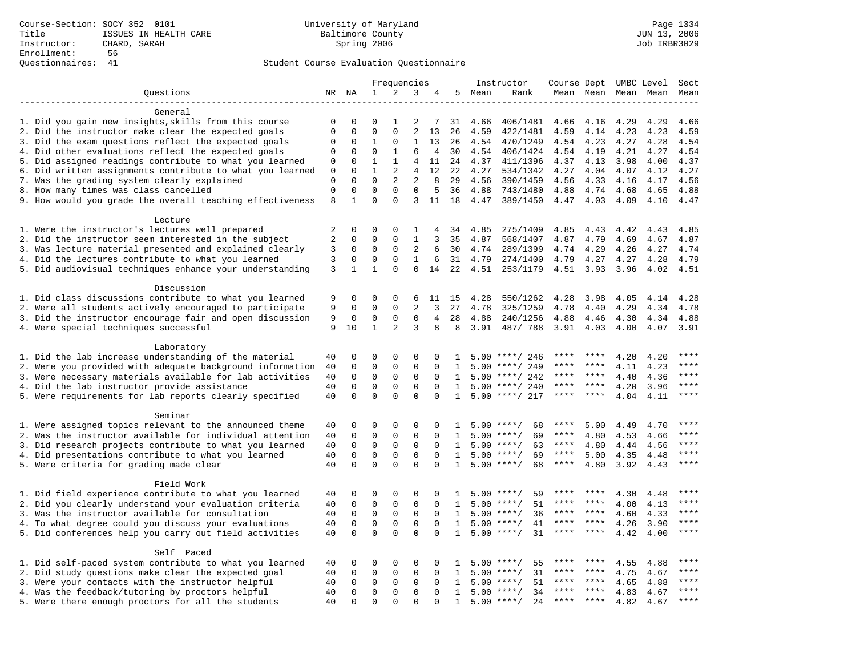|                                                            |                |                         |                            | Frequencies             |                         |                         |              |      | Instructor                         | Course Dept UMBC Level |           |                     |      | Sect        |
|------------------------------------------------------------|----------------|-------------------------|----------------------------|-------------------------|-------------------------|-------------------------|--------------|------|------------------------------------|------------------------|-----------|---------------------|------|-------------|
| Questions                                                  |                | NR NA                   | 1                          | 2                       | 3                       | 4                       | 5            | Mean | Rank                               |                        |           | Mean Mean Mean Mean |      | Mean        |
|                                                            |                |                         |                            |                         |                         |                         |              |      |                                    |                        |           |                     |      |             |
| General                                                    |                |                         |                            |                         |                         |                         |              |      |                                    |                        |           |                     |      |             |
| 1. Did you gain new insights, skills from this course      | $\mathbf 0$    | $\Omega$                | $\Omega$                   | 1                       | 2                       | 7                       | 31           | 4.66 | 406/1481                           | 4.66                   | 4.16      | 4.29                | 4.29 | 4.66        |
| 2. Did the instructor make clear the expected goals        | $\mathbf{0}$   | $\Omega$                | $\Omega$                   | $\Omega$                | 2                       | 13                      | 26           | 4.59 | 422/1481                           | 4.59                   | 4.14      | 4.23                | 4.23 | 4.59        |
| 3. Did the exam questions reflect the expected goals       | 0              | $\Omega$                | $\mathbf{1}$               | $\Omega$                | $\mathbf{1}$            | 13                      | 26           | 4.54 | 470/1249                           | 4.54 4.23              |           | 4.27                | 4.28 | 4.54        |
| 4. Did other evaluations reflect the expected goals        | 0              | $\mathbf 0$             | $\mathbf 0$                | $\mathbf{1}$            | 6                       | $\overline{4}$          | 30           | 4.54 | 406/1424                           | 4.54                   | 4.19      | 4.21                | 4.27 | 4.54        |
| 5. Did assigned readings contribute to what you learned    | 0              | $\mathbf 0$             | $\mathbf{1}$               | $\mathbf{1}$            | 4                       | 11                      | 24           | 4.37 | 411/1396                           | 4.37                   | 4.13      | 3.98                | 4.00 | 4.37        |
| 6. Did written assignments contribute to what you learned  | 0              | $\mathbf{0}$            | $\mathbf 1$                | 2                       | 4                       | 12                      | 22           | 4.27 | 534/1342                           | 4.27                   | 4.04      | 4.07                | 4.12 | 4.27        |
| 7. Was the grading system clearly explained                | $\mathbf 0$    | $\Omega$                | $\Omega$                   | 2                       | 2                       | 8                       | 29           | 4.56 | 390/1459                           | 4.56                   | 4.33      | 4.16                | 4.17 | 4.56        |
| 8. How many times was class cancelled                      | $\mathbf{0}$   | $\mathbf 0$             | $\Omega$                   | $\Omega$                | $\Omega$                | 5                       | 36           | 4.88 | 743/1480                           | 4.88                   | 4.74      | 4.68                | 4.65 | 4.88        |
| 9. How would you grade the overall teaching effectiveness  | 8              | $\mathbf{1}$            | $\Omega$                   | $\Omega$                | 3                       | 11                      | 18           | 4.47 | 389/1450                           | 4.47                   | 4.03      | 4.09                | 4.10 | 4.47        |
|                                                            |                |                         |                            |                         |                         |                         |              |      |                                    |                        |           |                     |      |             |
| Lecture<br>1. Were the instructor's lectures well prepared | 2              | $\mathbf 0$             | $\mathbf 0$                | 0                       | 1                       | 4                       | 34           | 4.85 | 275/1409                           | 4.85                   | 4.43      | 4.42                | 4.43 | 4.85        |
| 2. Did the instructor seem interested in the subject       | $\overline{2}$ | $\mathbf 0$             | $\mathbf 0$                | $\Omega$                | $\mathbf{1}$            | 3                       | 35           | 4.87 | 568/1407                           | 4.87                   | 4.79      | 4.69                | 4.67 | 4.87        |
| 3. Was lecture material presented and explained clearly    | 3              | $\mathbf 0$             | 0                          | $\mathsf 0$             | 2                       | 6                       | 30           | 4.74 | 289/1399                           | 4.74                   | 4.29      | 4.26                | 4.27 | 4.74        |
| 4. Did the lectures contribute to what you learned         | 3              | $\mathbf 0$             | $\mathbf 0$                | $\mathbf{0}$            | $\mathbf{1}$            | 6                       | 31           | 4.79 | 274/1400                           | 4.79                   | 4.27      | 4.27                | 4.28 | 4.79        |
| 5. Did audiovisual techniques enhance your understanding   | 3              | $\mathbf{1}$            | $\mathbf{1}$               | $\Omega$                | $\Omega$                | 14                      | 22           | 4.51 | 253/1179                           | 4.51                   | 3.93      | 3.96                | 4.02 | 4.51        |
|                                                            |                |                         |                            |                         |                         |                         |              |      |                                    |                        |           |                     |      |             |
| Discussion                                                 |                |                         |                            |                         |                         |                         |              |      |                                    |                        |           |                     |      |             |
| 1. Did class discussions contribute to what you learned    | 9              | $\Omega$                | $\Omega$                   | $\Omega$                | 6                       | 11                      | 15           | 4.28 | 550/1262                           | 4.28                   | 3.98      | 4.05                | 4.14 | 4.28        |
| 2. Were all students actively encouraged to participate    | 9              | $\mathbf 0$             | $\mathbf 0$                | $\mathbf 0$             | 2                       | $\mathbf{3}$            | 27           | 4.78 | 325/1259                           | 4.78                   | 4.40      | 4.29                | 4.34 | 4.78        |
| 3. Did the instructor encourage fair and open discussion   | 9              | 0                       | 0                          | $\mathbf{0}$            | $\mathbf 0$             | $\overline{4}$          | 28           | 4.88 | 240/1256                           | 4.88                   | 4.46      | 4.30                | 4.34 | 4.88        |
| 4. Were special techniques successful                      | 9              | 10                      | 1                          | 2                       | 3                       | 8                       | 8            | 3.91 | 487/ 788                           | 3.91                   | 4.03      | 4.00                | 4.07 | 3.91        |
|                                                            |                |                         |                            |                         |                         |                         |              |      |                                    |                        |           |                     |      |             |
| Laboratory                                                 |                |                         |                            |                         |                         |                         |              |      |                                    |                        |           |                     |      |             |
| 1. Did the lab increase understanding of the material      | 40             | 0                       | $\Omega$                   | $\Omega$                | $\Omega$                | $\Omega$                | 1            |      | $5.00$ ****/ 246                   |                        |           | 4.20                | 4.20 | ****        |
| 2. Were you provided with adequate background information  | 40             | $\mathbf 0$             | $\mathbf 0$                | $\mathbf{0}$            | $\mathbf 0$             | $\mathbf 0$             | 1            | 5.00 | ****/ 249                          |                        | ****      | 4.11                | 4.23 | $***$ * * * |
| 3. Were necessary materials available for lab activities   | 40             | $\mathbf 0$             | $\mathbf 0$                | $\mathbf 0$             | 0                       | $\Omega$                | 1            | 5.00 | ****/ 242                          | ****                   | ****      | 4.40                | 4.36 | $***$       |
| 4. Did the lab instructor provide assistance               | 40             | $\mathbf 0$             | $\mathbf 0$                | $\mathbf{0}$            | $\mathbf{0}$            | $\Omega$                | $\mathbf{1}$ |      | $5.00$ ****/ 240                   | ****                   | ****      | 4.20                | 3.96 | ****        |
| 5. Were requirements for lab reports clearly specified     | 40             | $\Omega$                | $\Omega$                   | $\Omega$                | $\Omega$                | $\Omega$                | $\mathbf{1}$ |      | $5.00$ ****/ 217                   | ****                   |           | 4.04                | 4.11 | ****        |
|                                                            |                |                         |                            |                         |                         |                         |              |      |                                    |                        |           |                     |      |             |
| Seminar                                                    |                |                         |                            |                         |                         |                         |              |      |                                    |                        |           |                     |      |             |
| 1. Were assigned topics relevant to the announced theme    | 40             | $\mathbf 0$             | 0                          | $\mathbf{0}$            | $\Omega$                | 0                       | 1            |      | 68<br>$5.00$ ****/                 | ****                   | 5.00      | 4.49                | 4.70 | $***$       |
| 2. Was the instructor available for individual attention   | 40             | 0                       | 0                          | 0                       | $\mathsf 0$             | 0                       | 1            |      | $5.00$ ****/<br>69                 | ****                   | 4.80      | 4.53                | 4.66 | * * * *     |
| 3. Did research projects contribute to what you learned    | 40             | $\mathbf 0$             | $\mathbf 0$                | $\mathbf{0}$            | $\mathbf 0$             | $\Omega$                | 1            |      | $5.00$ ****/<br>63                 | $***$ * *              | 4.80      | 4.44                | 4.56 | $***$       |
| 4. Did presentations contribute to what you learned        | 40             | $\Omega$                | $\mathbf 0$                | $\Omega$                | $\Omega$                | $\Omega$                | 1            | 5.00 | $***/$<br>69                       | $***$ * *              | 5.00      | 4.35                | 4.48 | $***$       |
| 5. Were criteria for grading made clear                    | 40             | $\Omega$                | $\Omega$                   | $\Omega$                | $\Omega$                | $\Omega$                | $\mathbf{1}$ |      | $5.00$ ****/<br>68                 | $***$ * * *            | 4.80      | 3.92                | 4.43 | ****        |
|                                                            |                |                         |                            |                         |                         |                         |              |      |                                    |                        |           |                     |      |             |
| Field Work                                                 |                |                         |                            |                         |                         |                         |              |      |                                    |                        |           |                     |      | * * * *     |
| 1. Did field experience contribute to what you learned     | 40             | $\mathbf 0$             | 0                          | $\mathbf 0$             | $\mathbf 0$             | $\Omega$                | 1.           |      | 59<br>$5.00$ ****/                 | ****                   | ****      | 4.30                | 4.48 | ****        |
| 2. Did you clearly understand your evaluation criteria     | 40             | $\mathbf 0$             | $\mathbf 0$                | $\mathbf 0$             | $\mathbf 0$             | $\Omega$                | $\mathbf{1}$ | 5.00 | 51<br>$***/$                       | ****                   | ****      | 4.00                | 4.13 | ****        |
| 3. Was the instructor available for consultation           | 40             | $\mathbf 0$             | $\mathbf 0$                | $\mathbf 0$             | $\mathbf 0$             | $\Omega$                | $\mathbf{1}$ | 5.00 | $***$ /<br>36                      | ****                   | $***$ *   | 4.60                | 4.33 | $***$       |
| 4. To what degree could you discuss your evaluations       | 40             | $\mathbf 0$<br>$\Omega$ | $\mathbf 0$<br>$\mathbf 0$ | $\mathbf 0$<br>$\Omega$ | $\mathbf 0$<br>$\Omega$ | $\mathbf 0$<br>$\Omega$ | $\mathbf{1}$ |      | $5.00$ ****/<br>41<br>$***/$<br>31 | $***$ * * *            | $***$ *   | 4.26                | 3.90 | $***$       |
| 5. Did conferences help you carry out field activities     | 40             |                         |                            |                         |                         |                         | 1            | 5.00 |                                    |                        |           | 4.42                | 4.00 |             |
| Self Paced                                                 |                |                         |                            |                         |                         |                         |              |      |                                    |                        |           |                     |      |             |
| 1. Did self-paced system contribute to what you learned    | 40             | $\mathbf 0$             | 0                          | $\mathbf 0$             | $\mathbf 0$             | $\Omega$                | -1.          | 5.00 | $***$ /<br>55                      |                        |           | 4.55                | 4.88 | ****        |
| 2. Did study questions make clear the expected goal        | 40             | $\Omega$                | 0                          | $\mathsf 0$             | $\mathbf 0$             | $\Omega$                | $\mathbf{1}$ | 5.00 | $***/$<br>31                       | ****                   | ****      | 4.75                | 4.67 | ****        |
| 3. Were your contacts with the instructor helpful          | 40             | $\mathsf 0$             | $\mathbf 0$                | $\mathsf 0$             | $\mathbf 0$             | $\mathbf 0$             | 1            | 5.00 | 51<br>$***/$                       | ****                   | $* * * *$ | 4.65                | 4.88 | ****        |
| 4. Was the feedback/tutoring by proctors helpful           | 40             | $\mathbf 0$             | $\mathbf 0$                | $\mathbf 0$             | $\mathbf 0$             | $\Omega$                | $\mathbf{1}$ | 5.00 | $***/$<br>34                       | ****                   | ****      | 4.83                | 4.67 | ****        |
| 5. Were there enough proctors for all the students         | 40             | $\Omega$                | $\mathbf 0$                | $\Omega$                | $\Omega$                | $\Omega$                | $\mathbf{1}$ |      | $5.00$ ****/<br>24                 | $***$ * *              | ****      | 4.82                | 4.67 | ****        |
|                                                            |                |                         |                            |                         |                         |                         |              |      |                                    |                        |           |                     |      |             |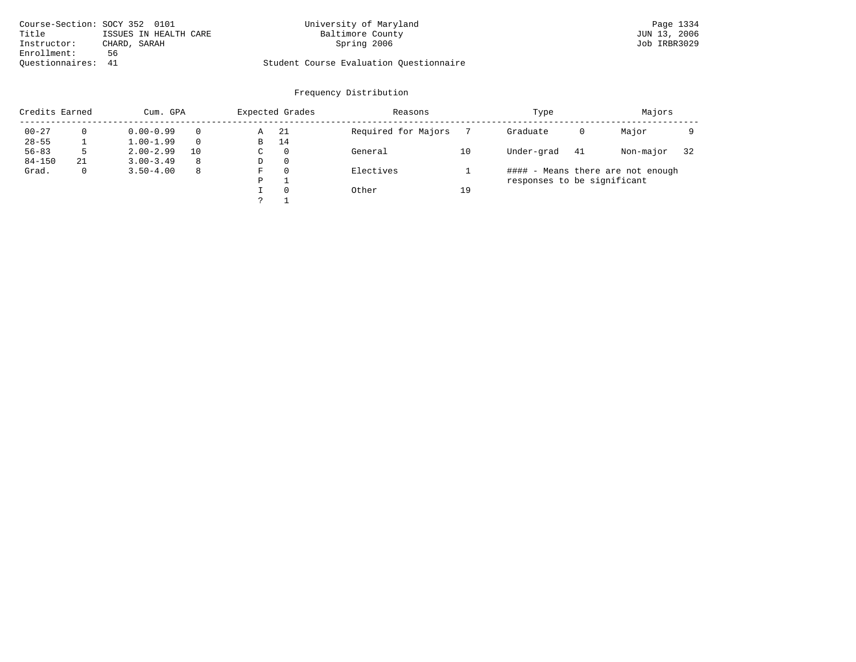| Course-Section: SOCY 352 0101 |                       | University of Maryland                  | Page 1334    |
|-------------------------------|-----------------------|-----------------------------------------|--------------|
| Title                         | ISSUES IN HEALTH CARE | Baltimore County                        | JUN 13, 2006 |
| Instructor:                   | CHARD, SARAH          | Spring 2006                             | Job IRBR3029 |
| Enrollment:                   | 56                    |                                         |              |
| Ouestionnaires: 41            |                       | Student Course Evaluation Ouestionnaire |              |

| Credits Earned |    | Cum. GPA      |          |   | Expected Grades | Reasons             |    | Type                        |    | Majors                            |    |
|----------------|----|---------------|----------|---|-----------------|---------------------|----|-----------------------------|----|-----------------------------------|----|
| $00 - 27$      |    | $0.00 - 0.99$ |          | Α | -21             | Required for Majors |    | Graduate                    | 0  | Major                             |    |
| $28 - 55$      |    | $1.00 - 1.99$ | $\Omega$ | B | 14              |                     |    |                             |    |                                   |    |
| $56 - 83$      |    | $2.00 - 2.99$ | 10       | C | $\Omega$        | General             | 10 | Under-grad                  | 41 | Non-major                         | 32 |
| $84 - 150$     | 21 | $3.00 - 3.49$ | 8        | D | -0              |                     |    |                             |    |                                   |    |
| Grad.          |    | $3.50 - 4.00$ | 8        | F | $\Omega$        | Electives           |    |                             |    | #### - Means there are not enough |    |
|                |    |               |          | P |                 |                     |    | responses to be significant |    |                                   |    |
|                |    |               |          |   | $\Omega$        | Other               | 19 |                             |    |                                   |    |
|                |    |               |          |   |                 |                     |    |                             |    |                                   |    |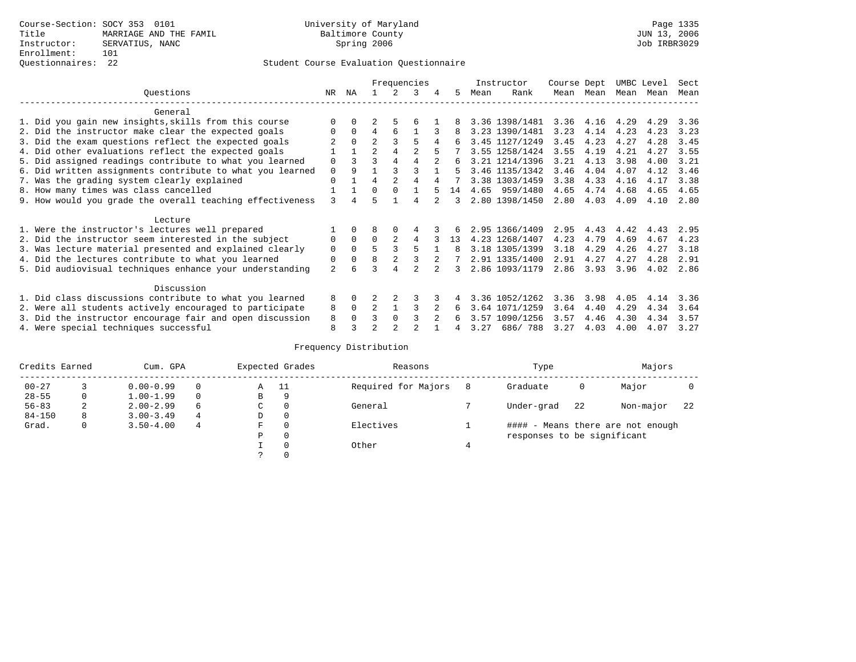# Questionnaires: 22 Student Course Evaluation Questionnaire

|                                                           |                |          |                |                | Frequencies |   |    |      | Instructor     | Course Dept |      | UMBC Level |      | Sect |
|-----------------------------------------------------------|----------------|----------|----------------|----------------|-------------|---|----|------|----------------|-------------|------|------------|------|------|
| Ouestions                                                 | NR             | ΝA       |                |                | 3           | 4 | 5  | Mean | Rank           | Mean        | Mean | Mean       | Mean | Mean |
| General                                                   |                |          |                |                |             |   |    |      |                |             |      |            |      |      |
| 1. Did you gain new insights, skills from this course     |                |          |                | 5              | б           |   |    |      | 3.36 1398/1481 | 3.36        | 4.16 | 4.29       | 4.29 | 3.36 |
| 2. Did the instructor make clear the expected goals       |                | $\Omega$ | 4              | 6              |             |   |    |      | 3.23 1390/1481 | 3.23        | 4.14 | 4.23       | 4.23 | 3.23 |
|                                                           |                | $\Omega$ | $\overline{2}$ |                | 5           |   |    |      | 3.45 1127/1249 | 3.45        | 4.23 | 4.27       | 4.28 | 3.45 |
| 3. Did the exam questions reflect the expected goals      |                |          |                |                |             |   |    |      |                |             |      |            |      |      |
| 4. Did other evaluations reflect the expected goals       |                |          | $\overline{a}$ | 4              | 2           |   |    |      | 3.55 1258/1424 | 3.55        | 4.19 | 4.21       | 4.27 | 3.55 |
| 5. Did assigned readings contribute to what you learned   | 0              |          | ς              |                |             |   | 6  |      | 3.21 1214/1396 | 3.21        | 4.13 | 3.98       | 4.00 | 3.21 |
| 6. Did written assignments contribute to what you learned | 0              | 9        |                |                |             |   | 5  |      | 3.46 1135/1342 | 3.46        | 4.04 | 4.07       | 4.12 | 3.46 |
| 7. Was the grading system clearly explained               | 0              |          | 4              |                |             |   |    |      | 3.38 1303/1459 | 3.38        | 4.33 | 4.16       | 4.17 | 3.38 |
| 8. How many times was class cancelled                     |                |          | 0              | $\Omega$       |             |   | 14 | 4.65 | 959/1480       | 4.65        | 4.74 | 4.68       | 4.65 | 4.65 |
| 9. How would you grade the overall teaching effectiveness | $\mathcal{L}$  |          | г,             |                |             |   | 3  |      | 2.80 1398/1450 | 2.80        | 4.03 | 4.09       | 4.10 | 2.80 |
| Lecture                                                   |                |          |                |                |             |   |    |      |                |             |      |            |      |      |
| 1. Were the instructor's lectures well prepared           |                |          |                |                |             |   |    |      | 2.95 1366/1409 | 2.95        | 4.43 | 4.42       | 4.43 | 2.95 |
| 2. Did the instructor seem interested in the subject      | 0              | $\Omega$ | $\Omega$       | $\mathfrak{D}$ | 4           |   | 13 |      | 4.23 1268/1407 | 4.23        | 4.79 | 4.69       | 4.67 | 4.23 |
| 3. Was lecture material presented and explained clearly   | 0              | $\Omega$ |                |                | 5           |   | 8  |      | 3.18 1305/1399 | 3.18        | 4.29 | 4.26       | 4.27 | 3.18 |
| 4. Did the lectures contribute to what you learned        | 0              | 0        | 8              | $\overline{2}$ |             |   |    |      | 2.91 1335/1400 | 2.91        | 4.27 | 4.27       | 4.28 | 2.91 |
| 5. Did audiovisual techniques enhance your understanding  | $\overline{a}$ | 6        |                | 4              |             |   |    |      | 2.86 1093/1179 | 2.86        | 3.93 | 3.96       | 4.02 | 2.86 |
|                                                           |                |          |                |                |             |   |    |      |                |             |      |            |      |      |
| Discussion                                                |                |          |                |                |             |   |    |      |                |             |      |            |      |      |
| 1. Did class discussions contribute to what you learned   | 8              | 0        |                |                |             |   |    |      | 3.36 1052/1262 | 3.36        | 3.98 | 4.05       | 4.14 | 3.36 |
| 2. Were all students actively encouraged to participate   | 8              | $\Omega$ | $\overline{2}$ |                |             |   | 6  |      | 3.64 1071/1259 | 3.64        | 4.40 | 4.29       | 4.34 | 3.64 |
| 3. Did the instructor encourage fair and open discussion  | 8              |          |                | $\Omega$       |             |   | 6  |      | 3.57 1090/1256 | 3.57        | 4.46 | 4.30       | 4.34 | 3.57 |
| 4. Were special techniques successful                     | 8              |          |                |                |             |   |    | 3.27 | 686/788        | 3.27        | 4.03 | 4.00       | 4.07 | 3.27 |

| Credits Earned |   | Cum. GPA      |          |   | Expected Grades | Reasons             |   | Type                        |    | Majors                            |     |
|----------------|---|---------------|----------|---|-----------------|---------------------|---|-----------------------------|----|-----------------------------------|-----|
| $00 - 27$      |   | $0.00 - 0.99$ | $\Omega$ | Α | - 11            | Required for Majors | 8 | Graduate                    | 0  | Major                             |     |
| $28 - 55$      | 0 | $1.00 - 1.99$ | $\Omega$ | В | 9               |                     |   |                             |    |                                   |     |
| $56 - 83$      | 2 | $2.00 - 2.99$ | 6        | С | 0               | General             |   | Under-grad                  | 22 | Non-major                         | -22 |
| $84 - 150$     | 8 | $3.00 - 3.49$ | 4        | D | 0               |                     |   |                             |    |                                   |     |
| Grad.          | 0 | $3.50 - 4.00$ | 4        | F | 0               | Electives           |   |                             |    | #### - Means there are not enough |     |
|                |   |               |          | Ρ | 0               |                     |   | responses to be significant |    |                                   |     |
|                |   |               |          |   | $\Omega$        | Other               |   |                             |    |                                   |     |
|                |   |               |          | っ | 0               |                     |   |                             |    |                                   |     |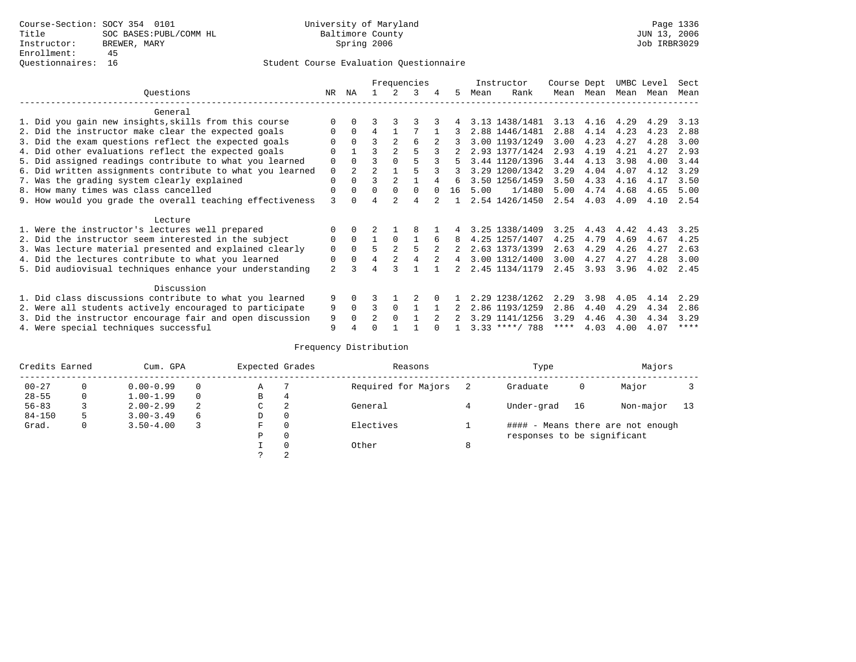|                                                           |                |                |                |                | Frequencies |   |    |      | Instructor       | Course Dept |      | UMBC Level |      | Sect        |
|-----------------------------------------------------------|----------------|----------------|----------------|----------------|-------------|---|----|------|------------------|-------------|------|------------|------|-------------|
| Questions                                                 | NR.            | ΝA             |                |                | 3           | 4 | 5. | Mean | Rank             | Mean        | Mean | Mean       | Mean | Mean        |
| General                                                   |                |                |                |                |             |   |    |      |                  |             |      |            |      |             |
| 1. Did you gain new insights, skills from this course     |                | $\Omega$       |                |                |             |   |    |      | 3.13 1438/1481   | 3.13        | 4.16 | 4.29       | 4.29 | 3.13        |
| 2. Did the instructor make clear the expected goals       |                | $\Omega$       | 4              |                |             |   |    |      | 2.88 1446/1481   | 2.88        | 4.14 | 4.23       | 4.23 | 2.88        |
| 3. Did the exam questions reflect the expected goals      |                | $\Omega$       | ς              | $\mathfrak{D}$ | 6           |   |    |      | 3.00 1193/1249   | 3.00        | 4.23 | 4.27       | 4.28 | 3.00        |
| 4. Did other evaluations reflect the expected goals       | O              |                | ς              |                |             |   |    |      | 2.93 1377/1424   | 2.93        | 4.19 | 4.21       | 4.27 | 2.93        |
| 5. Did assigned readings contribute to what you learned   | 0              | $\Omega$       |                |                |             |   |    |      | 3.44 1120/1396   | 3.44        | 4.13 | 3.98       | 4.00 | 3.44        |
| 6. Did written assignments contribute to what you learned | 0              | $\overline{2}$ | $\mathfrak{D}$ |                |             |   |    |      | 3.29 1200/1342   | 3.29        | 4.04 | 4.07       | 4.12 | 3.29        |
| 7. Was the grading system clearly explained               | 0              | $\Omega$       |                |                |             |   | 6  |      | 3.50 1256/1459   | 3.50        | 4.33 | 4.16       | 4.17 | 3.50        |
| 8. How many times was class cancelled                     | $\Omega$       | $\Omega$       | $\Omega$       | $\Omega$       | 0           |   | 16 | 5.00 | 1/1480           | 5.00        | 4.74 | 4.68       | 4.65 | 5.00        |
| 9. How would you grade the overall teaching effectiveness | ζ              |                | 4              | $\mathcal{D}$  | 4           |   |    |      | 2.54 1426/1450   | 2.54        | 4.03 | 4.09       | 4.10 | 2.54        |
| Lecture                                                   |                |                |                |                |             |   |    |      |                  |             |      |            |      |             |
| 1. Were the instructor's lectures well prepared           |                |                |                |                |             |   |    |      | 3.25 1338/1409   | 3.25        | 4.43 | 4.42       | 4.43 | 3.25        |
| 2. Did the instructor seem interested in the subject      | 0              | $\Omega$       |                | $\Omega$       |             | 6 |    |      | 4.25 1257/1407   | 4.25        | 4.79 | 4.69       | 4.67 | 4.25        |
| 3. Was lecture material presented and explained clearly   | 0              | $\Omega$       | 5              | $2^{1}$        |             |   |    |      | 2.63 1373/1399   | 2.63        | 4.29 | 4.26       | 4.27 | 2.63        |
| 4. Did the lectures contribute to what you learned        | 0              | $\Omega$       | 4              |                |             |   | 4  |      | 3.00 1312/1400   | 3.00        | 4.27 | 4.27       | 4.28 | 3.00        |
| 5. Did audiovisual techniques enhance your understanding  | $\overline{a}$ |                |                |                |             |   |    |      | 2.45 1134/1179   | 2.45        | 3.93 | 3.96       | 4.02 | 2.45        |
| Discussion                                                |                |                |                |                |             |   |    |      |                  |             |      |            |      |             |
| 1. Did class discussions contribute to what you learned   | 9              | $\Omega$       |                |                |             |   |    |      | 2.29 1238/1262   | 2.29        | 3.98 | 4.05       | 4.14 | 2.29        |
| 2. Were all students actively encouraged to participate   | 9              | $\Omega$       |                | $\Omega$       |             |   |    |      | 2.86 1193/1259   | 2.86        | 4.40 | 4.29       | 4.34 | 2.86        |
| 3. Did the instructor encourage fair and open discussion  | 9              | $\Omega$       | $\mathfrak{D}$ | $\Omega$       |             |   |    |      | 3.29 1141/1256   | 3.29        | 4.46 | 4.30       | 4.34 | 3.29        |
| 4. Were special techniques successful                     | 9              |                |                |                |             |   |    |      | $3.33$ ****/ 788 | ****        | 4.03 | 4.00       | 4.07 | $***$ * * * |

| Credits Earned |   | Cum. GPA      |          | Expected Grades |              | Reasons             |   | Type                        |    | Majors                            |    |
|----------------|---|---------------|----------|-----------------|--------------|---------------------|---|-----------------------------|----|-----------------------------------|----|
| $00 - 27$      | 0 | $0.00 - 0.99$ | $\Omega$ | Α               |              | Required for Majors |   | Graduate                    | 0  | Major                             |    |
| $28 - 55$      | 0 | $1.00 - 1.99$ | $\Omega$ | В               | 4            |                     |   |                             |    |                                   |    |
| $56 - 83$      |   | $2.00 - 2.99$ | 2        | C               | -2           | General             |   | Under-grad                  | 16 | Non-major                         | 13 |
| $84 - 150$     |   | $3.00 - 3.49$ | 6        | D               | 0            |                     |   |                             |    |                                   |    |
| Grad.          | 0 | $3.50 - 4.00$ | 3        | F               | 0            | Electives           |   |                             |    | #### - Means there are not enough |    |
|                |   |               |          | Ρ               | $\mathbf{0}$ |                     |   | responses to be significant |    |                                   |    |
|                |   |               |          |                 | 0            | Other               | 8 |                             |    |                                   |    |
|                |   |               |          |                 | 2            |                     |   |                             |    |                                   |    |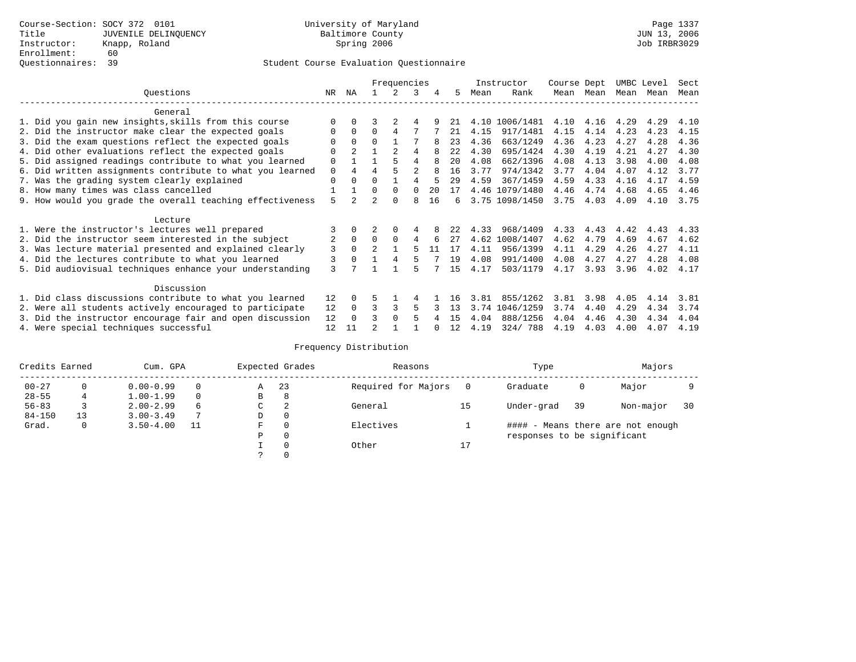|                                                           |          |                |                | Frequencies    |                |    |      |      | Instructor     | Course Dept |           | UMBC Level |      | Sect |
|-----------------------------------------------------------|----------|----------------|----------------|----------------|----------------|----|------|------|----------------|-------------|-----------|------------|------|------|
| Ouestions                                                 | NR       | ΝA             |                |                | 3              | 4  | 5.   | Mean | Rank           |             | Mean Mean | Mean       | Mean | Mean |
| General                                                   |          |                |                |                |                |    |      |      |                |             |           |            |      |      |
| 1. Did you gain new insights, skills from this course     | $\Omega$ | $\Omega$       |                |                | 4              |    | 21   |      | 4.10 1006/1481 | 4.10        | 4.16      | 4.29       | 4.29 | 4.10 |
| 2. Did the instructor make clear the expected goals       | O        | $\Omega$       | $\Omega$       | 4              |                |    | 21   | 4.15 | 917/1481       | 4.15        | 4.14      | 4.23       | 4.23 | 4.15 |
| 3. Did the exam questions reflect the expected goals      |          | $\Omega$       | $\Omega$       |                |                |    | 23   | 4.36 | 663/1249       | 4.36        | 4.23      | 4.27       | 4.28 | 4.36 |
| 4. Did other evaluations reflect the expected goals       | $\Omega$ | $\overline{a}$ |                | $\mathfrak{D}$ | 4              |    | 2.2. | 4.30 | 695/1424       | 4.30        | 4.19      | 4.21       | 4.27 | 4.30 |
| 5. Did assigned readings contribute to what you learned   | 0        |                |                |                | 4              | 8  | 20   | 4.08 | 662/1396       | 4.08        | 4.13      | 3.98       | 4.00 | 4.08 |
| 6. Did written assignments contribute to what you learned | $\Omega$ | 4              |                |                | $\mathfrak{D}$ |    | 16   | 3.77 | 974/1342       | 3.77        | 4.04      | 4.07       | 4.12 | 3.77 |
| 7. Was the grading system clearly explained               | $\Omega$ | $\Omega$       | U              |                | 4              |    | 29   | 4.59 | 367/1459       | 4.59        | 4.33      | 4.16       | 4.17 | 4.59 |
| 8. How many times was class cancelled                     |          |                | $\Omega$       | $\Omega$       | <sup>0</sup>   | 20 | 17   |      | 4.46 1079/1480 | 4.46        | 4.74      | 4.68       | 4.65 | 4.46 |
| 9. How would you grade the overall teaching effectiveness | 5        |                | $\mathfrak{D}$ | $\Omega$       | 8              | 16 | 6    |      | 3.75 1098/1450 | 3.75        | 4.03      | 4.09       | 4.10 | 3.75 |
| Lecture                                                   |          |                |                |                |                |    |      |      |                |             |           |            |      |      |
| 1. Were the instructor's lectures well prepared           |          |                |                |                | 4              |    | 2.2. | 4.33 | 968/1409       | 4.33        | 4.43      | 4.42       | 4.43 | 4.33 |
| 2. Did the instructor seem interested in the subject      | 2        | $\Omega$       | $\Omega$       | $\Omega$       | 4              | 6  | 27   |      | 4.62 1008/1407 | 4.62        | 4.79      | 4.69       | 4.67 | 4.62 |
| 3. Was lecture material presented and explained clearly   | 3        | $\Omega$       | $\mathfrak{D}$ |                | 5              | 11 | 17   | 4.11 | 956/1399       | 4.11        | 4.29      | 4.26       | 4.27 | 4.11 |
| 4. Did the lectures contribute to what you learned        | 3        | $\Omega$       |                | 4              |                |    | 19   | 4.08 | 991/1400       | 4.08        | 4.27      | 4.27       | 4.28 | 4.08 |
| 5. Did audiovisual techniques enhance your understanding  | 3        |                |                |                |                |    | 15   | 4.17 | 503/1179       | 4.17        | 3.93      | 3.96       | 4.02 | 4.17 |
| Discussion                                                |          |                |                |                |                |    |      |      |                |             |           |            |      |      |
| 1. Did class discussions contribute to what you learned   | 12       | $\Omega$       |                |                | 4              |    | 16   | 3.81 | 855/1262       | 3.81        | 3.98      | 4.05       | 4.14 | 3.81 |
| 2. Were all students actively encouraged to participate   | 12       | $\Omega$       |                |                |                |    | 13   |      | 3.74 1046/1259 | 3.74        | 4.40      | 4.29       | 4.34 | 3.74 |
| 3. Did the instructor encourage fair and open discussion  | 12       | $\Omega$       |                | $\Omega$       |                |    | 15   | 4.04 | 888/1256       | 4.04        | 4.46      | 4.30       | 4.34 | 4.04 |
| 4. Were special techniques successful                     | 12       | 11             |                |                |                |    | 12   | 4.19 | 324/788        | 4.19        | 4.03      | 4.00       | 4.07 | 4.19 |

| Credits Earned |          | Cum. GPA      |    |               | Expected Grades | Reasons             |                | Type                        |    | Majors                            |    |
|----------------|----------|---------------|----|---------------|-----------------|---------------------|----------------|-----------------------------|----|-----------------------------------|----|
| $00 - 27$      | $\Omega$ | $0.00 - 0.99$ |    | Α             | 23              | Required for Majors |                | Graduate                    | 0  | Major                             |    |
| $28 - 55$      | 4        | $1.00 - 1.99$ |    | B             | 8               |                     |                |                             |    |                                   |    |
| $56 - 83$      |          | $2.00 - 2.99$ | 6  | $\sim$<br>◡   | 2               | General             | 15             | Under-grad                  | 39 | Non-major                         | 30 |
| $84 - 150$     | 13       | $3.00 - 3.49$ | 7  | D             | 0               |                     |                |                             |    |                                   |    |
| Grad.          | 0        | $3.50 - 4.00$ | 11 | F             | 0               | Electives           |                |                             |    | #### - Means there are not enough |    |
|                |          |               |    | Ρ             | 0               |                     |                | responses to be significant |    |                                   |    |
|                |          |               |    |               | 0               | Other               | 17<br><b>L</b> |                             |    |                                   |    |
|                |          |               |    | $\mathcal{L}$ |                 |                     |                |                             |    |                                   |    |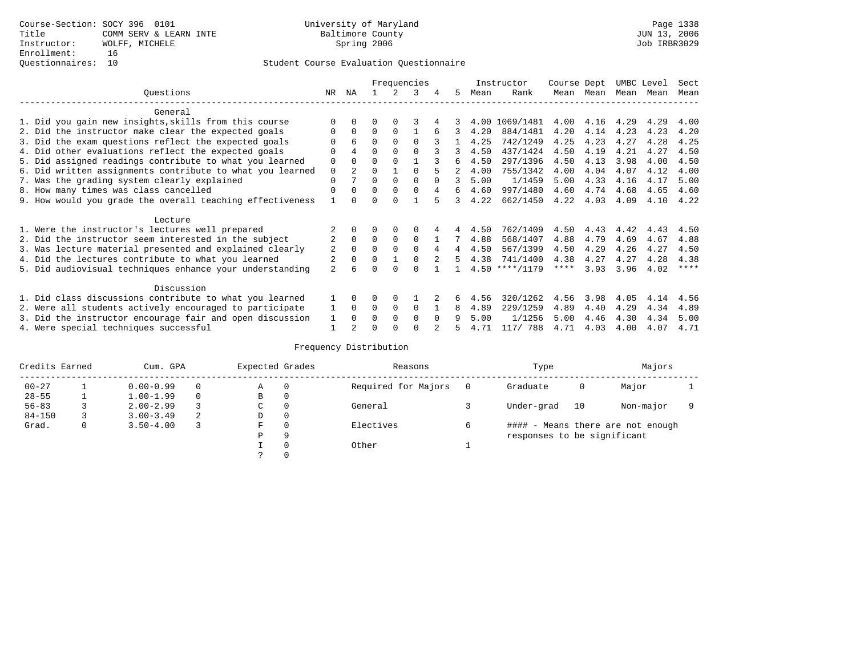|                                                           |                |                |          |             | Frequencies |          |    |      | Instructor       | Course Dept |      | UMBC Level |      | Sect    |
|-----------------------------------------------------------|----------------|----------------|----------|-------------|-------------|----------|----|------|------------------|-------------|------|------------|------|---------|
| Questions                                                 | NR.            | ΝA             |          |             | 3           | 4        | 5. | Mean | Rank             | Mean        | Mean | Mean       | Mean | Mean    |
| General                                                   |                |                |          |             |             |          |    |      |                  |             |      |            |      |         |
| 1. Did you gain new insights, skills from this course     |                | $\Omega$       | U        | $\Omega$    |             |          |    | 4.00 | 1069/1481        | 4.00        | 4.16 | 4.29       | 4.29 | 4.00    |
| 2. Did the instructor make clear the expected goals       |                | $\Omega$       | $\Omega$ | $\Omega$    |             |          | 3  | 4.20 | 884/1481         | 4.20        | 4.14 | 4.23       | 4.23 | 4.20    |
| 3. Did the exam questions reflect the expected goals      |                | 6              | $\Omega$ | $\Omega$    | $\Omega$    |          |    | 4.25 | 742/1249         | 4.25        | 4.23 | 4.27       | 4.28 | 4.25    |
| 4. Did other evaluations reflect the expected goals       | O              | 4              | 0        | $\Omega$    | $\Omega$    |          |    | 4.50 | 437/1424         | 4.50        | 4.19 | 4.21       | 4.27 | 4.50    |
| 5. Did assigned readings contribute to what you learned   | 0              | $\Omega$       | 0        | $\Omega$    |             |          | 6  | 4.50 | 297/1396         | 4.50        | 4.13 | 3.98       | 4.00 | 4.50    |
| 6. Did written assignments contribute to what you learned | 0              | 2.             | 0        |             |             |          | 2  | 4.00 | 755/1342         | 4.00        | 4.04 | 4.07       | 4.12 | 4.00    |
| 7. Was the grading system clearly explained               | 0              |                | 0        | $\Omega$    |             |          | 3  | 5.00 | 1/1459           | 5.00        | 4.33 | 4.16       | 4.17 | 5.00    |
| 8. How many times was class cancelled                     | $\Omega$       | $\Omega$       | 0        | $\Omega$    | 0           | 4        | 6  | 4.60 | 997/1480         | 4.60        | 4.74 | 4.68       | 4.65 | 4.60    |
| 9. How would you grade the overall teaching effectiveness |                |                |          |             |             |          | २  | 4.22 | 662/1450         | 4.22        | 4.03 | 4.09       | 4.10 | 4.22    |
| Lecture                                                   |                |                |          |             |             |          |    |      |                  |             |      |            |      |         |
| 1. Were the instructor's lectures well prepared           |                |                |          |             |             |          |    | 4.50 | 762/1409         | 4.50        | 4.43 | 4.42       | 4.43 | 4.50    |
| 2. Did the instructor seem interested in the subject      | $\overline{2}$ | $\Omega$       | $\Omega$ | $\mathbf 0$ | $\Omega$    |          |    | 4.88 | 568/1407         | 4.88        | 4.79 | 4.69       | 4.67 | 4.88    |
| 3. Was lecture material presented and explained clearly   | 2              | $\Omega$       | 0        | $\Omega$    | $\Omega$    | 4        | 4  | 4.50 | 567/1399         | 4.50        | 4.29 | 4.26       | 4.27 | 4.50    |
| 4. Did the lectures contribute to what you learned        | 2              | $\mathbf 0$    | 0        |             |             |          | 5  | 4.38 | 741/1400         | 4.38        | 4.27 | 4.27       | 4.28 | 4.38    |
| 5. Did audiovisual techniques enhance your understanding  | $\overline{a}$ | F              |          |             |             |          |    |      | $4.50$ ****/1179 | ****        | 3.93 | 3.96       | 4.02 | $***$ * |
| Discussion                                                |                |                |          |             |             |          |    |      |                  |             |      |            |      |         |
| 1. Did class discussions contribute to what you learned   |                | $\Omega$       | U        | $\Omega$    |             |          |    | 4.56 | 320/1262         | 4.56        | 3.98 | 4.05       | 4.14 | 4.56    |
| 2. Were all students actively encouraged to participate   |                | $\Omega$       | $\Omega$ | 0           | 0           |          | 8  | 4.89 | 229/1259         | 4.89        | 4.40 | 4.29       | 4.34 | 4.89    |
| 3. Did the instructor encourage fair and open discussion  | 1              | $\Omega$       | U        | $\Omega$    | $\Omega$    | $\Omega$ | 9  | 5.00 | 1/1256           | 5.00        | 4.46 | 4.30       | 4.34 | 5.00    |
| 4. Were special techniques successful                     |                | $\mathfrak{D}$ |          |             |             |          |    | 4.71 | 117/ 788         | 4.71        | 4.03 | 4.00       | 4.07 | 4.71    |

| Credits Earned |   | Cum. GPA      |   | Expected Grades |          | Reasons             | Type                        |    | Majors                            |  |
|----------------|---|---------------|---|-----------------|----------|---------------------|-----------------------------|----|-----------------------------------|--|
| $00 - 27$      |   | $0.00 - 0.99$ |   | Α               | $\Omega$ | Required for Majors | Graduate                    | 0  | Major                             |  |
| $28 - 55$      |   | $1.00 - 1.99$ |   | B               | 0        |                     |                             |    |                                   |  |
| $56 - 83$      |   | $2.00 - 2.99$ |   | $\sim$<br>◡     | 0        | General             | Under-grad                  | 10 | Non-major                         |  |
| $84 - 150$     |   | $3.00 - 3.49$ | 2 | D               | 0        |                     |                             |    |                                   |  |
| Grad.          | 0 | $3.50 - 4.00$ |   | F               | 0        | Electives           |                             |    | #### - Means there are not enough |  |
|                |   |               |   | Ρ               | 9        |                     | responses to be significant |    |                                   |  |
|                |   |               |   |                 | 0        | Other               |                             |    |                                   |  |
|                |   |               |   | $\mathcal{L}$   |          |                     |                             |    |                                   |  |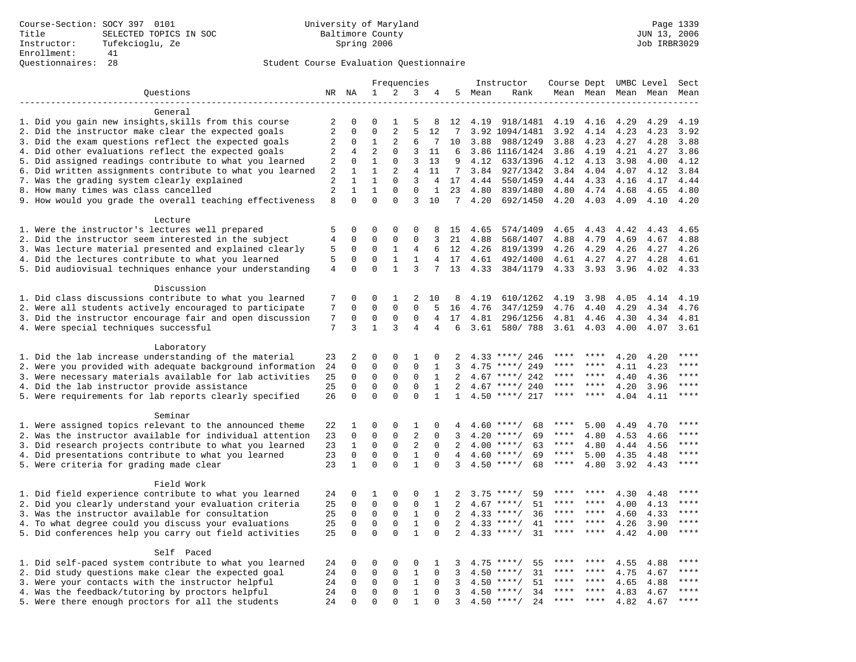|                                                           |                                  |                              |                              | Frequencies              |                  |                                |                 |               | Instructor           | Course Dept UMBC Level |              |              |              | Sect         |
|-----------------------------------------------------------|----------------------------------|------------------------------|------------------------------|--------------------------|------------------|--------------------------------|-----------------|---------------|----------------------|------------------------|--------------|--------------|--------------|--------------|
| Questions                                                 |                                  | NR NA                        | $\mathbf{1}$                 | 2                        | 3                | 4                              | 5               | Mean          | Rank                 |                        | Mean Mean    |              | Mean Mean    | Mean         |
|                                                           |                                  |                              |                              |                          |                  |                                |                 |               |                      |                        |              |              |              |              |
| General                                                   |                                  |                              |                              |                          |                  |                                |                 |               |                      |                        |              |              |              |              |
| 1. Did you gain new insights, skills from this course     | 2                                | 0                            | $\Omega$                     | -1                       | 5                | 8                              | 12              | 4.19          | 918/1481             | 4.19                   | 4.16         | 4.29         | 4.29         | 4.19         |
| 2. Did the instructor make clear the expected goals       | 2                                | $\Omega$                     | $\Omega$                     | $\overline{2}$           | 5                | 12                             | 7               |               | 3.92 1094/1481       | 3.92                   | 4.14         | 4.23         | 4.23         | 3.92         |
| 3. Did the exam questions reflect the expected goals      | 2                                | $\mathbf 0$                  | $\mathbf{1}$                 | 2                        | 6                | 7                              | 10              | 3.88          | 988/1249             | 3.88                   | 4.23         | 4.27         | 4.28         | 3.88         |
| 4. Did other evaluations reflect the expected goals       | $\overline{2}$                   | 4                            | $\overline{2}$               | $\mathbf 0$              | 3                | 11                             | 6               |               | 3.86 1116/1424       | 3.86                   | 4.19         | 4.21         | 4.27         | 3.86         |
| 5. Did assigned readings contribute to what you learned   | 2                                | $\mathbf 0$                  | $\mathbf{1}$                 | $\mathbf 0$              | 3                | 13                             | 9               | 4.12          | 633/1396             | 4.12                   | 4.13         | 3.98         | 4.00         | 4.12         |
| 6. Did written assignments contribute to what you learned | 2                                | 1                            | $\mathbf{1}$                 | 2                        | $\overline{4}$   | 11                             | $7\phantom{.0}$ | 3.84          | 927/1342             | 3.84                   | 4.04         | 4.07         | 4.12         | 3.84         |
| 7. Was the grading system clearly explained               | $\overline{c}$<br>$\overline{2}$ | $\mathbf{1}$<br>$\mathbf{1}$ | $\mathbf{1}$<br>$\mathbf{1}$ | $\Omega$<br>$\mathbf{0}$ | 3<br>$\mathbf 0$ | $\overline{4}$<br>$\mathbf{1}$ | 17              | 4.44          | 550/1459             | 4.44                   | 4.33         | 4.16         | 4.17         | 4.44         |
| 8. How many times was class cancelled                     | 8                                | $\Omega$                     | $\Omega$                     | $\Omega$                 | 3                | 10                             | 23              | 4.80<br>74.20 | 839/1480<br>692/1450 | 4.80                   | 4.74<br>4.03 | 4.68<br>4.09 | 4.65<br>4.10 | 4.80<br>4.20 |
| 9. How would you grade the overall teaching effectiveness |                                  |                              |                              |                          |                  |                                |                 |               |                      | 4.20                   |              |              |              |              |
| Lecture                                                   |                                  |                              |                              |                          |                  |                                |                 |               |                      |                        |              |              |              |              |
| 1. Were the instructor's lectures well prepared           | 5                                | $\mathbf 0$                  | 0                            | 0                        | 0                | 8                              | 15              | 4.65          | 574/1409             | 4.65                   | 4.43         | 4.42         | 4.43         | 4.65         |
| 2. Did the instructor seem interested in the subject      | $\overline{4}$                   | $\mathbf 0$                  | $\mathbf 0$                  | 0                        | $\mathbf{0}$     | 3                              | 21              | 4.88          | 568/1407             | 4.88                   | 4.79         | 4.69         | 4.67         | 4.88         |
| 3. Was lecture material presented and explained clearly   | 5                                | $\mathbf 0$                  | $\mathbf 0$                  | 1                        | 4                | 6                              | 12              | 4.26          | 819/1399             | 4.26                   | 4.29         | 4.26         | 4.27         | 4.26         |
| 4. Did the lectures contribute to what you learned        | 5                                | $\Omega$                     | $\Omega$                     | $\mathbf{1}$             | $\mathbf{1}$     | $4\overline{ }$                | 17              | 4.61          | 492/1400             | 4.61                   | 4.27         | 4.27         | 4.28         | 4.61         |
| 5. Did audiovisual techniques enhance your understanding  | $\overline{4}$                   | $\Omega$                     | $\Omega$                     | $\mathbf{1}$             | 3                | 7                              | 13              | 4.33          | 384/1179             | 4.33                   | 3.93         | 3.96         | 4.02         | 4.33         |
|                                                           |                                  |                              |                              |                          |                  |                                |                 |               |                      |                        |              |              |              |              |
| Discussion                                                |                                  |                              |                              |                          |                  |                                |                 |               |                      |                        |              |              |              |              |
| 1. Did class discussions contribute to what you learned   | 7                                | 0                            | 0                            | 1                        | 2                | 10                             | 8               | 4.19          | 610/1262             | 4.19                   | 3.98         | 4.05         | 4.14         | 4.19         |
| 2. Were all students actively encouraged to participate   | 7                                | $\mathbf 0$                  | $\mathbf 0$                  | $\mathbf 0$              | $\Omega$         | 5                              | 16              | 4.76          | 347/1259             | 4.76                   | 4.40         | 4.29         | 4.34         | 4.76         |
| 3. Did the instructor encourage fair and open discussion  | 7                                | $\mathbf 0$                  | 0                            | 0                        | $\mathbf{0}$     | 4                              | 17              | 4.81          | 296/1256             | 4.81                   | 4.46         | 4.30         | 4.34         | 4.81         |
| 4. Were special techniques successful                     | 7                                | 3                            | $\mathbf{1}$                 | 3                        | 4                | 4                              | 6               | 3.61          | 580/788              | 3.61                   | 4.03         | 4.00         | 4.07         | 3.61         |
|                                                           |                                  |                              |                              |                          |                  |                                |                 |               |                      |                        |              |              |              |              |
| Laboratory                                                |                                  |                              |                              |                          |                  |                                |                 |               |                      |                        |              |              |              |              |
| 1. Did the lab increase understanding of the material     | 23                               | 2                            | 0                            | $\Omega$                 | $\mathbf{1}$     | 0                              | 2               |               | $4.33$ ****/ 246     |                        |              | 4.20         | 4.20         |              |
| 2. Were you provided with adequate background information | 24                               | $\mathbf 0$                  | 0                            | $\mathbf{0}$             | $\mathbf{0}$     | 1                              | 3               | 4.75          | ****/ 249            | ****                   | ****         | 4.11         | 4.23         | ****         |
| 3. Were necessary materials available for lab activities  | 25                               | $\mathbf 0$                  | $\mathbf 0$                  | $\mathbf 0$              | $\mathbf 0$      | $\mathbf{1}$                   | 2               | 4.67          | ****/ 242            | ****                   | $* * * *$    | 4.40         | 4.36         | $***$        |
| 4. Did the lab instructor provide assistance              | 25                               | $\Omega$                     | $\mathbf 0$                  | $\mathbf{0}$             | $\mathbf 0$      | $\mathbf{1}$                   | 2               |               | $4.67$ ****/ 240     | ****                   | ****         | 4.20         | 3.96         | $***$        |
| 5. Were requirements for lab reports clearly specified    | 26                               | $\mathbf 0$                  | $\Omega$                     | $\Omega$                 | $\Omega$         | $\mathbf{1}$                   | $\mathbf{1}$    |               | $4.50$ ****/ 217     | ****                   | ****         | 4.04         | 4.11         | ****         |
| Seminar                                                   |                                  |                              |                              |                          |                  |                                |                 |               |                      |                        |              |              |              |              |
| 1. Were assigned topics relevant to the announced theme   | 22                               | 1                            | 0                            | $\Omega$                 | 1                | $\Omega$                       | 4               |               | $4.60$ ****/<br>68   | ****                   | 5.00         | 4.49         | 4.70         | ****         |
| 2. Was the instructor available for individual attention  | 23                               | $\mathbf 0$                  | $\mathbf 0$                  | $\mathbf{0}$             | $\overline{2}$   | $\Omega$                       | 3               |               | $4.20$ ****/<br>69   | ****                   | 4.80         | 4.53         | 4.66         | ****         |
| 3. Did research projects contribute to what you learned   | 23                               | $\mathbf{1}$                 | $\mathbf 0$                  | $\mathsf 0$              | $\sqrt{2}$       | $\mathbf 0$                    | 2               |               | $4.00$ ****/<br>63   | $***$ * *              | 4.80         | 4.44         | 4.56         | ****         |
| 4. Did presentations contribute to what you learned       | 23                               | $\mathbf 0$                  | $\mathbf 0$                  | $\mathbf 0$              | $\mathbf{1}$     | $\mathbf 0$                    | 4               |               | 69<br>$4.60$ ****/   | $***$ * * *            | 5.00         | 4.35         | 4.48         | $***$        |
| 5. Were criteria for grading made clear                   | 23                               | $\mathbf{1}$                 | $\Omega$                     | $\Omega$                 | $\mathbf{1}$     | $\Omega$                       | 3               |               | $4.50$ ****/<br>68   | $***$ * * *            | 4.80         | 3.92         | 4.43         | ****         |
|                                                           |                                  |                              |                              |                          |                  |                                |                 |               |                      |                        |              |              |              |              |
| Field Work                                                |                                  |                              |                              |                          |                  |                                |                 |               |                      |                        |              |              |              |              |
| 1. Did field experience contribute to what you learned    | 24                               | $\mathbf 0$                  | 1                            | 0                        | $\mathbf 0$      | 1                              | 2               |               | $3.75$ ****/<br>59   | ****                   | ****         | 4.30         | 4.48         | ****         |
| 2. Did you clearly understand your evaluation criteria    | 25                               | $\Omega$                     | $\Omega$                     | $\Omega$                 | $\mathbf 0$      | $\mathbf{1}$                   | 2               | 4.67          | 51<br>$***/$         | ****                   | ****         | 4.00         | 4.13         | $***$        |
| 3. Was the instructor available for consultation          | 25                               | $\mathbf 0$                  | $\mathbf 0$                  | $\mathbf 0$              | $\mathbf{1}$     | $\Omega$                       | 2               |               | $4.33$ ****/<br>36   | ****                   | ****         | 4.60         | 4.33         | ****         |
| 4. To what degree could you discuss your evaluations      | 25                               | $\mathbf 0$                  | $\mathbf 0$                  | $\mathbf 0$              | $\mathbf{1}$     | $\Omega$                       | 2               | 4.33          | $***/$<br>41         | ****                   | ****         | 4.26         | 3.90         | ****         |
| 5. Did conferences help you carry out field activities    | 25                               | $\Omega$                     | $\Omega$                     | $\Omega$                 | $\mathbf{1}$     | $\Omega$                       | $\overline{2}$  | 4.33          | 31<br>$***$ /        | ****                   | ****         | 4.42         | 4.00         | ****         |
|                                                           |                                  |                              |                              |                          |                  |                                |                 |               |                      |                        |              |              |              |              |
| Self Paced                                                |                                  |                              |                              |                          |                  |                                |                 |               |                      |                        |              |              |              |              |
| 1. Did self-paced system contribute to what you learned   | 24                               | 0                            | 0                            | 0                        | 0                | 1                              | 3               | 4.75          | 55<br>$***$ /        |                        |              | 4.55         | 4.88         | ****         |
| 2. Did study questions make clear the expected goal       | 24                               | $\mathbf 0$                  | 0                            | $\mathbf{0}$             | $\mathbf{1}$     | 0                              | 3               | 4.50          | 31<br>$***$ /        | ****                   | ****         | 4.75         | 4.67         | ****         |
| 3. Were your contacts with the instructor helpful         | 24                               | $\Omega$                     | $\mathbf 0$                  | $\Omega$                 | 1                | $\Omega$                       | 3               | 4.50          | 51<br>$***$ /        | ****                   | ****         | 4.65         | 4.88         | $***$ * * *  |
| 4. Was the feedback/tutoring by proctors helpful          | 24                               | $\Omega$                     | $\mathbf 0$                  | $\mathbf{0}$             | $\mathbf{1}$     | $\Omega$                       | 3               |               | $4.50$ ****/<br>34   | ****                   | ****         | 4.83         | 4.67         | ****         |
| 5. Were there enough proctors for all the students        | 24                               | $\Omega$                     | $\Omega$                     | $\Omega$                 | $\mathbf{1}$     | $\Omega$                       | 3               |               | $4.50$ ****/<br>24   | ***                    |              | 4.82         | 4.67         | ****         |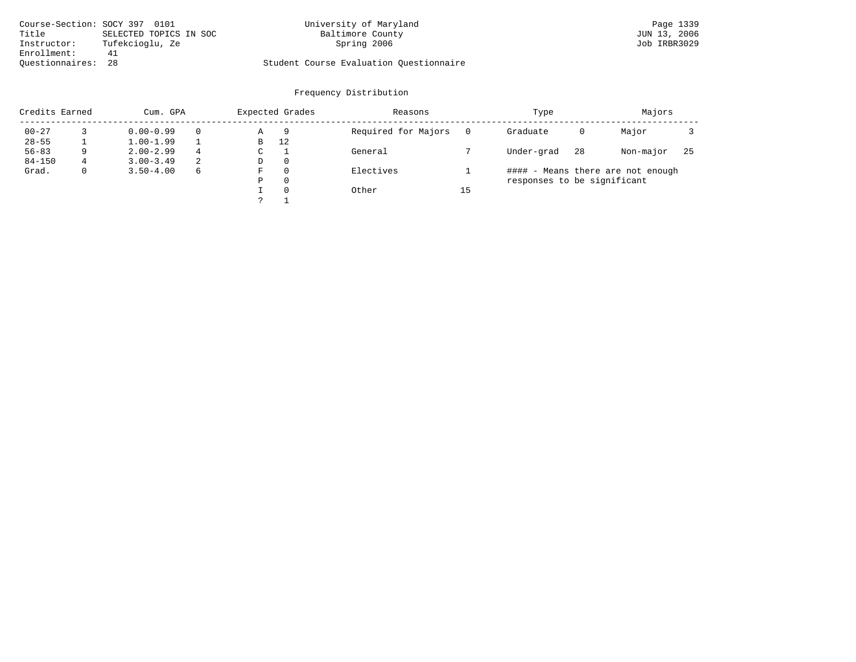| Course-Section: SOCY 397 0101 |                        | University of Maryland                  | Page 1339    |
|-------------------------------|------------------------|-----------------------------------------|--------------|
| Title                         | SELECTED TOPICS IN SOC | Baltimore County                        | JUN 13, 2006 |
| Instructor:                   | Tufekcioglu, Ze        | Spring 2006                             | Job IRBR3029 |
| Enrollment:                   | 41                     |                                         |              |
| Ouestionnaires: 28            |                        | Student Course Evaluation Ouestionnaire |              |

| Credits Earned |   | Cum. GPA      |          | Expected Grades |          | Reasons             |    | Type                        |    | Majors                            |     |
|----------------|---|---------------|----------|-----------------|----------|---------------------|----|-----------------------------|----|-----------------------------------|-----|
| $00 - 27$      |   | $0.00 - 0.99$ | $\Omega$ | Α               | 9        | Required for Majors |    | Graduate                    | 0  | Major                             |     |
| $28 - 55$      |   | $1.00 - 1.99$ |          | В               | 12       |                     |    |                             |    |                                   |     |
| $56 - 83$      | Q | $2.00 - 2.99$ | 4        | C               |          | General             |    | Under-grad                  | 28 | Non-major                         | -25 |
| $84 - 150$     | 4 | $3.00 - 3.49$ | 2        | D               | $\Omega$ |                     |    |                             |    |                                   |     |
| Grad.          |   | $3.50 - 4.00$ | 6        | F               | $\Omega$ | Electives           |    |                             |    | #### - Means there are not enough |     |
|                |   |               |          | Ρ               | $\Omega$ |                     |    | responses to be significant |    |                                   |     |
|                |   |               |          |                 | $\Omega$ | Other               | 15 |                             |    |                                   |     |
|                |   |               |          |                 |          |                     |    |                             |    |                                   |     |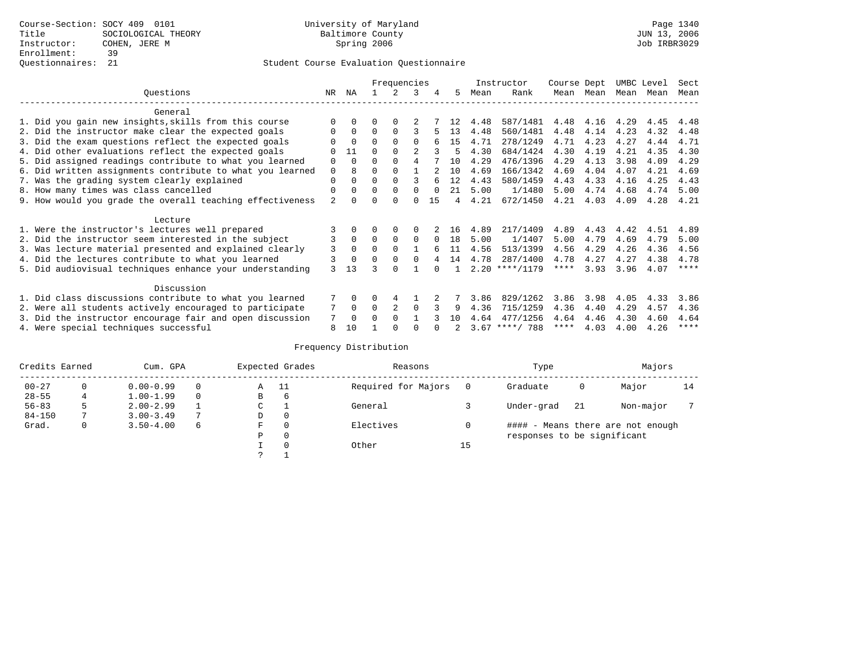|                                                           |                |              |          | Frequencies    |          |               |                |      | Instructor       | Course Dept |      | UMBC Level |      | Sect        |
|-----------------------------------------------------------|----------------|--------------|----------|----------------|----------|---------------|----------------|------|------------------|-------------|------|------------|------|-------------|
| Ouestions                                                 | NR.            | ΝA           |          |                | 3        | 4             | 5.             | Mean | Rank             | Mean        | Mean | Mean       | Mean | Mean        |
| General                                                   |                |              |          |                |          |               |                |      |                  |             |      |            |      |             |
| 1. Did you gain new insights, skills from this course     |                | $\Omega$     | O        | $\Omega$       |          |               | 12             | 4.48 | 587/1481         | 4.48        | 4.16 | 4.29       | 4.45 | 4.48        |
| 2. Did the instructor make clear the expected goals       | O              | $\Omega$     | $\Omega$ | $\Omega$       |          |               | 13             | 4.48 | 560/1481         | 4.48        | 4.14 | 4.23       | 4.32 | 4.48        |
| 3. Did the exam questions reflect the expected goals      |                | $\Omega$     | $\Omega$ | $\Omega$       | $\Omega$ |               | 1.5            | 4.71 | 278/1249         | 4.71        | 4.23 | 4.27       | 4.44 | 4.71        |
| 4. Did other evaluations reflect the expected goals       | $\Omega$       | 11           | $\Omega$ | $\Omega$       |          |               | 5              | 4.30 | 684/1424         | 4.30        | 4.19 | 4.21       | 4.35 | 4.30        |
| 5. Did assigned readings contribute to what you learned   | $\mathbf 0$    | $\Omega$     | $\Omega$ | $\Omega$       | 4        |               | 10             | 4.29 | 476/1396         | 4.29        | 4.13 | 3.98       | 4.09 | 4.29        |
| 6. Did written assignments contribute to what you learned | $\mathbf 0$    | 8            | $\Omega$ |                |          | $\mathcal{D}$ | 10             | 4.69 | 166/1342         | 4.69        | 4.04 | 4.07       | 4.21 | 4.69        |
| 7. Was the grading system clearly explained               | $\Omega$       |              | $\Omega$ | $\Omega$       |          |               | 12             | 4.43 | 580/1459         | 4.43        | 4.33 | 4.16       | 4.25 | 4.43        |
| 8. How many times was class cancelled                     | 0              | $\Omega$     | $\Omega$ | $\Omega$       | $\Omega$ | $\cap$        | 21             | 5.00 | 1/1480           | 5.00        | 4.74 | 4.68       | 4.74 | 5.00        |
| 9. How would you grade the overall teaching effectiveness | $\overline{a}$ | <sup>n</sup> | U        | $\cap$         | U        | 15            | $\overline{4}$ | 4.21 | 672/1450         | 4.21        | 4.03 | 4.09       | 4.28 | 4.21        |
| Lecture                                                   |                |              |          |                |          |               |                |      |                  |             |      |            |      |             |
| 1. Were the instructor's lectures well prepared           |                |              |          |                |          |               | 16             | 4.89 | 217/1409         | 4.89        | 4.43 | 4.42       | 4.51 | 4.89        |
| 2. Did the instructor seem interested in the subject      | 3              | $\Omega$     | $\Omega$ | $\Omega$       | $\Omega$ | $\Omega$      | 18             | 5.00 | 1/1407           | 5.00        | 4.79 | 4.69       | 4.79 | 5.00        |
| 3. Was lecture material presented and explained clearly   | 3              | $\Omega$     | $\Omega$ | $\Omega$       |          |               | 11             | 4.56 | 513/1399         | 4.56        | 4.29 | 4.26       | 4.36 | 4.56        |
| 4. Did the lectures contribute to what you learned        | 3              | $\Omega$     |          | $\Omega$       | $\Omega$ |               | 14             | 4.78 | 287/1400         | 4.78        | 4.27 | 4.27       | 4.38 | 4.78        |
| 5. Did audiovisual techniques enhance your understanding  | 3              | 13           |          | ∩              |          |               |                |      | $2.20$ ****/1179 | $***$ * * * | 3.93 | 3.96       | 4.07 | ****        |
| Discussion                                                |                |              |          |                |          |               |                |      |                  |             |      |            |      |             |
| 1. Did class discussions contribute to what you learned   |                | $\Omega$     | O        | 4              |          |               |                | 3.86 | 829/1262         | 3.86        | 3.98 | 4.05       | 4.33 | 3.86        |
| 2. Were all students actively encouraged to participate   |                | 0            | $\Omega$ | $\overline{2}$ | $\Omega$ |               | 9              | 4.36 | 715/1259         | 4.36        | 4.40 | 4.29       | 4.57 | 4.36        |
| 3. Did the instructor encourage fair and open discussion  | 7              | $\Omega$     | 0        | $\Omega$       |          |               | 1 O            | 4.64 | 477/1256         | 4.64        | 4.46 | 4.30       | 4.60 | 4.64        |
| 4. Were special techniques successful                     | 8              | 10           |          |                |          |               |                |      | $3.67$ ****/ 788 | ****        | 4.03 | 4.00       | 4.26 | $***$ * * * |

| Credits Earned |   | Cum. GPA      |               |   | Expected Grades | Reasons             |    | Type                        |     | Majors                            |    |
|----------------|---|---------------|---------------|---|-----------------|---------------------|----|-----------------------------|-----|-----------------------------------|----|
| $00 - 27$      |   | $0.00 - 0.99$ | $\Omega$      | Α | - 11            | Required for Majors |    | Graduate                    | Ü   | Major                             | 14 |
| $28 - 55$      | 4 | $1.00 - 1.99$ | $\Omega$      | В | 6               |                     |    |                             |     |                                   |    |
| $56 - 83$      |   | $2.00 - 2.99$ |               | C |                 | General             |    | Under-grad                  | -21 | Non-major                         |    |
| $84 - 150$     |   | $3.00 - 3.49$ | $\mathcal{L}$ | D | 0               |                     |    |                             |     |                                   |    |
| Grad.          | 0 | $3.50 - 4.00$ | 6             | F | $\circ$         | Electives           |    |                             |     | #### - Means there are not enough |    |
|                |   |               |               | Ρ | $\circ$         |                     |    | responses to be significant |     |                                   |    |
|                |   |               |               |   | $\Omega$        | Other               | 15 |                             |     |                                   |    |
|                |   |               |               | っ |                 |                     |    |                             |     |                                   |    |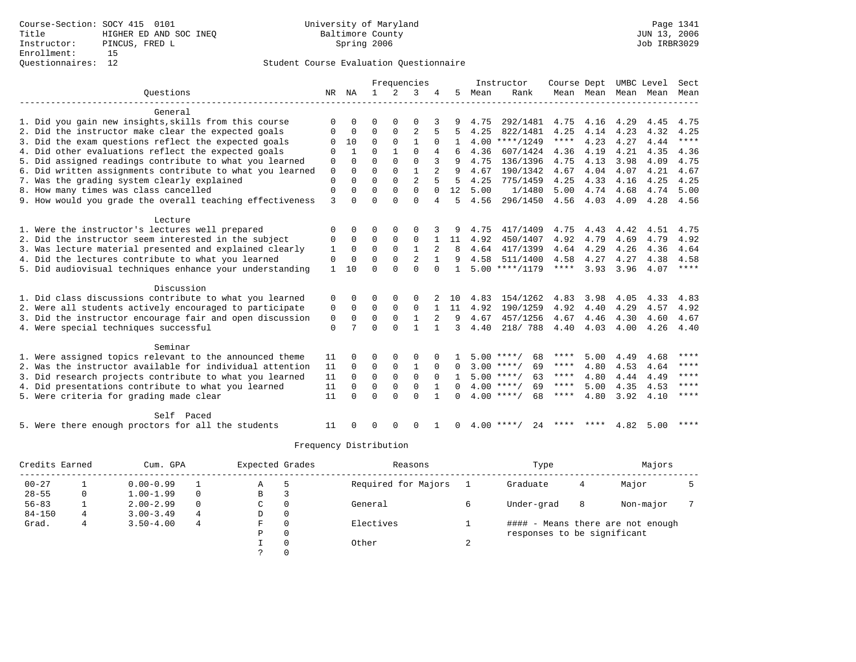|                                                           |              |          |              |             | Frequencies    |          |          |      | Instructor         | Course Dept |                |      | UMBC Level | Sect        |
|-----------------------------------------------------------|--------------|----------|--------------|-------------|----------------|----------|----------|------|--------------------|-------------|----------------|------|------------|-------------|
| Ouestions                                                 | NR.          | ΝA       | $\mathbf{1}$ | 2           | 3              |          | 5        | Mean | Rank               |             | Mean Mean Mean |      | Mean       | Mean        |
|                                                           |              |          |              |             |                |          |          |      |                    |             |                |      |            |             |
| General                                                   |              |          |              |             |                |          |          |      |                    |             |                |      |            |             |
| 1. Did you gain new insights, skills from this course     | $\Omega$     |          | ∩            |             | $\Omega$       |          |          | 4.75 | 292/1481           | 4.75        | 4.16           | 4.29 | 4.45       | 4.75        |
| 2. Did the instructor make clear the expected goals       | 0            | $\Omega$ | $\Omega$     | $\Omega$    | $\overline{2}$ |          | 5        | 4.25 | 822/1481           | 4.25        | 4.14           | 4.23 | 4.32       | 4.25        |
| 3. Did the exam questions reflect the expected goals      | $\Omega$     | 10       | $\Omega$     | $\Omega$    | 1              | $\Omega$ | 1        | 4.00 | $***/1249$         | ****        | 4.23           | 4.27 | 4.44       | $***$       |
| 4. Did other evaluations reflect the expected goals       | $\Omega$     |          | $\cap$       |             | $\Omega$       | 4        |          | 4.36 | 607/1424           | 4.36        | 4.19           | 4.21 | 4.35       | 4.36        |
| 5. Did assigned readings contribute to what you learned   | 0            | $\Omega$ | $\Omega$     | $\Omega$    | $\Omega$       |          | 9        | 4.75 | 136/1396           | 4.75        | 4.13           | 3.98 | 4.09       | 4.75        |
| 6. Did written assignments contribute to what you learned | 0            | $\Omega$ | $\Omega$     | $\Omega$    |                |          | 9        | 4.67 | 190/1342           | 4.67        | 4.04           | 4.07 | 4.21       | 4.67        |
| 7. Was the grading system clearly explained               | $\Omega$     | $\Omega$ | $\Omega$     | $\Omega$    | $\overline{2}$ |          | 5        | 4.25 | 775/1459           | 4.25        | 4.33           | 4.16 | 4.25       | 4.25        |
| 8. How many times was class cancelled                     | $\mathbf 0$  | $\Omega$ | $\Omega$     | $\Omega$    | $\Omega$       | $\Omega$ | 12       | 5.00 | 1/1480             | 5.00        | 4.74           | 4.68 | 4.74       | 5.00        |
| 9. How would you grade the overall teaching effectiveness | 3            | $\cap$   | $\Omega$     | $\cap$      | $\Omega$       | 4        | 5        | 4.56 | 296/1450           | 4.56        | 4.03           | 4.09 | 4.28       | 4.56        |
|                                                           |              |          |              |             |                |          |          |      |                    |             |                |      |            |             |
| Lecture                                                   |              |          |              |             |                |          |          |      |                    |             |                |      |            |             |
| 1. Were the instructor's lectures well prepared           | $\Omega$     | $\Omega$ | $\Omega$     | $\Omega$    | $\Omega$       |          |          | 4.75 | 417/1409           | 4.75        | 4.43           | 4.42 | 4.51       | 4.75        |
| 2. Did the instructor seem interested in the subject      | 0            | $\Omega$ | $\mathbf 0$  | $\mathbf 0$ | 0              |          | 11       | 4.92 | 450/1407           | 4.92        | 4.79           | 4.69 | 4.79       | 4.92        |
| 3. Was lecture material presented and explained clearly   | 1            | $\Omega$ | $\Omega$     | $\Omega$    | $\mathbf{1}$   | 2        | 8        | 4.64 | 417/1399           | 4.64        | 4.29           | 4.26 | 4.36       | 4.64        |
| 4. Did the lectures contribute to what you learned        | $\mathbf 0$  | $\Omega$ | $\Omega$     | $\Omega$    | $\overline{2}$ |          | 9        | 4.58 | 511/1400           | 4.58        | 4.27           | 4.27 | 4.38       | 4.58        |
| 5. Did audiovisual techniques enhance your understanding  | $\mathbf{1}$ | 10       | $\Omega$     | $\cap$      | $\Omega$       | $\Omega$ | 1        |      | $5.00$ ****/1179   | $***$ * *   | 3.93           | 3.96 | 4.07       | ****        |
| Discussion                                                |              |          |              |             |                |          |          |      |                    |             |                |      |            |             |
| 1. Did class discussions contribute to what you learned   | 0            |          |              |             | 0              |          | 10       | 4.83 | 154/1262           | 4.83        | 3.98           | 4.05 | 4.33       | 4.83        |
| 2. Were all students actively encouraged to participate   | 0            | $\Omega$ | $\Omega$     | $\Omega$    | $\Omega$       |          | 11       | 4.92 | 190/1259           | 4.92        | 4.40           | 4.29 | 4.57       | 4.92        |
| 3. Did the instructor encourage fair and open discussion  | 0            | $\Omega$ | $\Omega$     | $\Omega$    |                | 2        | 9        | 4.67 | 457/1256           | 4.67        | 4.46           | 4.30 | 4.60       | 4.67        |
| 4. Were special techniques successful                     | $\Omega$     | 7        | $\Omega$     | $\Omega$    |                |          | 3        | 4.40 | 218/ 788           | 4.40        | 4.03           | 4.00 | 4.26       | 4.40        |
|                                                           |              |          |              |             |                |          |          |      |                    |             |                |      |            |             |
| Seminar                                                   |              |          |              |             |                |          |          |      |                    |             |                |      |            |             |
| 1. Were assigned topics relevant to the announced theme   | 11           | $\Omega$ | $\Omega$     | $\Omega$    | $\Omega$       |          |          |      | 68<br>$5.00$ ****/ | ****        | 5.00           | 4.49 | 4.68       | ****        |
| 2. Was the instructor available for individual attention  | 11           | $\Omega$ | $\Omega$     | 0           | 1              | $\Omega$ | $\Omega$ |      | $3.00$ ****/<br>69 | ****        | 4.80           | 4.53 | 4.64       | ****        |
| 3. Did research projects contribute to what you learned   | 11           | $\Omega$ | $\mathbf 0$  | $\mathbf 0$ | $\mathbf 0$    | $\Omega$ |          |      | $5.00$ ****/<br>63 | ****        | 4.80           | 4.44 | 4.49       | ****        |
| 4. Did presentations contribute to what you learned       | 11           | $\Omega$ | $\Omega$     | $\Omega$    | $\Omega$       |          | $\cap$   |      | $4.00$ ****/<br>69 | $***$ * *   | 5.00           | 4.35 | 4.53       | ****        |
| 5. Were criteria for grading made clear                   | 11           | $\cap$   | $\Omega$     | $\Omega$    | $\Omega$       |          | $\cap$   |      | $4.00$ ****/<br>68 | ****        | 4.80           | 3.92 | 4.10       | $***$ * * * |
| Self Paced                                                |              |          |              |             |                |          |          |      |                    |             |                |      |            |             |
| 5. Were there enough proctors for all the students        | 11           |          | O            |             | 0              |          | 0        |      | 24<br>$4.00$ ****/ | ****        | ****           | 4.82 | 5.00       | $***$ *     |
|                                                           |              |          |              |             |                |          |          |      |                    |             |                |      |            |             |

| Credits Earned |   | Cum. GPA      |          | Expected Grades |   | Reasons             |   | Type                        |   | Majors                            |  |
|----------------|---|---------------|----------|-----------------|---|---------------------|---|-----------------------------|---|-----------------------------------|--|
| $00 - 27$      |   | $0.00 - 0.99$ |          | Α               |   | Required for Majors |   | Graduate                    | 4 | Major                             |  |
| $28 - 55$      | 0 | $1.00 - 1.99$ | $\Omega$ | B               |   |                     |   |                             |   |                                   |  |
| $56 - 83$      |   | $2.00 - 2.99$ | $\Omega$ | C               |   | General             |   | Under-grad                  | 8 | Non-major                         |  |
| $84 - 150$     |   | $3.00 - 3.49$ | 4        | D               | 0 |                     |   |                             |   |                                   |  |
| Grad.          |   | $3.50 - 4.00$ | 4        | F               |   | Electives           |   |                             |   | #### - Means there are not enough |  |
|                |   |               |          | Ρ               |   |                     |   | responses to be significant |   |                                   |  |
|                |   |               |          |                 |   | Other               | ∠ |                             |   |                                   |  |
|                |   |               |          |                 |   |                     |   |                             |   |                                   |  |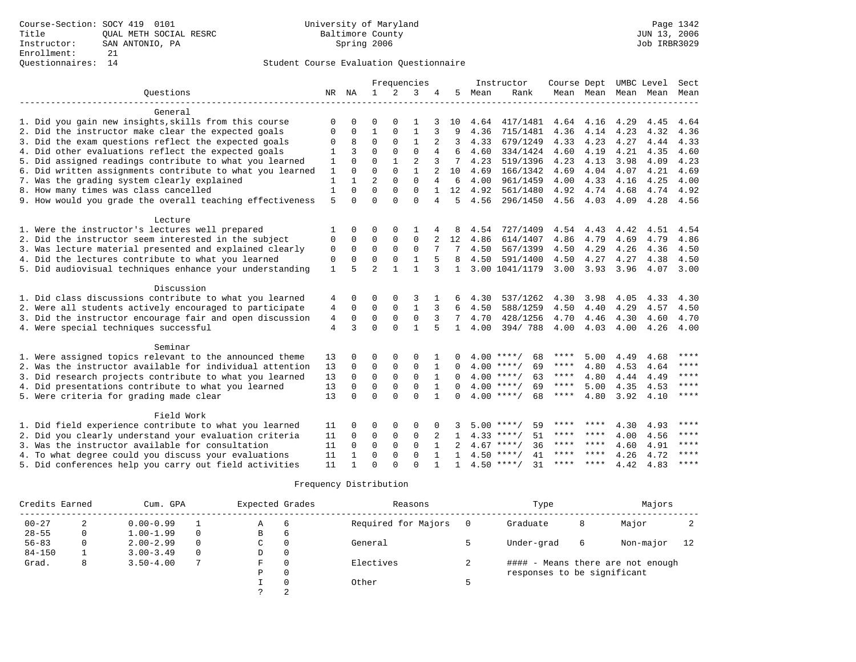|                                                           |              |              |                |              | Frequencies    |              |              |      | Instructor         | Course Dept          |                | UMBC Level |      | Sect        |
|-----------------------------------------------------------|--------------|--------------|----------------|--------------|----------------|--------------|--------------|------|--------------------|----------------------|----------------|------------|------|-------------|
| Ouestions                                                 | NR           | NA           | $\mathbf{1}$   | 2            | 3              | 4            | 5            | Mean | Rank               |                      | Mean Mean Mean |            | Mean | Mean        |
|                                                           |              |              |                |              |                |              |              |      |                    | -------------------- |                |            |      |             |
| General                                                   |              |              |                |              |                |              |              |      |                    |                      |                |            |      |             |
| 1. Did you gain new insights, skills from this course     | O            | $\Omega$     | $\Omega$       | $\Omega$     |                |              | 10           | 4.64 | 417/1481           | 4.64                 | 4.16           | 4.29       | 4.45 | 4.64        |
| 2. Did the instructor make clear the expected goals       | 0            | 0            | $\mathbf{1}$   | $\mathbf 0$  | 1              |              | 9            | 4.36 | 715/1481           | 4.36                 | 4.14           | 4.23       | 4.32 | 4.36        |
| 3. Did the exam questions reflect the expected goals      |              | 8            | $\Omega$       | $\Omega$     | $\mathbf{1}$   | 2            | 3            | 4.33 | 679/1249           | 4.33                 | 4.23           | 4.27       | 4.44 | 4.33        |
| 4. Did other evaluations reflect the expected goals       | 1            | 3            | $\Omega$       | $\Omega$     | $\Omega$       | 4            | 6            | 4.60 | 334/1424           | 4.60                 | 4.19           | 4.21       | 4.35 | 4.60        |
| 5. Did assigned readings contribute to what you learned   | 1            | $\Omega$     | $\Omega$       | $\mathbf{1}$ | $\overline{2}$ | 3            | 7            | 4.23 | 519/1396           | 4.23                 | 4.13           | 3.98       | 4.09 | 4.23        |
| 6. Did written assignments contribute to what you learned | 1            | $\Omega$     | $\Omega$       | $\Omega$     |                |              | 10           | 4.69 | 166/1342           | 4.69                 | 4.04           | 4.07       | 4.21 | 4.69        |
| 7. Was the grading system clearly explained               | $\mathbf{1}$ |              | $\overline{2}$ | $\Omega$     | $\Omega$       |              | 6            | 4.00 | 961/1459           | 4.00                 | 4.33           | 4.16       | 4.25 | 4.00        |
| 8. How many times was class cancelled                     | $\mathbf{1}$ | $\cap$       | $\Omega$       | $\Omega$     | $\Omega$       |              | 12           | 4.92 | 561/1480           | 4.92                 | 4.74           | 4.68       | 4.74 | 4.92        |
| 9. How would you grade the overall teaching effectiveness | 5            | $\Omega$     | $\cap$         | $\Omega$     | $\Omega$       | 4            | 5            | 4.56 | 296/1450           | 4.56                 | 4.03           | 4.09       | 4.28 | 4.56        |
|                                                           |              |              |                |              |                |              |              |      |                    |                      |                |            |      |             |
| Lecture                                                   |              |              |                |              |                |              |              |      |                    |                      |                |            |      |             |
| 1. Were the instructor's lectures well prepared           |              | $\Omega$     | $\Omega$       | $\Omega$     |                |              | 8            | 4.54 | 727/1409           | 4.54                 | 4.43           | 4.42       | 4.51 | 4.54        |
| 2. Did the instructor seem interested in the subject      | 0            | $\Omega$     | $\Omega$       | $\Omega$     | $\Omega$       | 2            | 12           | 4.86 | 614/1407           | 4.86                 | 4.79           | 4.69       | 4.79 | 4.86        |
| 3. Was lecture material presented and explained clearly   | $\mathbf 0$  | $\mathbf 0$  | $\mathbf 0$    | $\mathbf 0$  | 0              | 7            | 7            | 4.50 | 567/1399           | 4.50                 | 4.29           | 4.26       | 4.36 | 4.50        |
| 4. Did the lectures contribute to what you learned        | $\mathbf 0$  | $\Omega$     | $\mathbf 0$    | $\mathbf 0$  | $\mathbf{1}$   | 5            | 8            | 4.50 | 591/1400           | 4.50                 | 4.27           | 4.27       | 4.38 | 4.50        |
| 5. Did audiovisual techniques enhance your understanding  | $\mathbf{1}$ | 5            | $\overline{a}$ | $\mathbf{1}$ | 1              | 3            | $\mathbf{1}$ |      | 3.00 1041/1179     | 3.00                 | 3.93           | 3.96       | 4.07 | 3.00        |
|                                                           |              |              |                |              |                |              |              |      |                    |                      |                |            |      |             |
| Discussion                                                |              |              |                |              |                |              |              |      |                    |                      |                |            |      |             |
| 1. Did class discussions contribute to what you learned   | 4            | $\Omega$     | $\Omega$       | 0            | 3              |              | 6            | 4.30 | 537/1262           | 4.30                 | 3.98           | 4.05       | 4.33 | 4.30        |
| 2. Were all students actively encouraged to participate   | 4            | $\Omega$     | $\Omega$       | $\Omega$     | $\mathbf{1}$   | 3            | 6            | 4.50 | 588/1259           | 4.50                 | 4.40           | 4.29       | 4.57 | 4.50        |
| 3. Did the instructor encourage fair and open discussion  | 4            | $\Omega$     | $\Omega$       | $\Omega$     | $\Omega$       | 3            | 7            | 4.70 | 428/1256           | 4.70                 | 4.46           | 4.30       | 4.60 | 4.70        |
| 4. Were special techniques successful                     | 4            | 3            | $\Omega$       | $\Omega$     | 1              | 5            | $\mathbf{1}$ | 4.00 | 394/788            | 4.00                 | 4.03           | 4.00       | 4.26 | 4.00        |
| Seminar                                                   |              |              |                |              |                |              |              |      |                    |                      |                |            |      |             |
| 1. Were assigned topics relevant to the announced theme   | 13           | $\Omega$     | $\Omega$       | $\Omega$     | $\Omega$       |              |              |      | $4.00$ ****/<br>68 | ****                 | 5.00           | 4.49       | 4.68 | $***$       |
| 2. Was the instructor available for individual attention  | 13           | $\mathbf 0$  | $\mathbf 0$    | $\mathsf 0$  | $\mathbf 0$    |              | $\Omega$     |      | $4.00$ ****/<br>69 | $***$ * * *          | 4.80           | 4.53       | 4.64 | ****        |
| 3. Did research projects contribute to what you learned   | 13           | $\Omega$     | $\Omega$       | $\Omega$     | $\Omega$       |              |              |      | $4.00$ ****/<br>63 | $***$ * * *          | 4.80           | 4.44       | 4.49 | $* * * *$   |
| 4. Did presentations contribute to what you learned       | 13           | $\Omega$     | $\mathbf 0$    | $\Omega$     | $\Omega$       |              | $\Omega$     |      | $4.00$ ****/<br>69 | ****                 | 5.00           | 4.35       | 4.53 | $* * * *$   |
| 5. Were criteria for grading made clear                   | 13           | $\Omega$     | $\Omega$       | $\cap$       | $\cap$         | $\mathbf{1}$ | $\Omega$     |      | $4.00$ ****/<br>68 | ****                 | 4.80           | 3.92       | 4.10 | $* * * * *$ |
|                                                           |              |              |                |              |                |              |              |      |                    |                      |                |            |      |             |
| Field Work                                                |              |              |                |              |                |              |              |      |                    |                      |                |            |      |             |
| 1. Did field experience contribute to what you learned    | 11           |              | $\Omega$       | 0            | $\Omega$       |              |              |      | 59<br>$5.00$ ****/ | ****                 | ****           | 4.30       | 4.93 | ****        |
| 2. Did you clearly understand your evaluation criteria    | 11           | $\Omega$     | $\mathbf 0$    | $\mathbf 0$  | 0              |              |              |      | 51<br>$4.33$ ****/ | ****                 | ****           | 4.00       | 4.56 | $***$       |
| 3. Was the instructor available for consultation          | 11           | $\Omega$     | $\mathbf 0$    | $\mathbf{0}$ | $\Omega$       | $\mathbf{1}$ | $2^{1}$      |      | $4.67$ ****/<br>36 | ****                 | * * * *        | 4.60       | 4.91 | $***$       |
| 4. To what degree could you discuss your evaluations      | 11           |              | $\mathbf 0$    | $\mathbf 0$  | $\mathbf 0$    |              |              |      | $4.50$ ****/<br>41 | ****                 | $* * * * *$    | 4.26       | 4.72 | $* * * *$   |
| 5. Did conferences help you carry out field activities    | 11           | $\mathbf{1}$ | $\Omega$       | $\Omega$     | $\Omega$       |              | $\mathbf{1}$ |      | 31<br>$4.50$ ****/ | **** ****            |                | 4.42       | 4.83 | $***$ * *   |

| Credits Earned |              | Cum. GPA      |          | Expected Grades |          | Reasons             | Type                        |   | Majors                            |    |
|----------------|--------------|---------------|----------|-----------------|----------|---------------------|-----------------------------|---|-----------------------------------|----|
| $00 - 27$      | 2            | $0.00 - 0.99$ |          | Α               | 6        | Required for Majors | Graduate                    | 8 | Major                             | ∠  |
| $28 - 55$      | 0            | $1.00 - 1.99$ |          | В               | 6        |                     |                             |   |                                   |    |
| $56 - 83$      | $\mathbf{0}$ | $2.00 - 2.99$ | $\Omega$ | C.              | 0        | General             | Under-grad                  | 6 | Non-major                         | 12 |
| $84 - 150$     |              | $3.00 - 3.49$ |          | D               | 0        |                     |                             |   |                                   |    |
| Grad.          | 8            | $3.50 - 4.00$ |          |                 | $\Omega$ | Electives           |                             |   | #### - Means there are not enough |    |
|                |              |               |          | P               | $\Omega$ |                     | responses to be significant |   |                                   |    |
|                |              |               |          |                 | $\Omega$ | Other               |                             |   |                                   |    |
|                |              |               |          |                 |          |                     |                             |   |                                   |    |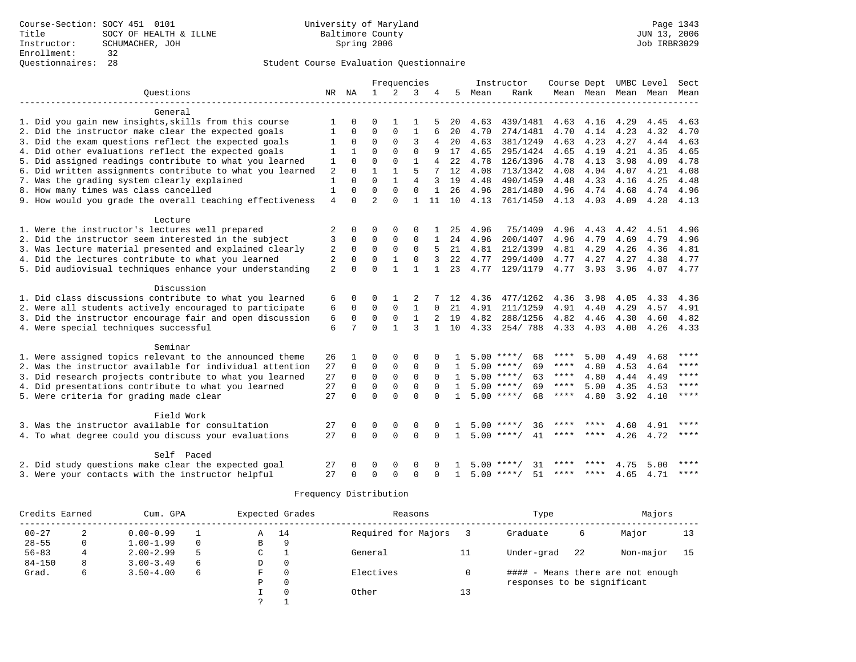|                                                           |                |             |                | Frequencies  |                |              |              |      | Instructor         | Course Dept UMBC Level |      |      |                          | Sect        |
|-----------------------------------------------------------|----------------|-------------|----------------|--------------|----------------|--------------|--------------|------|--------------------|------------------------|------|------|--------------------------|-------------|
| Ouestions                                                 |                | NR NA       | $\mathbf{1}$   | 2            | 3              | 4            | 5            | Mean | Rank               |                        |      |      | Mean Mean Mean Mean Mean |             |
|                                                           |                |             |                |              |                |              |              |      |                    |                        |      |      |                          |             |
| General                                                   |                |             |                |              |                |              |              |      |                    |                        |      |      |                          |             |
| 1. Did you gain new insights, skills from this course     |                |             | $\Omega$       |              |                |              | 20           | 4.63 | 439/1481           | 4.63 4.16              |      | 4.29 | 4.45                     | 4.63        |
| 2. Did the instructor make clear the expected goals       | 1              | $\Omega$    | $\Omega$       | $\Omega$     | $\mathbf{1}$   | 6            | 20           | 4.70 | 274/1481           | 4.70                   | 4.14 | 4.23 | 4.32                     | 4.70        |
| 3. Did the exam questions reflect the expected goals      | 1              | 0           | $\Omega$       | $\Omega$     | 3              | 4            | 20           | 4.63 | 381/1249           | 4.63                   | 4.23 | 4.27 | 4.44                     | 4.63        |
| 4. Did other evaluations reflect the expected goals       |                |             | $\Omega$       | $\Omega$     | $\Omega$       | 9            | 17           | 4.65 | 295/1424           | 4.65                   | 4.19 | 4.21 | 4.35                     | 4.65        |
| 5. Did assigned readings contribute to what you learned   | 1              | $\Omega$    | $\Omega$       | $\Omega$     | $\mathbf{1}$   | 4            | 22           | 4.78 | 126/1396           | 4.78                   | 4.13 | 3.98 | 4.09                     | 4.78        |
| 6. Did written assignments contribute to what you learned | 2              | $\Omega$    |                |              | 5              |              | 12           | 4.08 | 713/1342           | 4.08                   | 4.04 | 4.07 | 4.21                     | 4.08        |
| 7. Was the grading system clearly explained               | $\mathbf{1}$   | $\Omega$    | $\Omega$       | $\mathbf{1}$ | $\overline{4}$ | 3            | 19           | 4.48 | 490/1459           | 4.48                   | 4.33 | 4.16 | 4.25                     | 4.48        |
| 8. How many times was class cancelled                     | $\mathbf{1}$   | $\Omega$    | $\Omega$       | $\Omega$     | $\Omega$       | $\mathbf{1}$ | 26           | 4.96 | 281/1480           | 4.96                   | 4.74 | 4.68 | 4.74                     | 4.96        |
| 9. How would you grade the overall teaching effectiveness | 4              | $\Omega$    | $\overline{a}$ | $\Omega$     | 1              | 11           | 10           | 4.13 | 761/1450           | 4.13                   | 4.03 | 4.09 | 4.28                     | 4.13        |
|                                                           |                |             |                |              |                |              |              |      |                    |                        |      |      |                          |             |
| Lecture                                                   |                |             |                |              |                |              |              |      |                    |                        |      |      |                          |             |
| 1. Were the instructor's lectures well prepared           | 2              | 0           | $\Omega$       | 0            | 0              |              | 25           | 4.96 | 75/1409            | 4.96                   | 4.43 | 4.42 | 4.51                     | 4.96        |
| 2. Did the instructor seem interested in the subject      | 3              | $\mathbf 0$ | $\Omega$       | $\mathbf{0}$ | $\mathbf 0$    | 1            | 24           | 4.96 | 200/1407           | 4.96                   | 4.79 | 4.69 | 4.79                     | 4.96        |
| 3. Was lecture material presented and explained clearly   | 2              | $\Omega$    | $\Omega$       | $\Omega$     | $\Omega$       | 5            | 21           | 4.81 | 212/1399           | 4.81                   | 4.29 | 4.26 | 4.36                     | 4.81        |
| 4. Did the lectures contribute to what you learned        | 2              | $\Omega$    | $\Omega$       |              | $\Omega$       |              | 22           | 4.77 | 299/1400           | 4.77                   | 4.27 | 4.27 | 4.38                     | 4.77        |
| 5. Did audiovisual techniques enhance your understanding  | $\overline{2}$ | $\Omega$    | $\Omega$       | $\mathbf{1}$ | 1              |              | 23           | 4.77 | 129/1179           | 4.77 3.93              |      | 3.96 |                          | 4.07 4.77   |
|                                                           |                |             |                |              |                |              |              |      |                    |                        |      |      |                          |             |
| Discussion                                                |                |             |                |              |                |              |              |      |                    |                        |      |      |                          |             |
| 1. Did class discussions contribute to what you learned   | 6              | 0           | $\Omega$       |              | 2              |              | 12           | 4.36 | 477/1262           | 4.36                   | 3.98 | 4.05 | 4.33                     | 4.36        |
| 2. Were all students actively encouraged to participate   | 6              | $\mathbf 0$ | 0              | $\Omega$     | 1              | $\Omega$     | 21           | 4.91 | 211/1259           | 4.91                   | 4.40 | 4.29 | 4.57                     | 4.91        |
| 3. Did the instructor encourage fair and open discussion  | 6              | $\mathbf 0$ | $\mathbf 0$    | 0            | $\mathbf{1}$   |              | 19           | 4.82 | 288/1256           | 4.82                   | 4.46 | 4.30 | 4.60                     | 4.82        |
| 4. Were special techniques successful                     | 6              | 7           | $\Omega$       | $\mathbf{1}$ | ζ              |              | 10           | 4.33 | 254/788            | 4.33                   | 4.03 | 4.00 | 4.26                     | 4.33        |
| Seminar                                                   |                |             |                |              |                |              |              |      |                    |                        |      |      |                          |             |
| 1. Were assigned topics relevant to the announced theme   | 26             |             | $\Omega$       | $\Omega$     | $\Omega$       |              |              |      | $5.00$ ****/<br>68 | ****                   | 5.00 | 4.49 | 4.68                     | ****        |
| 2. Was the instructor available for individual attention  | 27             | $\mathbf 0$ | $\Omega$       | $\Omega$     | $\Omega$       | $\Omega$     | $\mathbf{1}$ |      | $5.00$ ****/<br>69 | ****                   | 4.80 | 4.53 | 4.64                     | ****        |
| 3. Did research projects contribute to what you learned   | 27             | $\Omega$    | $\Omega$       | $\Omega$     | $\Omega$       |              | $\mathbf{1}$ |      | $5.00$ ****/<br>63 | ****                   | 4.80 | 4.44 | 4.49                     | $***$       |
| 4. Did presentations contribute to what you learned       | 27             | $\Omega$    | $\Omega$       | $\Omega$     | $\Omega$       | $\cap$       | $\mathbf{1}$ |      | $5.00$ ****/<br>69 | $***$ * *              | 5.00 | 4.35 | 4.53                     | $***$ * * * |
| 5. Were criteria for grading made clear                   | 27             | $\Omega$    | $\Omega$       | $\cap$       | $\Omega$       | $\cap$       | $\mathbf{1}$ |      | $5.00$ ****/<br>68 | ****                   | 4.80 | 3.92 | 4.10                     | $***$       |
|                                                           |                |             |                |              |                |              |              |      |                    |                        |      |      |                          |             |
| Field Work                                                |                |             |                |              |                |              |              |      |                    |                        |      |      |                          |             |
| 3. Was the instructor available for consultation          | 27             | 0           | 0              | $\mathbf 0$  | $\Omega$       |              |              |      | $5.00$ ****/<br>36 | ****                   |      | 4.60 | 4.91                     | ****        |
| 4. To what degree could you discuss your evaluations      | 27             | $\Omega$    | $\Omega$       | $\Omega$     | $\Omega$       | $\Omega$     | $\mathbf{1}$ |      | $5.00$ ****/<br>41 | ****                   | **** | 4.26 | 4.72                     | ****        |
|                                                           |                |             |                |              |                |              |              |      |                    |                        |      |      |                          |             |
| Self Paced                                                |                |             |                |              |                |              |              |      |                    |                        |      |      |                          |             |
| 2. Did study questions make clear the expected goal       | 27             |             | $\Omega$       | $\Omega$     | $\Omega$       |              |              | 5.00 | 31                 |                        |      | 4.75 | 5.00                     | ****        |
| 3. Were your contacts with the instructor helpful         | 27             | $\Omega$    | $\Omega$       | $\Omega$     | $\Omega$       | $\Omega$     | $\mathbf{1}$ |      | 51<br>$5.00$ ****/ | ****                   | **** | 4.65 | 4.71                     | $***$       |

| Credits Earned |   | Cum. GPA      |          |   | Expected Grades | Reasons             |    | Type                        |    | Majors                            |    |
|----------------|---|---------------|----------|---|-----------------|---------------------|----|-----------------------------|----|-----------------------------------|----|
| $00 - 27$      | 2 | $0.00 - 0.99$ |          | Α | 14              | Required for Majors |    | Graduate                    | 6  | Major                             | 13 |
| $28 - 55$      | 0 | $1.00 - 1.99$ | $\Omega$ | в | 9               |                     |    |                             |    |                                   |    |
| $56 - 83$      | 4 | $2.00 - 2.99$ | 5        | C |                 | General             | 11 | Under-grad                  | 22 | Non-major                         | 15 |
| $84 - 150$     | 8 | $3.00 - 3.49$ | 6        | D | 0               |                     |    |                             |    |                                   |    |
| Grad.          | 6 | $3.50 - 4.00$ | 6        | F | $\Omega$        | Electives           |    |                             |    | #### - Means there are not enough |    |
|                |   |               |          | Ρ | 0               |                     |    | responses to be significant |    |                                   |    |
|                |   |               |          |   | $\Omega$        | Other               | 13 |                             |    |                                   |    |
|                |   |               |          |   |                 |                     |    |                             |    |                                   |    |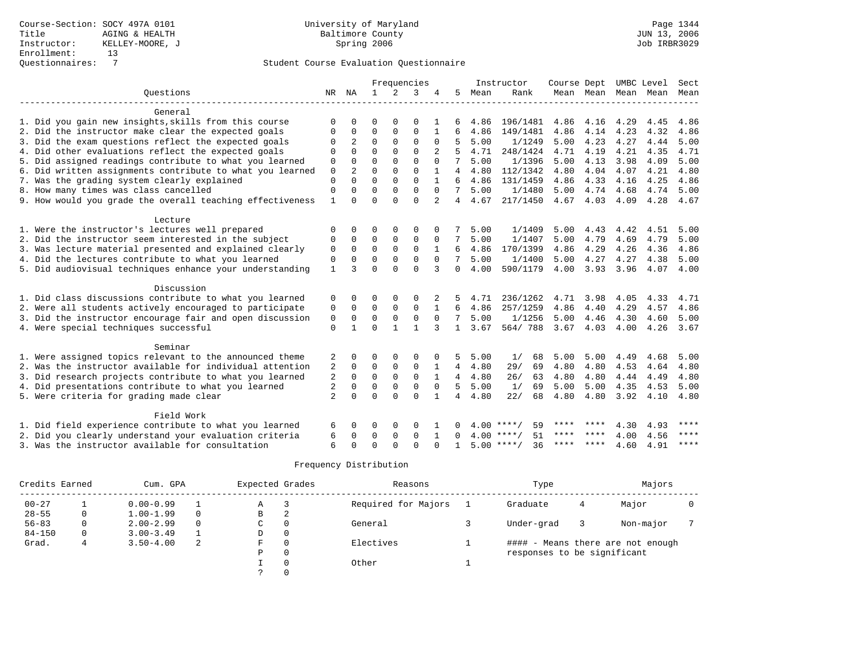|                                                           |                |          |             |              | Frequencies  |                |                 |      | Instructor         | Course Dept |      |                     | UMBC Level | Sect        |
|-----------------------------------------------------------|----------------|----------|-------------|--------------|--------------|----------------|-----------------|------|--------------------|-------------|------|---------------------|------------|-------------|
| Ouestions                                                 |                | NR NA    | 1           | 2            | 3            | 4              | 5               | Mean | Rank               |             |      | Mean Mean Mean Mean |            | Mean        |
|                                                           |                |          |             |              |              |                |                 |      |                    |             |      |                     |            |             |
| General                                                   |                |          |             |              |              |                |                 |      |                    |             |      |                     |            |             |
| 1. Did you gain new insights, skills from this course     | $\Omega$       | 0        | $\Omega$    | $\Omega$     | $\Omega$     |                |                 | 4.86 | 196/1481           | 4.86        | 4.16 | 4.29                | 4.45       | 4.86        |
| 2. Did the instructor make clear the expected goals       | $\Omega$       | $\Omega$ | $\Omega$    | $\Omega$     | $\Omega$     | 1              | 6               | 4.86 | 149/1481           | 4.86        | 4.14 | 4.23                | 4.32       | 4.86        |
| 3. Did the exam questions reflect the expected goals      | $\Omega$       | 2        | $\Omega$    | $\Omega$     | $\Omega$     | $\Omega$       | 5               | 5.00 | 1/1249             | 5.00        | 4.23 | 4.27                | 4.44       | 5.00        |
| 4. Did other evaluations reflect the expected goals       | $\Omega$       | $\Omega$ | $\Omega$    | $\Omega$     | $\Omega$     |                | 5               | 4.71 | 248/1424           | 4.71        | 4.19 | 4.21                | 4.35       | 4.71        |
| 5. Did assigned readings contribute to what you learned   | 0              | $\Omega$ | $\Omega$    | $\Omega$     | $\Omega$     | $\Omega$       | 7               | 5.00 | 1/1396             | 5.00        | 4.13 | 3.98                | 4.09       | 5.00        |
| 6. Did written assignments contribute to what you learned | 0              | 2        | $\Omega$    | $\Omega$     | $\Omega$     |                | 4               | 4.80 | 112/1342           | 4.80        | 4.04 | 4.07                | 4.21       | 4.80        |
| 7. Was the grading system clearly explained               | 0              | $\Omega$ | $\Omega$    | $\Omega$     | $\Omega$     |                | 6               | 4.86 | 131/1459           | 4.86        | 4.33 | 4.16                | 4.25       | 4.86        |
| 8. How many times was class cancelled                     | $\mathbf 0$    | 0        | $\Omega$    | 0            | $\mathbf 0$  | $\Omega$       | 7               | 5.00 | 1/1480             | 5.00        | 4.74 | 4.68                | 4.74       | 5.00        |
| 9. How would you grade the overall teaching effectiveness | $\mathbf{1}$   | $\Omega$ | $\Omega$    | $\Omega$     | $\Omega$     | $\overline{a}$ | $\overline{4}$  | 4.67 | 217/1450           | 4.67        | 4.03 | 4.09                | 4.28       | 4.67        |
| Lecture                                                   |                |          |             |              |              |                |                 |      |                    |             |      |                     |            |             |
| 1. Were the instructor's lectures well prepared           | $\Omega$       | 0        | O           | $\Omega$     | $\Omega$     |                |                 | 5.00 | 1/1409             | 5.00        | 4.43 | 4.42                | 4.51       | 5.00        |
| 2. Did the instructor seem interested in the subject      | $\Omega$       | $\Omega$ | $\Omega$    | $\Omega$     | $\Omega$     | $\Omega$       | 7               | 5.00 | 1/1407             | 5.00        | 4.79 | 4.69                | 4.79       | 5.00        |
| 3. Was lecture material presented and explained clearly   | $\Omega$       | $\Omega$ | $\Omega$    | $\Omega$     | $\Omega$     | 1              | 6               | 4.86 | 170/1399           | 4.86        | 4.29 | 4.26                | 4.36       | 4.86        |
| 4. Did the lectures contribute to what you learned        | $\mathbf 0$    | $\Omega$ | $\Omega$    | $\Omega$     | $\Omega$     | $\Omega$       | 7               | 5.00 | 1/1400             | 5.00        | 4.27 | 4.27                | 4.38       | 5.00        |
| 5. Did audiovisual techniques enhance your understanding  | $\mathbf{1}$   | ζ        | $\Omega$    | $\Omega$     | $\Omega$     | 3              | $\Omega$        | 4.00 | 590/1179           | 4.00        | 3.93 | 3.96                | 4.07       | 4.00        |
|                                                           |                |          |             |              |              |                |                 |      |                    |             |      |                     |            |             |
| Discussion                                                |                |          |             |              |              |                |                 |      |                    |             |      |                     |            |             |
| 1. Did class discussions contribute to what you learned   | 0              | 0        | O           | $\Omega$     | $\Omega$     |                | 5               | 4.71 | 236/1262           | 4.71        | 3.98 | 4.05                | 4.33       | 4.71        |
| 2. Were all students actively encouraged to participate   | 0              | $\Omega$ | $\Omega$    | $\mathbf 0$  | $\Omega$     | $\mathbf{1}$   | 6               | 4.86 | 257/1259           | 4.86        | 4.40 | 4.29                | 4.57       | 4.86        |
| 3. Did the instructor encourage fair and open discussion  | 0              | $\Omega$ | 0           | $\mathsf 0$  | $\mathbf 0$  | $\Omega$       | 7               | 5.00 | 1/1256             | 5.00        | 4.46 | 4.30                | 4.60       | 5.00        |
| 4. Were special techniques successful                     | $\mathbf 0$    |          | $\Omega$    | $\mathbf{1}$ | $\mathbf{1}$ | 3              | 1               | 3.67 | 564/788            | 3.67        | 4.03 | 4.00                | 4.26       | 3.67        |
| Seminar                                                   |                |          |             |              |              |                |                 |      |                    |             |      |                     |            |             |
| 1. Were assigned topics relevant to the announced theme   | 2              | 0        | 0           | $\Omega$     | $\Omega$     |                | 5               | 5.00 | 1/<br>68           | 5.00        | 5.00 | 4.49                | 4.68       | 5.00        |
| 2. Was the instructor available for individual attention  | 2              | 0        | $\mathbf 0$ | 0            | $\mathsf 0$  | 1              | $4\overline{ }$ | 4.80 | 29/<br>69          | 4.80        | 4.80 | 4.53                | 4.64       | 4.80        |
| 3. Did research projects contribute to what you learned   | 2              | 0        | $\mathbf 0$ | $\mathbf 0$  | $\mathbf 0$  |                | 4               | 4.80 | 26/<br>63          | 4.80        | 4.80 | 4.44                | 4.49       | 4.80        |
| 4. Did presentations contribute to what you learned       | 2              | $\Omega$ | 0           | $\mathsf 0$  | $\mathsf 0$  | $\mathbf 0$    | 5               | 5.00 | 1/<br>69           | 5.00        | 5.00 | 4.35                | 4.53       | 5.00        |
| 5. Were criteria for grading made clear                   | $\overline{2}$ | $\Omega$ | $\Omega$    | $\Omega$     | $\Omega$     |                | 4               | 4.80 | 22/<br>68          | 4.80        | 4.80 | 3.92                | 4.10       | 4.80        |
|                                                           |                |          |             |              |              |                |                 |      |                    |             |      |                     |            |             |
| Field Work                                                |                |          |             |              |              |                |                 |      |                    |             |      |                     |            |             |
| 1. Did field experience contribute to what you learned    | 6              |          | 0           | $\Omega$     | $\Omega$     |                |                 | 400  | 59<br>****/        | ****        |      | 4.30                | 4.93       | ****        |
| 2. Did you clearly understand your evaluation criteria    | 6              | 0        | 0           | 0            | $\Omega$     |                | <sup>0</sup>    | 4.00 | 51<br>$***$ /      | ****        | **** | 4.00                | 4.56       | ****        |
| 3. Was the instructor available for consultation          | 6              | $\cap$   | $\Omega$    | $\cap$       | $\cap$       |                | 1               |      | $5.00$ ****/<br>36 | ****        | **** | 4.60                | 4.91       | $***$ * * * |

| Credits Earned |   | Cum. GPA      |   | Expected Grades |          | Reasons             | Type                        |   | Majors                            |  |
|----------------|---|---------------|---|-----------------|----------|---------------------|-----------------------------|---|-----------------------------------|--|
| $00 - 27$      |   | $0.00 - 0.99$ |   | Α               |          | Required for Majors | Graduate                    | 4 | Major                             |  |
| $28 - 55$      | 0 | $1.00 - 1.99$ |   | В               | 2        |                     |                             |   |                                   |  |
| $56 - 83$      |   | $2.00 - 2.99$ |   | C               | $\Omega$ | General             | Under-grad                  |   | Non-major                         |  |
| $84 - 150$     | 0 | $3.00 - 3.49$ |   | D               | 0        |                     |                             |   |                                   |  |
| Grad.          | 4 | $3.50 - 4.00$ | 2 | F               | $\Omega$ | Electives           |                             |   | #### - Means there are not enough |  |
|                |   |               |   | Ρ               | 0        |                     | responses to be significant |   |                                   |  |
|                |   |               |   |                 | 0        | Other               |                             |   |                                   |  |
|                |   |               |   |                 |          |                     |                             |   |                                   |  |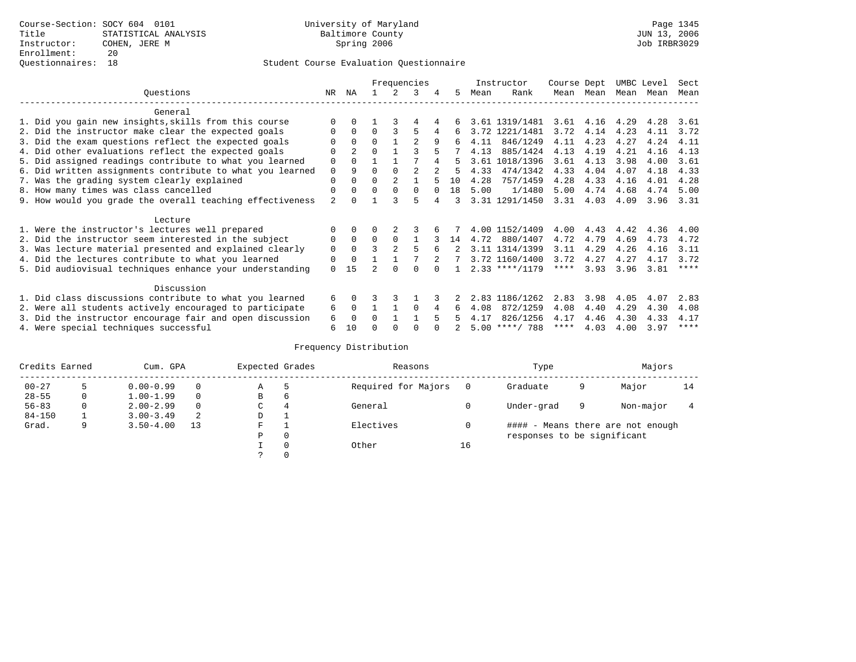|                                                           |                |                |          |          | Frequencies    |   |     |      | Instructor       | Course Dept |               | UMBC Level |      | Sect        |
|-----------------------------------------------------------|----------------|----------------|----------|----------|----------------|---|-----|------|------------------|-------------|---------------|------------|------|-------------|
| Questions                                                 | NR.            | ΝA             |          |          | 3              | 4 | 5   | Mean | Rank             | Mean        | Mean          | Mean       | Mean | Mean        |
| General                                                   |                |                |          |          |                |   |     |      |                  |             |               |            |      |             |
| 1. Did you gain new insights, skills from this course     |                | $\Omega$       |          |          | 4              |   |     |      | 3.61 1319/1481   |             | $3.61$ $4.16$ | 4.29       | 4.28 | 3.61        |
| 2. Did the instructor make clear the expected goals       |                | $\Omega$       | $\Omega$ |          | 5              | 4 | 6   |      | 3.72 1221/1481   | 3.72        | 4.14          | 4.23       | 4.11 | 3.72        |
| 3. Did the exam questions reflect the expected goals      |                | $\Omega$       | $\Omega$ |          | $\mathfrak{D}$ | 9 | 6   | 4.11 | 846/1249         | 4.11        | 4.23          | 4.27       | 4.24 | 4.11        |
| 4. Did other evaluations reflect the expected goals       | O              | $\overline{a}$ | O        |          |                |   |     | 4.13 | 885/1424         | 4.13        | 4.19          | 4.21       | 4.16 | 4.13        |
| 5. Did assigned readings contribute to what you learned   | 0              | $\Omega$       |          |          |                |   |     |      | 3.61 1018/1396   | 3.61        | 4.13          | 3.98       | 4.00 | 3.61        |
| 6. Did written assignments contribute to what you learned | 0              | 9              | O        |          |                |   | 5   | 4.33 | 474/1342         | 4.33        | 4.04          | 4.07       | 4.18 | 4.33        |
| 7. Was the grading system clearly explained               | 0              |                |          |          |                |   | 1 N | 4.28 | 757/1459         | 4.28        | 4.33          | 4.16       | 4.01 | 4.28        |
| 8. How many times was class cancelled                     | $\Omega$       | $\Omega$       | $\Omega$ | $\Omega$ | 0              |   | 18  | 5.00 | 1/1480           | 5.00        | 4.74          | 4.68       | 4.74 | 5.00        |
| 9. How would you grade the overall teaching effectiveness | $\overline{a}$ |                |          |          | г,             |   | 3   |      | 3.31 1291/1450   | 3.31        | 4.03          | 4.09       | 3.96 | 3.31        |
| Lecture                                                   |                |                |          |          |                |   |     |      |                  |             |               |            |      |             |
| 1. Were the instructor's lectures well prepared           |                |                |          |          |                |   |     |      | 4.00 1152/1409   | 4.00        | 4.43          | 4.42       | 4.36 | 4.00        |
| 2. Did the instructor seem interested in the subject      | 0              | $\Omega$       | $\Omega$ | $\Omega$ |                |   | 14  | 4.72 | 880/1407         | 4.72        | 4.79          | 4.69       | 4.73 | 4.72        |
| 3. Was lecture material presented and explained clearly   | 0              | $\Omega$       | ς        |          |                |   |     |      | 3.11 1314/1399   | 3.11        | 4.29          | 4.26       | 4.16 | 3.11        |
| 4. Did the lectures contribute to what you learned        | 0              | $\Omega$       |          |          |                |   |     |      | 3.72 1160/1400   | 3.72        | 4.27          | 4.27       | 4.17 | 3.72        |
| 5. Did audiovisual techniques enhance your understanding  | $\Omega$       | 1.5            |          |          |                |   |     |      | $2.33$ ****/1179 | $***$ * * * | 3.93          | 3.96       | 3.81 | $* * * * *$ |
| Discussion                                                |                |                |          |          |                |   |     |      |                  |             |               |            |      |             |
| 1. Did class discussions contribute to what you learned   | 6              | $\Omega$       |          |          |                |   |     |      | 2.83 1186/1262   | 2.83        | 3.98          | 4.05       | 4.07 | 2.83        |
| 2. Were all students actively encouraged to participate   | 6              | $\Omega$       |          |          | $\Omega$       | 4 | 6   | 4.08 | 872/1259         | 4.08        | 4.40          | 4.29       | 4.30 | 4.08        |
| 3. Did the instructor encourage fair and open discussion  | 6              | $\Omega$       | 0        |          |                |   |     | 4.17 | 826/1256         | 4.17        | 4.46          | 4.30       | 4.33 | 4.17        |
| 4. Were special techniques successful                     | 6              | 10             |          |          |                |   |     |      | $5.00$ ****/ 788 | ****        | 4.03          | 4.00       | 3.97 | ****        |

| Credits Earned |   | Cum. GPA      |    | Expected Grades |          | Reasons             |          | Type                        |   | Majors                            |    |
|----------------|---|---------------|----|-----------------|----------|---------------------|----------|-----------------------------|---|-----------------------------------|----|
| $00 - 27$      |   | $0.00 - 0.99$ |    | Α               | 5        | Required for Majors | $\Omega$ | Graduate                    | 9 | Major                             | 14 |
| $28 - 55$      | 0 | $1.00 - 1.99$ |    | В               | 6        |                     |          |                             |   |                                   |    |
| $56 - 83$      | 0 | $2.00 - 2.99$ |    | $\sim$<br>◡     | 4        | General             |          | Under-grad                  | 9 | Non-major                         |    |
| $84 - 150$     |   | $3.00 - 3.49$ | 2  | D               | <b>.</b> |                     |          |                             |   |                                   |    |
| Grad.          | 9 | $3.50 - 4.00$ | 13 | F               |          | Electives           | 0        |                             |   | #### - Means there are not enough |    |
|                |   |               |    | Ρ               | 0        |                     |          | responses to be significant |   |                                   |    |
|                |   |               |    |                 | $\Omega$ | Other               | 16       |                             |   |                                   |    |
|                |   |               |    |                 |          |                     |          |                             |   |                                   |    |